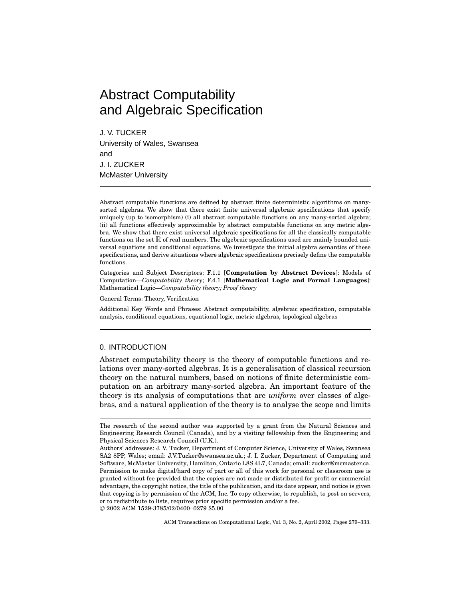# Abstract Computability and Algebraic Specification

J. V. TUCKER University of Wales, Swansea and J. I. ZUCKER McMaster University

Abstract computable functions are defined by abstract finite deterministic algorithms on manysorted algebras. We show that there exist finite universal algebraic specifications that specify uniquely (up to isomorphism) (i) all abstract computable functions on any many-sorted algebra; (ii) all functions effectively approximable by abstract computable functions on any metric algebra. We show that there exist universal algebraic specifications for all the classically computable functions on the set  $\mathbb R$  of real numbers. The algebraic specifications used are mainly bounded universal equations and conditional equations. We investigate the initial algebra semantics of these specifications, and derive situations where algebraic specifications precisely define the computable functions.

Categories and Subject Descriptors: F.1.1 [**Computation by Abstract Devices**]: Models of Computation—*Computability theory*; F.4.1 [**Mathematical Logic and Formal Languages**]: Mathematical Logic—*Computability theory; Proof theory*

General Terms: Theory, Verification

Additional Key Words and Phrases: Abstract computability, algebraic specification, computable analysis, conditional equations, equational logic, metric algebras, topological algebras

# 0. INTRODUCTION

Abstract computability theory is the theory of computable functions and relations over many-sorted algebras. It is a generalisation of classical recursion theory on the natural numbers, based on notions of finite deterministic computation on an arbitrary many-sorted algebra. An important feature of the theory is its analysis of computations that are *uniform* over classes of algebras, and a natural application of the theory is to analyse the scope and limits

°<sup>C</sup> 2002 ACM 1529-3785/02/0400–0279 \$5.00

ACM Transactions on Computational Logic, Vol. 3, No. 2, April 2002, Pages 279–333.

The research of the second author was supported by a grant from the Natural Sciences and Engineering Research Council (Canada), and by a visiting fellowship from the Engineering and Physical Sciences Research Council (U.K.).

Authors' addresses: J. V. Tucker, Department of Computer Science, University of Wales, Swansea SA2 8PP, Wales; email: J.V.Tucker@swansea.ac.uk.; J. I. Zucker, Department of Computing and Software, McMaster University, Hamilton, Ontario L8S 4L7, Canada; email: zucker@mcmaster.ca. Permission to make digital/hard copy of part or all of this work for personal or classroom use is granted without fee provided that the copies are not made or distributed for profit or commercial advantage, the copyright notice, the title of the publication, and its date appear, and notice is given that copying is by permission of the ACM, Inc. To copy otherwise, to republish, to post on servers, or to redistribute to lists, requires prior specific permission and/or a fee.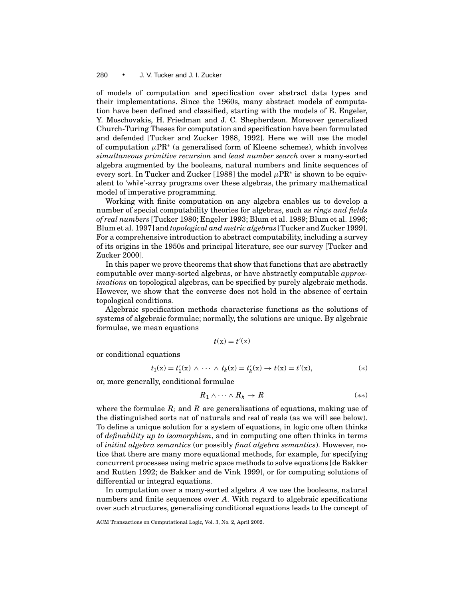of models of computation and specification over abstract data types and their implementations. Since the 1960s, many abstract models of computation have been defined and classified, starting with the models of E. Engeler, Y. Moschovakis, H. Friedman and J. C. Shepherdson. Moreover generalised Church-Turing Theses for computation and specification have been formulated and defended [Tucker and Zucker 1988, 1992]. Here we will use the model of computation  $\mu$ PR<sup>∗</sup> (a generalised form of Kleene schemes), which involves *simultaneous primitive recursion* and *least number search* over a many-sorted algebra augmented by the booleans, natural numbers and finite sequences of every sort. In Tucker and Zucker [1988] the model  $\mu$ PR<sup>∗</sup> is shown to be equivalent to 'while'-array programs over these algebras, the primary mathematical model of imperative programming.

Working with finite computation on any algebra enables us to develop a number of special computability theories for algebras, such as *rings and fields of real numbers* [Tucker 1980; Engeler 1993; Blum et al. 1989; Blum et al. 1996; Blum et al. 1997] and *topological and metric algebras* [Tucker and Zucker 1999]. For a comprehensive introduction to abstract computability, including a survey of its origins in the 1950s and principal literature, see our survey [Tucker and Zucker 2000].

In this paper we prove theorems that show that functions that are abstractly computable over many-sorted algebras, or have abstractly computable *approximations* on topological algebras, can be specified by purely algebraic methods. However, we show that the converse does not hold in the absence of certain topological conditions.

Algebraic specification methods characterise functions as the solutions of systems of algebraic formulae; normally, the solutions are unique. By algebraic formulae, we mean equations

$$
t(\mathbf{x})=t'(\mathbf{x})
$$

or conditional equations

$$
t_1(x) = t'_1(x) \land \cdots \land t_k(x) = t'_k(x) \to t(x) = t'(x),
$$
 (\*)

or, more generally, conditional formulae

$$
R_1 \wedge \cdots \wedge R_k \to R \tag{**}
$$

where the formulae  $R_i$  and  $R$  are generalisations of equations, making use of the distinguished sorts nat of naturals and real of reals (as we will see below). To define a unique solution for a system of equations, in logic one often thinks of *definability up to isomorphism*, and in computing one often thinks in terms of *initial algebra semantics* (or possibly *final algebra semantics*). However, notice that there are many more equational methods, for example, for specifying concurrent processes using metric space methods to solve equations [de Bakker and Rutten 1992; de Bakker and de Vink 1999], or for computing solutions of differential or integral equations.

In computation over a many-sorted algebra *A* we use the booleans, natural numbers and finite sequences over *A*. With regard to algebraic specifications over such structures, generalising conditional equations leads to the concept of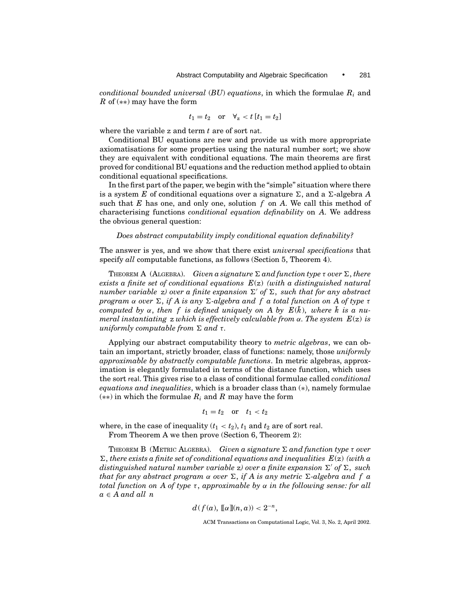*conditional bounded universal* (*BU*) *equations*, in which the formulae *Ri* and *R* of (∗∗) may have the form

$$
t_1 = t_2 \quad \text{or} \quad \forall_z < t \left[ t_1 = t_2 \right]
$$

where the variable z and term *t* are of sort nat.

Conditional BU equations are new and provide us with more appropriate axiomatisations for some properties using the natural number sort; we show they are equivalent with conditional equations. The main theorems are first proved for conditional BU equations and the reduction method applied to obtain conditional equational specifications.

In the first part of the paper, we begin with the "simple" situation where there is a system *E* of conditional equations over a signature  $\Sigma$ , and a  $\Sigma$ -algebra *A* such that *E* has one, and only one, solution *f* on *A*. We call this method of characterising functions *conditional equation definability* on *A*. We address the obvious general question:

# *Does abstract computability imply conditional equation definability?*

The answer is yes, and we show that there exist *universal specifications* that specify *all* computable functions, as follows (Section 5, Theorem 4).

THEOREM A (ALGEBRA). *Given a signature*  $\Sigma$  *and function type*  $\tau$  *over*  $\Sigma$ *, there exists a finite set of conditional equations E*(z) *(with a distinguished natural number variable* z) over a finite expansion  $\Sigma'$  of  $\Sigma$ , such that for any abstract *program*  $\alpha$  *over*  $\Sigma$ , *if* A is any  $\Sigma$ -algebra and f a total function on A of type τ *computed by*  $\alpha$ , *then*  $f$  *is defined uniquely on A by*  $E(\bar{k})$ , *where*  $\bar{k}$  *is a numeral instantiating* z *which is effectively calculable from*  $\alpha$ *. The system E(z) is uniformly computable from*  $\Sigma$  *and*  $\tau$ *.* 

Applying our abstract computability theory to *metric algebras*, we can obtain an important, strictly broader, class of functions: namely, those *uniformly approximable by abstractly computable functions*. In metric algebras, approximation is elegantly formulated in terms of the distance function, which uses the sort real. This gives rise to a class of conditional formulae called *conditional equations and inequalities*, which is a broader class than (∗), namely formulae (∗∗) in which the formulae *Ri* and *R* may have the form

$$
t_1 = t_2 \quad \text{or} \quad t_1 < t_2
$$

where, in the case of inequality  $(t_1 < t_2)$ ,  $t_1$  and  $t_2$  are of sort real. From Theorem A we then prove (Section 6, Theorem 2):

THEOREM B (METRIC ALGEBRA). *Given a signature*  $\Sigma$  *and function type*  $\tau$  *over*  $\Sigma$ , there exists a finite set of conditional equations and inequalities  $E(z)$  (with a *distinguished natural number variable* z) over a finite expansion  $\Sigma'$  of  $\Sigma$ , such *that for any abstract program*  $\alpha$  *over*  $\Sigma$ , *if A is any metric*  $\Sigma$ -*algebra and f a total function on A of type* τ, *approximable by* α *in the following sense: for all a* ∈ *A and all n*

 $d(f(a), [\![\alpha]\!](n, a)) < 2^{-n},$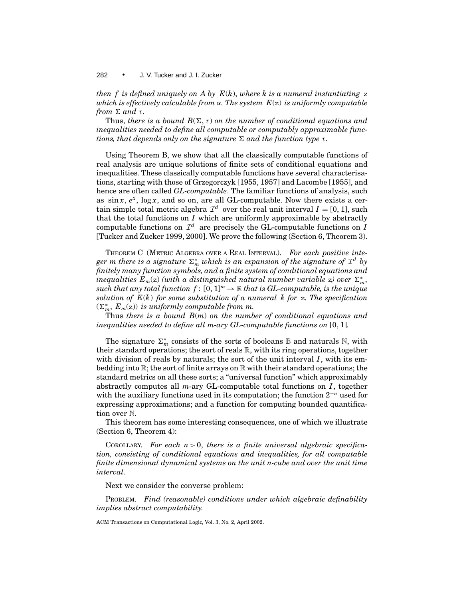*then f is defined uniquely on A by*  $E(\bar{k})$ *, where*  $\bar{k}$  *is a numeral instantiating* z *which is effectively calculable from* α*. The system E*(z) *is uniformly computable from*  $\Sigma$  *and*  $\tau$ *.* 

Thus, *there is a bound*  $B(\Sigma, \tau)$  *on the number of conditional equations and inequalities needed to define all computable or computably approximable functions, that depends only on the signature*  $\Sigma$  *and the function type*  $\tau$ *.* 

Using Theorem B, we show that all the classically computable functions of real analysis are unique solutions of finite sets of conditional equations and inequalities. These classically computable functions have several characterisations, starting with those of Grzegorczyk [1955, 1957] and Lacombe [1955], and hence are often called *GL-computable*. The familiar functions of analysis, such as  $\sin x$ ,  $e^x$ ,  $\log x$ , and so on, are all GL-computable. Now there exists a certain simple total metric algebra  $\mathcal{I}^d$  over the real unit interval  $I = [0, 1]$ , such that the total functions on *I* which are uniformly approximable by abstractly computable functions on  $\mathcal{I}^d$  are precisely the GL-computable functions on *I* [Tucker and Zucker 1999, 2000]. We prove the following (Section 6, Theorem 3).

THEOREM C (METRIC ALGEBRA OVER A REAL INTERVAL). *For each positive inte* $g$ er m there is a signature  $\Sigma_m^*$  which is an expansion of the signature of  $\mathcal{I}^d$  by *finitely many function symbols, and a finite system of conditional equations and inequalities*  $E_m(z)$  *(with a distinguished natural number variable z) over*  $\Sigma_m^*$ , *such that any total function f* :  $[0, 1]^m \to \mathbb{R}$  *that is GL-computable, is the unique solution of*  $E(\bar{k})$  *for some substitution of a numeral*  $\bar{k}$  *for* z. The specification  $(\Sigma_m^*, E_m(z))$  *is uniformly computable from m.* 

Thus *there is a bound B*(*m*) *on the number of conditional equations and inequalities needed to define all m-ary GL-computable functions on* [0, 1]*.*

The signature  $\Sigma_m^*$  consists of the sorts of booleans **B** and naturals N, with their standard operations; the sort of reals  $\mathbb{R}$ , with its ring operations, together with division of reals by naturals; the sort of the unit interval  $I$ , with its embedding into  $\mathbb{R}$ ; the sort of finite arrays on  $\mathbb{R}$  with their standard operations; the standard metrics on all these sorts; a "universal function" which approximably abstractly computes all *m*-ary GL-computable total functions on *I* , together with the auxiliary functions used in its computation; the function 2<sup>−</sup>*<sup>n</sup>* used for expressing approximations; and a function for computing bounded quantification over N.

This theorem has some interesting consequences, one of which we illustrate (Section 6, Theorem 4):

COROLLARY. *For each n*> 0, *there is a finite universal algebraic specification, consisting of conditional equations and inequalities, for all computable finite dimensional dynamical systems on the unit n-cube and over the unit time interval.*

Next we consider the converse problem:

PROBLEM. *Find (reasonable) conditions under which algebraic definability implies abstract computability.*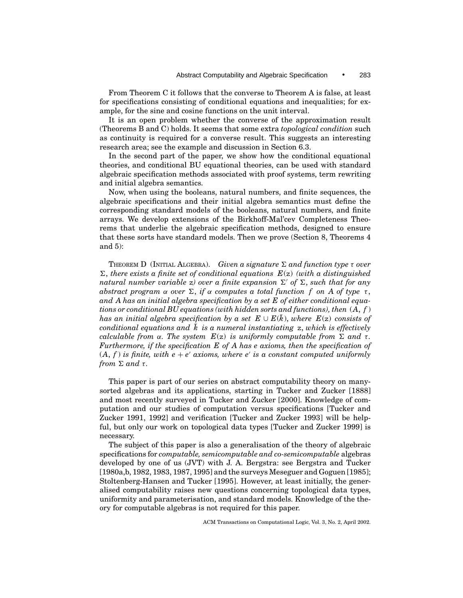From Theorem C it follows that the converse to Theorem A is false, at least for specifications consisting of conditional equations and inequalities; for example, for the sine and cosine functions on the unit interval.

It is an open problem whether the converse of the approximation result (Theorems B and C) holds. It seems that some extra *topological condition* such as continuity is required for a converse result. This suggests an interesting research area; see the example and discussion in Section 6.3.

In the second part of the paper, we show how the conditional equational theories, and conditional BU equational theories, can be used with standard algebraic specification methods associated with proof systems, term rewriting and initial algebra semantics.

Now, when using the booleans, natural numbers, and finite sequences, the algebraic specifications and their initial algebra semantics must define the corresponding standard models of the booleans, natural numbers, and finite arrays. We develop extensions of the Birkhoff-Mal'cev Completeness Theorems that underlie the algebraic specification methods, designed to ensure that these sorts have standard models. Then we prove (Section 8, Theorems 4 and 5):

THEOREM D (INITIAL ALGEBRA). Given a signature  $\Sigma$  and function type  $\tau$  over  $\Sigma$ , there exists a finite set of conditional equations  $E(z)$  *(with a distinguished*) *natural number variable* z) over a finite expansion  $\Sigma'$  of  $\Sigma$ , such that for any *abstract program*  $\alpha$  *over*  $\Sigma$ , *if*  $\alpha$  *computes a total function f on A of type*  $\tau$ , *and A has an initial algebra specification by a set E of either conditional equations or conditional BU equations (with hidden sorts and functions), then* (*A*, *f* ) *has an initial algebra specification by a set*  $E \cup E(k)$ , *where*  $E(z)$  *consists of conditional equations and*  $\bar{k}$  *is a numeral instantiating* z, which is effectively *calculable from*  $\alpha$ *. The system E(z) is uniformly computable from*  $\Sigma$  *and*  $\tau$ *. Furthermore, if the specification E of A has e axioms, then the specification of*  $(A, f)$  *is finite, with e + e' axioms, where e' is a constant computed uniformly from*  $\Sigma$  *and*  $\tau$ *.* 

This paper is part of our series on abstract computability theory on manysorted algebras and its applications, starting in Tucker and Zucker [1888] and most recently surveyed in Tucker and Zucker [2000]. Knowledge of computation and our studies of computation versus specifications [Tucker and Zucker 1991, 1992] and verification [Tucker and Zucker 1993] will be helpful, but only our work on topological data types [Tucker and Zucker 1999] is necessary.

The subject of this paper is also a generalisation of the theory of algebraic specifications for *computable, semicomputable and co-semicomputable* algebras developed by one of us (JVT) with J. A. Bergstra: see Bergstra and Tucker [1980a,b, 1982, 1983, 1987, 1995] and the surveys Meseguer and Goguen [1985]; Stoltenberg-Hansen and Tucker [1995]. However, at least initially, the generalised computability raises new questions concerning topological data types, uniformity and parameterisation, and standard models. Knowledge of the theory for computable algebras is not required for this paper.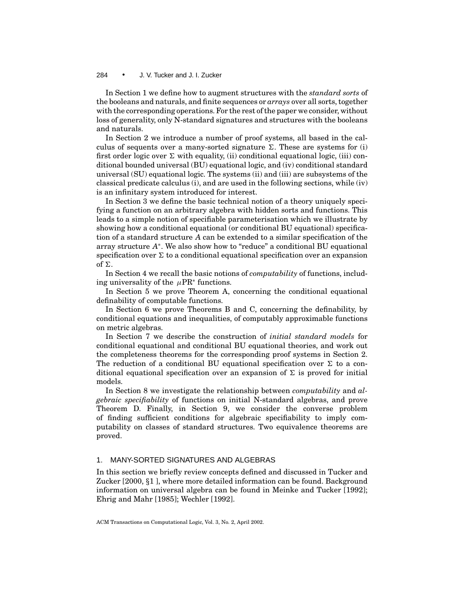In Section 1 we define how to augment structures with the *standard sorts* of the booleans and naturals, and finite sequences or *arrays* over all sorts, together with the corresponding operations. For the rest of the paper we consider, without loss of generality, only N-standard signatures and structures with the booleans and naturals.

In Section 2 we introduce a number of proof systems, all based in the calculus of sequents over a many-sorted signature  $\Sigma$ . These are systems for (i) first order logic over  $\Sigma$  with equality, (ii) conditional equational logic, (iii) conditional bounded universal (BU) equational logic, and (iv) conditional standard universal (SU) equational logic. The systems (ii) and (iii) are subsystems of the classical predicate calculus (i), and are used in the following sections, while (iv) is an infinitary system introduced for interest.

In Section 3 we define the basic technical notion of a theory uniquely specifying a function on an arbitrary algebra with hidden sorts and functions. This leads to a simple notion of specifiable parameterisation which we illustrate by showing how a conditional equational (or conditional BU equational) specification of a standard structure *A* can be extended to a similar specification of the array structure *A*<sup>∗</sup>. We also show how to "reduce" a conditional BU equational specification over  $\Sigma$  to a conditional equational specification over an expansion of  $\Sigma$ .

In Section 4 we recall the basic notions of *computability* of functions, including universality of the  $\mu$ PR<sup>∗</sup> functions.

In Section 5 we prove Theorem A, concerning the conditional equational definability of computable functions.

In Section 6 we prove Theorems B and C, concerning the definability, by conditional equations and inequalities, of computably approximable functions on metric algebras.

In Section 7 we describe the construction of *initial standard models* for conditional equational and conditional BU equational theories, and work out the completeness theorems for the corresponding proof systems in Section 2. The reduction of a conditional BU equational specification over  $\Sigma$  to a conditional equational specification over an expansion of  $\Sigma$  is proved for initial models.

In Section 8 we investigate the relationship between *computability* and *algebraic specifiability* of functions on initial N-standard algebras, and prove Theorem D. Finally, in Section 9, we consider the converse problem of finding sufficient conditions for algebraic specifiability to imply computability on classes of standard structures. Two equivalence theorems are proved.

# 1. MANY-SORTED SIGNATURES AND ALGEBRAS

In this section we briefly review concepts defined and discussed in Tucker and Zucker [2000, *§*1 ], where more detailed information can be found. Background information on universal algebra can be found in Meinke and Tucker [1992]; Ehrig and Mahr [1985]; Wechler [1992].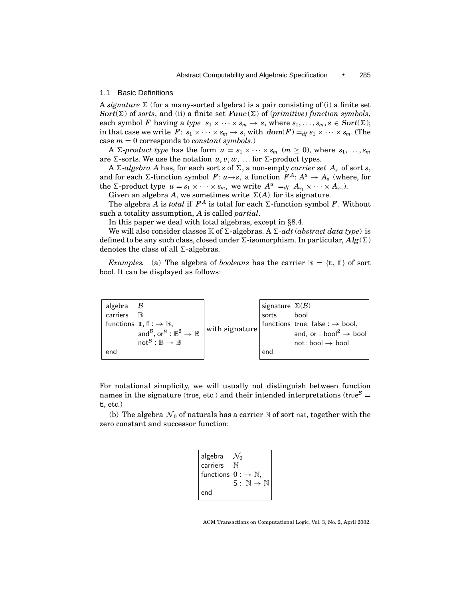#### 1.1 Basic Definitions

A *signature*  $\Sigma$  (for a many-sorted algebra) is a pair consisting of (i) a finite set *Sort*( $\Sigma$ ) of *sorts*, and (ii) a finite set *Func*( $\Sigma$ ) of (*primitive*) *function symbols*, each symbol *F* having a *type*  $s_1 \times \cdots \times s_m \to s$ , where  $s_1, \ldots, s_m, s \in \text{Sort}(\Sigma)$ ; in that case we write  $F: s_1 \times \cdots \times s_m \to s$ , with  $dom(F) =_{df} s_1 \times \cdots \times s_m$ . (The case  $m = 0$  corresponds to *constant symbols*.)

A  $\Sigma$ -*product type* has the form  $u = s_1 \times \cdots \times s_m$  ( $m \ge 0$ ), where  $s_1, \ldots, s_m$ are  $\Sigma$ -sorts. We use the notation  $u, v, w, \ldots$  for  $\Sigma$ -product types.

A  $\Sigma$ -algebra A has, for each sort *s* of  $\Sigma$ , a non-empty *carrier set*  $A_s$  of sort *s*, and for each  $\Sigma$ -function symbol  $F: u \rightarrow s$ , a function  $F^A: A^u \rightarrow A_s$  (where, for the  $\Sigma$ -product type  $u = s_1 \times \cdots \times s_m$ , we write  $A^u =_{df} A_{s_1} \times \cdots \times A_{s_m}$ .

Given an algebra *A*, we sometimes write  $\Sigma(A)$  for its signature.

The algebra *A* is *total* if  $F^A$  is total for each  $\Sigma$ -function symbol *F*. Without such a totality assumption, *A* is called *partial*.

In this paper we deal with total algebras, except in *§*8.4.

We will also consider classes  $K$  of  $\Sigma$ -algebras. A  $\Sigma$ -*adt* (*abstract data type*) is defined to be any such class, closed under  $\Sigma$ -isomorphism. In particular,  $Alg(\Sigma)$ denotes the class of all  $\Sigma$ -algebras.

*Examples.* (a) The algebra of *booleans* has the carrier  $\mathbb{B} = {\text{tt}, \mathbb{f}}$  of sort bool. It can be displayed as follows:

| algebra<br>carriers<br>end | $\mathbb{B}$<br>functions $\text{t}, \text{f} : \rightarrow \mathbb{B}$ ,<br>and $B$ , or $B : \mathbb{B}^2 \to \mathbb{B}$<br>$not^B : \mathbb{B} \to \mathbb{B}$ | with signature | signature $\Sigma(\mathcal{B})$<br>sorts<br>end | bool<br>functions true, false : $\rightarrow$ bool,<br>and, or : bool <sup>2</sup> $\rightarrow$ bool<br>$not : bool \rightarrow bool$ |
|----------------------------|--------------------------------------------------------------------------------------------------------------------------------------------------------------------|----------------|-------------------------------------------------|----------------------------------------------------------------------------------------------------------------------------------------|
|----------------------------|--------------------------------------------------------------------------------------------------------------------------------------------------------------------|----------------|-------------------------------------------------|----------------------------------------------------------------------------------------------------------------------------------------|

For notational simplicity, we will usually not distinguish between function names in the signature (true, etc.) and their intended interpretations (true<sup>B</sup> =  $t, etc.$ )

(b) The algebra  $\mathcal{N}_0$  of naturals has a carrier  $\mathbb N$  of sort nat, together with the zero constant and successor function:

| algebra                                 | $\mathcal{N}_0$                        |
|-----------------------------------------|----------------------------------------|
| carriers                                |                                        |
| functions $0: \rightarrow \mathbb{N}$ , |                                        |
|                                         | $S: \mathbb{N} \rightarrow \mathbb{N}$ |
| end                                     |                                        |

ACM Transactions on Computational Logic, Vol. 3, No. 2, April 2002.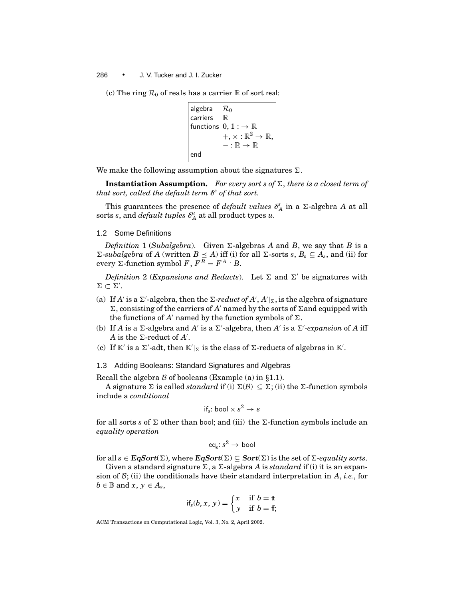(c) The ring  $\mathcal{R}_0$  of reals has a carrier  $\mathbb R$  of sort real:

| algebra                                            | $\mathcal{R}_0$                 |
|----------------------------------------------------|---------------------------------|
| carriers                                           | $\mathbb{R}$                    |
| functions                                          | $0, 1 : \rightarrow \mathbb{R}$ |
| $+, \times : \mathbb{R}^2 \rightarrow \mathbb{R},$ |                                 |
| $- : \mathbb{R} \rightarrow \mathbb{R}$            |                                 |

We make the following assumption about the signatures  $\Sigma$ .

**Instantiation Assumption.** For every sort s of  $\Sigma$ , there is a closed term of *that sort, called the default term δ<sup>s</sup> of that sort.*

This guarantees the presence of *default values*  $\delta_A^s$  in a  $\Sigma$ -algebra *A* at all sorts *s*, and *default tuples*  $\delta_A^u$  at all product types *u*.

## 1.2 Some Definitions

*Definition* 1 (*Subalgebra*). Given  $\Sigma$ -algebras *A* and *B*, we say that *B* is a  $\Sigma$ -*subalgebra* of *A* (written  $B \le A$ ) iff (i) for all  $\Sigma$ -sorts *s*,  $B_s \subseteq A_s$ , and (ii) for every  $\Sigma$ -function symbol  $\overline{F}$ ,  $\overline{F}^{\overline{B}} = \overline{F}^{\overline{A}} \upharpoonright B$ .

*Definition* 2 (*Expansions and Reducts*). Let  $\Sigma$  and  $\Sigma'$  be signatures with  $\Sigma \subset \Sigma'.$ 

- (a) If *A'* is a  $\Sigma'$ -algebra, then the  $\Sigma$ -*reduct of A'*, *A'* |<sub> $\Sigma$ </sub>, is the algebra of signature  $\Sigma$ , consisting of the carriers of *A'* named by the sorts of  $\Sigma$  and equipped with the functions of *A'* named by the function symbols of  $\Sigma$ .
- (b) If *A* is a  $\Sigma$ -algebra and *A'* is a  $\Sigma'$ -algebra, then *A'* is a  $\Sigma'$ -expansion of *A* iff  $A$  is the  $\Sigma$ -reduct of  $A'$ .
- (c) If  $K'$  is a  $\Sigma'$ -adt, then  $K'|_{\Sigma}$  is the class of  $\Sigma$ -reducts of algebras in  $K'.$

# 1.3 Adding Booleans: Standard Signatures and Algebras

Recall the algebra B of booleans (Example (a) in *§*1.1).

A signature  $\Sigma$  is called *standard* if (i)  $\Sigma(\mathcal{B}) \subseteq \Sigma$ ; (ii) the  $\Sigma$ -function symbols include a *conditional*

$$
\text{if}_s \colon \text{bool} \times s^2 \to s
$$

for all sorts *s* of  $\Sigma$  other than bool; and (iii) the  $\Sigma$ -function symbols include an *equality operation*

$$
\operatorname{\sf eq}_s\hskip-2pt:\hskip-2pt s^2\to\operatorname{\sf bool}
$$

for all  $s \in \mathbf{EqSort}(\Sigma)$ , where  $\mathbf{EqSort}(\Sigma) \subseteq \mathbf{Sort}(\Sigma)$  is the set of  $\Sigma\text{-}equality$  sorts.

Given a standard signature  $\Sigma$ , a  $\Sigma$ -algebra *A* is *standard* if (i) it is an expansion of B; (ii) the conditionals have their standard interpretation in *A*, *i.e.*, for  $b \in \mathbb{B}$  and  $x, y \in A_s$ ,

$$
if_s(b, x, y) = \begin{cases} x & \text{if } b = \text{tt} \\ y & \text{if } b = \text{ft} \end{cases}
$$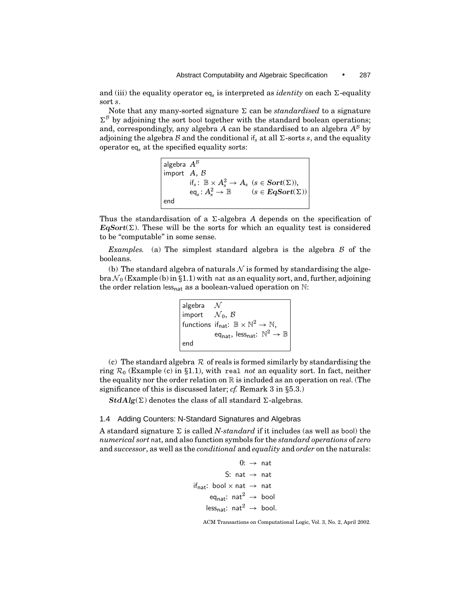and (iii) the equality operator  $eq_s$  is interpreted as *identity* on each  $\Sigma$ -equality sort *s*.

Note that any many-sorted signature  $\Sigma$  can be *standardised* to a signature  $\Sigma^{\beta}$  by adjoining the sort bool together with the standard boolean operations; and, correspondingly, any algebra *A* can be standardised to an algebra  $A^B$  by adjoining the algebra  $\beta$  and the conditional if<sub>s</sub> at all  $\Sigma$ -sorts *s*, and the equality operator eq*<sup>s</sup>* at the specified equality sorts:

```
algebra A^{\beta}import A, B
                 \text{if}_s: \mathbb{B} \times A_s^2 \to A_s \ \ (s \in \textbf{Sort}(\Sigma)),\operatorname{\sf eq}_s\colon A_s^2\to\mathbb B\qquad(s\in {\text {\it {EqSort}}}(\Sigma))end
```
Thus the standardisation of a  $\Sigma$ -algebra *A* depends on the specification of  $EqSort(\Sigma)$ . These will be the sorts for which an equality test is considered to be "computable" in some sense.

*Examples.* (a) The simplest standard algebra is the algebra  $\beta$  of the booleans.

(b) The standard algebra of naturals  $N$  is formed by standardising the algebra  $\mathcal{N}_0$  (Example (b) in §1.1) with nat as an equality sort, and, further, adjoining the order relation less<sub>nat</sub> as a boolean-valued operation on  $\mathbb{N}$ :

| algebra                                |                                                                                 |
|----------------------------------------|---------------------------------------------------------------------------------|
| import $\mathcal{N}_0$ , $\mathcal{B}$ |                                                                                 |
|                                        | functions if <sub>nat</sub> : $\mathbb{B} \times \mathbb{N}^2 \to \mathbb{N}$ . |
|                                        | eq <sub>nat</sub> , less <sub>nat</sub> : $\mathbb{N}^2 \to \mathbb{B}$         |
| end                                    |                                                                                 |

(c) The standard algebra  $R$  of reals is formed similarly by standardising the ring R<sup>0</sup> (Example (c) in *§*1.1), with real *not* an equality sort. In fact, neither the equality nor the order relation on  $\mathbb R$  is included as an operation on real. (The significance of this is discussed later; *cf.* Remark 3 in *§*5.3.)

 $StdAlg(\Sigma)$  denotes the class of all standard  $\Sigma$ -algebras.

# 1.4 Adding Counters: N-Standard Signatures and Algebras

A standard signature  $\Sigma$  is called *N-standard* if it includes (as well as bool) the *numerical sort* nat, and also function symbols for the *standard operations* of *zero* and *successor*, as well as the *conditional* and *equality* and *order* on the naturals:

```
0: \rightarrow nat
                    S: nat \rightarrow nat
if<sub>nat</sub>: bool \times nat \rightarrow nat
         eq<sub>nat</sub>: nat<sup>2</sup> \rightarrow bool
        less<sub>nat</sub>: nat<sup>2</sup> \rightarrow bool.
```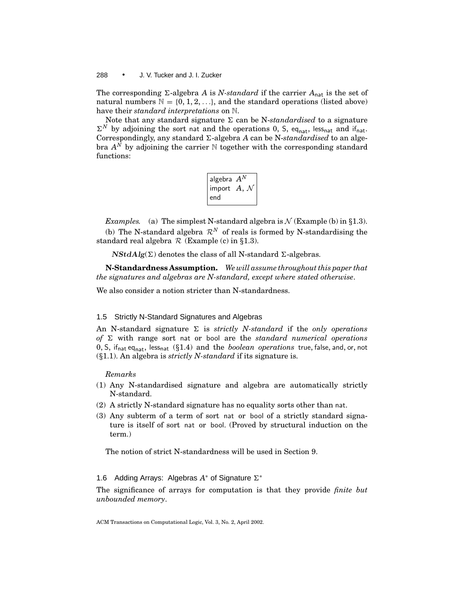The corresponding  $\Sigma$ -algebra *A* is *N-standard* if the carrier  $A_{nat}$  is the set of natural numbers  $\mathbb{N} = \{0, 1, 2, \ldots\}$ , and the standard operations (listed above) have their *standard interpretations* on N.

Note that any standard signature  $\Sigma$  can be N-*standardised* to a signature  $\Sigma^N$  by adjoining the sort nat and the operations 0, S, eq<sub>nat</sub>, less<sub>nat</sub> and if<sub>nat</sub>. Correspondingly, any standard  $\Sigma$ -algebra *A* can be N-*standardised* to an algebra  $A^{\overline{N}}$  by adjoining the carrier N together with the corresponding standard functions:

| algebra $A^N$                     |  |
|-----------------------------------|--|
| import $\ A,\ \mathcal{N}$<br>end |  |

*Examples.* (a) The simplest N-standard algebra is  $N$  (Example (b) in §1.3).

(b) The N-standard algebra  $\mathcal{R}^N$  of reals is formed by N-standardising the standard real algebra R (Example (c) in *§*1.3).

 $NStdAlg(\Sigma)$  denotes the class of all N-standard  $\Sigma$ -algebras.

**N-Standardness Assumption.** *We will assume throughout this paper that the signatures and algebras are N-standard, except where stated otherwise*.

We also consider a notion stricter than N-standardness.

# 1.5 Strictly N-Standard Signatures and Algebras

An N-standard signature  $\Sigma$  is *strictly N-standard* if the *only operations of*  $\Sigma$  with range sort nat or bool are the *standard numerical operations* 0, S, ifnat eqnat, lessnat (*§*1.4) and the *boolean operations* true, false, and, or, not (*§*1.1). An algebra is *strictly N-standard* if its signature is.

# *Remarks*

- (1) Any N-standardised signature and algebra are automatically strictly N-standard.
- (2) A strictly N-standard signature has no equality sorts other than nat.
- (3) Any subterm of a term of sort nat or bool of a strictly standard signature is itself of sort nat or bool. (Proved by structural induction on the term.)

The notion of strict N-standardness will be used in Section 9.

# 1.6 Adding Arrays: Algebras A<sup>∗</sup> of Signature Σ<sup>∗</sup>

The significance of arrays for computation is that they provide *finite but unbounded memory*.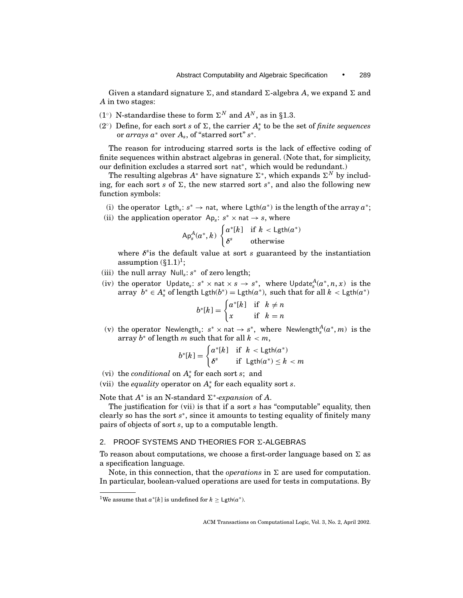Given a standard signature  $\Sigma$ , and standard  $\Sigma$ -algebra A, we expand  $\Sigma$  and *A* in two stages:

- (1<sup>°</sup>) N-standardise these to form  $\Sigma^N$  and  $A^N$ , as in §1.3.
- (2<sup>°</sup>) Define, for each sort *s* of Σ, the carrier  $A^*_{s}$  to be the set of *finite sequences* or *arrays a*<sup>∗</sup> over *As*, of "starred sort" *s*<sup>∗</sup>.

The reason for introducing starred sorts is the lack of effective coding of finite sequences within abstract algebras in general. (Note that, for simplicity, our definition excludes a starred sort nat<sup>∗</sup>, which would be redundant.)

The resulting algebras  $A^*$  have signature  $\Sigma^*$ , which expands  $\Sigma^N$  by including, for each sort *s* of  $\Sigma$ , the new starred sort *s*<sup>\*</sup>, and also the following new function symbols:

- (i) the operator Lgth<sub>s</sub>:  $s^* \rightarrow$  nat, where Lgth( $a^*$ ) is the length of the array  $a^*$ ;
- (ii) the application operator  $Ap_s: s^* \times nat \rightarrow s$ , where

$$
\mathsf{Ap}^A_s(a^*, k) \begin{cases} a^*[k] & \text{if } k < \mathsf{Lgth}(a^*) \\ \delta^s & \text{otherwise} \end{cases}
$$

where *δ<sup>s</sup>* is the default value at sort *s* guaranteed by the instantiation assumption  $(\S1.1)^1$ ;

- (iii) the null array Null*s*: *s*<sup>∗</sup> of zero length;
- (iv) the operator Update<sub>s</sub>:  $s^* \times$  nat  $\times s \rightarrow s^*$ , where Update $_s^A(a^*, n, x)$  is the array  $b^* \in A_s^*$  of length  $\text{Lgth}(b^*) = \text{Lgth}(a^*)$ , such that for all  $k < \text{Lgth}(a^*)$

$$
b^*[k] = \begin{cases} a^*[k] & \text{if } k \neq n \\ x & \text{if } k = n \end{cases}
$$

(v) the operator  $\mathsf{Newlength}_s: s^* \times \mathsf{nat} \to s^*$ , where  $\mathsf{Newlength}_s^A(a^*,m)$  is the array  $b^*$  of length *m* such that for all  $k < m$ ,

$$
b^*[k] = \begin{cases} a^*[k] & \text{if } k < \text{Lgth}(a^*) \\ \delta^s & \text{if } \text{Lgth}(a^*) \le k < m \end{cases}
$$

- (vi) the *conditional* on  $A_s^*$  for each sort *s*; and
- (vii) the *equality* operator on  $A_s^*$  for each equality sort *s*.

Note that  $A^*$  is an N-standard  $\Sigma^*$ -*expansion* of  $A$ .

The justification for (vii) is that if a sort *s* has "computable" equality, then clearly so has the sort *s*<sup>∗</sup>, since it amounts to testing equality of finitely many pairs of objects of sort *s*, up to a computable length.

## 2. PROOF SYSTEMS AND THEORIES FOR  $\Sigma$ -ALGEBRAS

To reason about computations, we choose a first-order language based on  $\Sigma$  as a specification language.

Note, in this connection, that the *operations* in  $\Sigma$  are used for computation. In particular, boolean-valued operations are used for tests in computations. By

<sup>&</sup>lt;sup>1</sup>We assume that  $a^*[k]$  is undefined for  $k \geq \text{Lgth}(a^*)$ .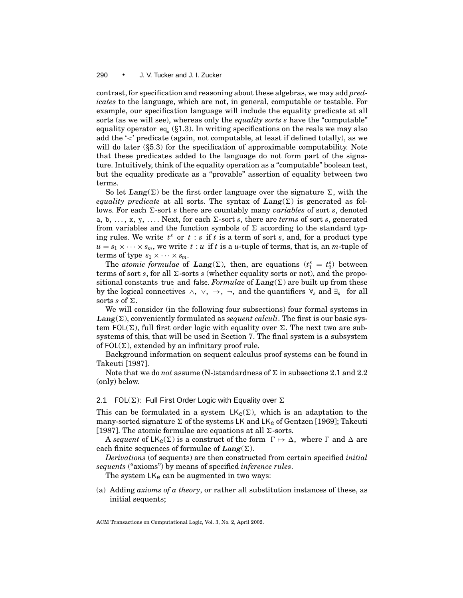contrast, for specification and reasoning about these algebras, we may add *predicates* to the language, which are not, in general, computable or testable. For example, our specification language will include the equality predicate at all sorts (as we will see), whereas only the *equality sorts s* have the "computable" equality operator eq*<sup>s</sup>* (*§*1.3). In writing specifications on the reals we may also add the '<' predicate (again, not computable, at least if defined totally), as we will do later (*§*5.3) for the specification of approximable computability. Note that these predicates added to the language do not form part of the signature. Intuitively, think of the equality operation as a "computable" boolean test, but the equality predicate as a "provable" assertion of equality between two terms.

So let *Lang*( $\Sigma$ ) be the first order language over the signature  $\Sigma$ , with the *equality predicate* at all sorts. The syntax of  $\text{Lang}(\Sigma)$  is generated as follows. For each  $\Sigma$ -sort *s* there are countably many *variables* of sort *s*, denoted a, b, ..., x, y, .... Next, for each  $\Sigma$ -sort *s*, there are *terms* of sort *s*, generated from variables and the function symbols of  $\Sigma$  according to the standard typing rules. We write *t<sup>s</sup>* or *t* : *s* if *t* is a term of sort *s*, and, for a product type  $u = s_1 \times \cdots \times s_m$ , we write  $t : u$  if  $t$  is a *u*-tuple of terms, that is, an *m*-tuple of terms of type  $s_1 \times \cdots \times s_m$ .

The *atomic formulae* of *Lang*( $\Sigma$ ), then, are equations ( $t_1^s = t_2^s$ ) between terms of sort  $s$ , for all  $\Sigma$ -sorts  $s$  (whether equality sorts or not), and the propositional constants true and false. *Formulae* of  $\text{Lang}(\Sigma)$  are built up from these by the logical connectives  $\land$ ,  $\lor$ ,  $\rightarrow$ ,  $\neg$ , and the quantifiers  $\forall_s$  and  $\exists_s$  for all sorts *s* of  $\Sigma$ .

We will consider (in the following four subsections) four formal systems in  $\text{Lang}(\Sigma)$ , conveniently formulated as *sequent calculi*. The first is our basic system FOL( $\Sigma$ ), full first order logic with equality over  $\Sigma$ . The next two are subsystems of this, that will be used in Section 7. The final system is a subsystem of  $FOL(\Sigma)$ , extended by an infinitary proof rule.

Background information on sequent calculus proof systems can be found in Takeuti [1987].

Note that we do *not* assume (N-)standardness of  $\Sigma$  in subsections 2.1 and 2.2 (only) below.

# 2.1 FOL( $\Sigma$ ): Full First Order Logic with Equality over  $\Sigma$

This can be formulated in a system  $LK_e(\Sigma)$ , which is an adaptation to the many-sorted signature  $\Sigma$  of the systems LK and LK<sub>e</sub> of Gentzen [1969]; Takeuti [1987]. The atomic formulae are equations at all  $\Sigma$ -sorts.

A *sequent* of  $LK_e(\Sigma)$  is a construct of the form  $\Gamma \mapsto \Delta$ , where  $\Gamma$  and  $\Delta$  are each finite sequences of formulae of  $Lang(\Sigma)$ .

*Derivations* (of sequents) are then constructed from certain specified *initial sequents* ("axioms") by means of specified *inference rules*.

The system  $LK<sub>e</sub>$  can be augmented in two ways:

(a) Adding *axioms of a theory*, or rather all substitution instances of these, as initial sequents;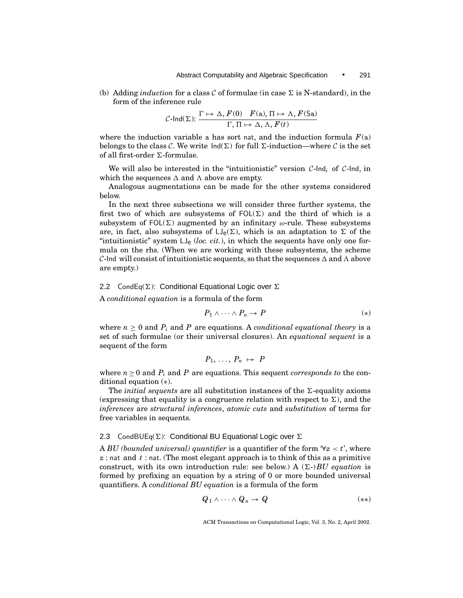(b) Adding *induction* for a class  $\mathcal C$  of formulae (in case  $\Sigma$  is N-standard), in the form of the inference rule

$$
\mathcal{C}\text{-Ind}(\Sigma): \frac{\Gamma \mapsto \Delta, F(0) \quad F(\mathsf{a}), \Pi \mapsto \Lambda, F(\mathsf{Sa})}{\Gamma, \Pi \mapsto \Delta, \Lambda, F(t)}
$$

where the induction variable a has sort nat, and the induction formula  $F(a)$ belongs to the class C. We write  $Ind(\Sigma)$  for full  $\Sigma$ -induction—where C is the set of all first-order  $\Sigma$ -formulae.

We will also be interested in the "intuitionistic" version C-lnd<sub>i</sub> of C-lnd, in which the sequences  $\Delta$  and  $\Lambda$  above are empty.

Analogous augmentations can be made for the other systems considered below.

In the next three subsections we will consider three further systems, the first two of which are subsystems of  $FOL(\Sigma)$  and the third of which is a subsystem of  $FOL(\Sigma)$  augmented by an infinitary  $\omega$ -rule. These subsystems are, in fact, also subsystems of  $LJ_e(\Sigma)$ , which is an adaptation to  $\Sigma$  of the "intuitionistic" system  $LI_e$  (*loc. cit.*), in which the sequents have only one formula on the rhs. (When we are working with these subsystems, the scheme C-Ind will consist of intuitionistic sequents, so that the sequences  $\Delta$  and  $\Lambda$  above are empty.)

# 2.2 CondEq( $\Sigma$ ): Conditional Equational Logic over  $\Sigma$

A *conditional equation* is a formula of the form

$$
P_1 \wedge \cdots \wedge P_n \to P \tag{*}
$$

where  $n \geq 0$  and  $P_i$  and P are equations. A *conditional equational theory* is a set of such formulae (or their universal closures). An *equational sequent* is a sequent of the form

$$
P_1,\ldots,P_n\ \mapsto\ P
$$

where  $n \geq 0$  and  $P_i$  and P are equations. This sequent *corresponds to* the conditional equation (∗).

The *initial sequents* are all substitution instances of the  $\Sigma$ -equality axioms (expressing that equality is a congruence relation with respect to  $\Sigma$ ), and the *inferences* are *structural inferences*, *atomic cuts* and *substitution* of terms for free variables in sequents.

# 2.3 CondBUEq( $\Sigma$ ): Conditional BU Equational Logic over  $\Sigma$

A *BU* (bounded universal) quantifier is a quantifier of the form  $\forall z < t'$ , where z : nat and *t* : nat. (The most elegant approach is to think of this as a primitive construct, with its own introduction rule: see below.) A  $(\Sigma)BU$  *equation* is formed by prefixing an equation by a string of 0 or more bounded universal quantifiers. A *conditional BU equation* is a formula of the form

$$
Q_1 \wedge \cdots \wedge Q_n \to Q \qquad (*)
$$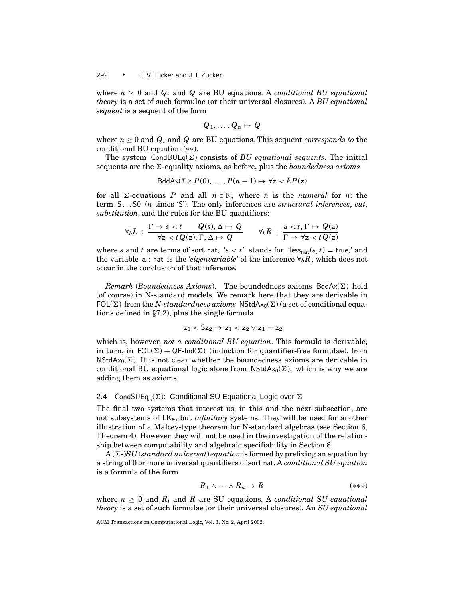where  $n \geq 0$  and  $Q_i$  and  $Q$  are BU equations. A *conditional BU equational theory* is a set of such formulae (or their universal closures). A *BU equational sequent* is a sequent of the form

$$
Q_1,\ldots,Q_n\mapsto Q
$$

where  $n \geq 0$  and  $Q_i$  and  $Q$  are BU equations. This sequent *corresponds to* the conditional BU equation (∗∗).

The system CondBUEq( $\Sigma$ ) consists of *BU equational sequents*. The initial sequents are the  $\Sigma$ -equality axioms, as before, plus the *boundedness axioms* 

BddAx(
$$
\Sigma
$$
):  $P(0), \ldots, P(n-1) \mapsto \forall z < \overline{k} P(z)$ 

for all  $\Sigma$ -equations *P* and all  $n \in \mathbb{N}$ , where  $\bar{n}$  is the *numeral* for *n*: the term S ... S0 (*n* times 'S'). The only inferences are *structural inferences*, *cut*, *substitution*, and the rules for the BU quantifiers:

$$
\forall_b L \, : \, \frac{\Gamma \mapsto s < t \qquad Q(s), \Delta \mapsto Q}{\forall z < t \, Q(z), \, \Gamma, \, \Delta \mapsto Q} \qquad \forall_b R \, : \, \frac{\mathsf{a} < t, \, \Gamma \mapsto Q(\mathsf{a})}{\Gamma \mapsto \forall z < t \, Q(z)}
$$

where *s* and *t* are terms of sort nat, '*s* < *t*' stands for 'less<sub>nat</sub> $(s, t)$  = true,' and the variable a : nat is the *'eigenvariable'* of the inference  $\forall_b R$ , which does not occur in the conclusion of that inference.

*Remark* (*Boundedness Axioms*). The boundedness axioms  $BddAx(\Sigma)$  hold (of course) in N-standard models. We remark here that they are derivable in  $FOL(\Sigma)$  from the *N-standardness axioms* NStdAx<sub>0</sub>( $\Sigma$ ) (a set of conditional equations defined in *§*7.2), plus the single formula

$$
z_1<\mathsf{S}z_2\rightarrow z_1
$$

which is, however, *not a conditional BU equation*. This formula is derivable, in turn, in  $FOL(\Sigma) + QF-Ind(\Sigma)$  (induction for quantifier-free formulae), from NStdA $x_0(\Sigma)$ . It is not clear whether the boundedness axioms are derivable in conditional BU equational logic alone from NStdA $x_0(\Sigma)$ , which is why we are adding them as axioms.

## 2.4 CondSUEq<sub>ω</sub> $(\Sigma)$ : Conditional SU Equational Logic over  $\Sigma$

The final two systems that interest us, in this and the next subsection, are not subsystems of LKe, but *infinitary* systems. They will be used for another illustration of a Malcev-type theorem for N-standard algebras (see Section 6, Theorem 4). However they will not be used in the investigation of the relationship between computability and algebraic specifiability in Section 8.

 $A(\Sigma)$ -*SU* (*standard universal*) *equation* is formed by prefixing an equation by a string of 0 or more universal quantifiers of sort nat. A *conditional SU equation* is a formula of the form

$$
R_1 \wedge \cdots \wedge R_n \to R \tag{***}
$$

where  $n \geq 0$  and  $R_i$  and R are SU equations. A *conditional SU equational theory* is a set of such formulae (or their universal closures). An *SU equational*

ACM Transactions on Computational Logic, Vol. 3, No. 2, April 2002.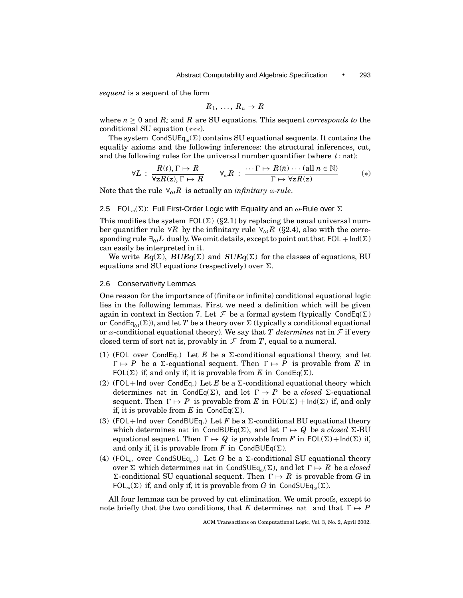*sequent* is a sequent of the form

$$
R_1,\,\ldots,\,R_n\mapsto R
$$

where  $n \geq 0$  and  $R_i$  and  $R$  are SU equations. This sequent *corresponds to* the conditional SU equation (∗∗∗).

The system CondSUEq<sub>ω</sub>( $\Sigma$ ) contains SU equational sequents. It contains the equality axioms and the following inferences: the structural inferences, cut, and the following rules for the universal number quantifier (where *t* : nat):

$$
\forall L : \frac{R(t), \Gamma \mapsto R}{\forall z R(z), \Gamma \mapsto R} \qquad \forall_{\omega} R : \frac{\cdots \Gamma \mapsto R(\bar{n}) \cdots (\text{all } n \in \mathbb{N})}{\Gamma \mapsto \forall z R(z)} \qquad (*)
$$

Note that the rule  $\forall_{\omega} R$  is actually an *infinitary*  $\omega$ -rule.

## 2.5 FOL<sub>ω</sub> $(\Sigma)$ : Full First-Order Logic with Equality and an  $\omega$ -Rule over  $\Sigma$

This modifies the system  $FOL(\Sigma)$  (§2.1) by replacing the usual universal number quantifier rule  $\forall R$  by the infinitary rule  $\forall \omega R$  (§2.4), also with the corresponding rule  $\exists_{\omega} L$  dually. We omit details, except to point out that  $FOL + Ind(\Sigma)$ can easily be interpreted in it.

We write  $Eq(\Sigma)$ ,  $BUEq(\Sigma)$  and  $SUEq(\Sigma)$  for the classes of equations, BU equations and SU equations (respectively) over  $\Sigma$ .

## 2.6 Conservativity Lemmas

One reason for the importance of (finite or infinite) conditional equational logic lies in the following lemmas. First we need a definition which will be given again in context in Section 7. Let  $\mathcal F$  be a formal system (typically CondEq( $\Sigma$ ) or CondEq<sub> $\omega$ </sub>( $\Sigma$ )), and let *T* be a theory over  $\Sigma$  (typically a conditional equational or  $\omega$ -conditional equational theory). We say that *T determines* nat in  $\mathcal F$  if every closed term of sort nat is, provably in  $\mathcal F$  from  $T$ , equal to a numeral.

- (1) (FOL over CondEq.) Let E be a  $\Sigma$ -conditional equational theory, and let  $\Gamma \mapsto P$  be a  $\Sigma$ -equational sequent. Then  $\Gamma \mapsto P$  is provable from *E* in FOL( $\Sigma$ ) if, and only if, it is provable from *E* in CondEq( $\Sigma$ ).
- (2) (FOL + Ind over CondEq.) Let *E* be a  $\Sigma$ -conditional equational theory which determines nat in CondEq( $\Sigma$ ), and let  $\Gamma \mapsto P$  be a *closed*  $\Sigma$ -equational sequent. Then  $\Gamma \mapsto P$  is provable from *E* in  $FOL(\Sigma) + Ind(\Sigma)$  if, and only if, it is provable from *E* in CondEq( $\Sigma$ ).
- (3) (FOL+Ind over CondBUEq.) Let *F* be a  $\Sigma$ -conditional BU equational theory which determines nat in CondBUEq( $\Sigma$ ), and let  $\Gamma \mapsto Q$  be a *closed*  $\Sigma$ -BU equational sequent. Then  $\Gamma \mapsto Q$  is provable from *F* in FOL( $\Sigma$ ) + Ind( $\Sigma$ ) if, and only if, it is provable from *F* in CondBUEq( $\Sigma$ ).
- (4) (FOL<sub>ω</sub> over CondSUEq<sub>ω</sub>.) Let *G* be a  $\Sigma$ -conditional SU equational theory over  $\Sigma$  which determines nat in CondSUEq<sub>ω</sub>( $\Sigma$ ), and let  $\Gamma \mapsto R$  be a *closed*  $\Sigma$ -conditional SU equational sequent. Then  $\Gamma \mapsto R$  is provable from *G* in FOL<sub>ω</sub>( $\Sigma$ ) if, and only if, it is provable from *G* in CondSUEq<sub>ω</sub>( $\Sigma$ ).

All four lemmas can be proved by cut elimination. We omit proofs, except to note briefly that the two conditions, that *E* determines nat and that  $\Gamma \mapsto P$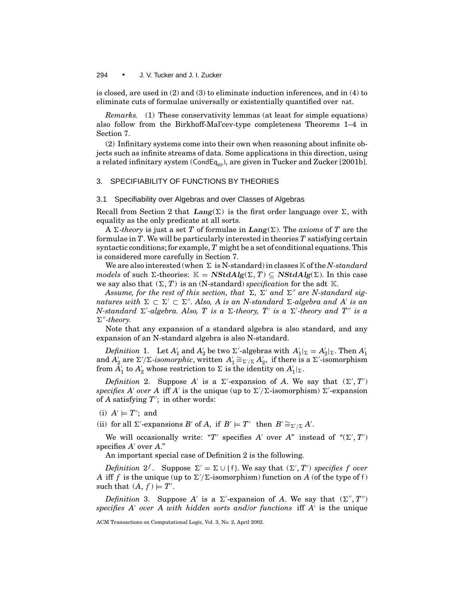is closed, are used in (2) and (3) to eliminate induction inferences, and in (4) to eliminate cuts of formulae universally or existentially quantified over nat.

*Remarks.* (1) These conservativity lemmas (at least for simple equations) also follow from the Birkhoff-Mal'cev-type completeness Theorems 1–4 in Section 7.

(2) Infinitary systems come into their own when reasoning about infinite objects such as infinite streams of data. Some applications in this direction, using a related infinitary system (CondEq<sub>ω</sub>), are given in Tucker and Zucker [2001b].

### 3. SPECIFIABILITY OF FUNCTIONS BY THEORIES

## 3.1 Specifiability over Algebras and over Classes of Algebras

Recall from Section 2 that  $Lang(\Sigma)$  is the first order language over  $\Sigma$ , with equality as the only predicate at all sorts.

A  $\Sigma$ -*theory* is just a set *T* of formulae in *Lang*( $\Sigma$ ). The *axioms* of *T* are the formulae in *T*. We will be particularly interested in theories *T* satisfying certain syntactic conditions; for example, *T* might be a set of conditional equations. This is considered more carefully in Section 7.

We are also interested (when  $\Sigma$  is N-standard) in classes K of the *N-standard models* of such  $\Sigma$ -theories:  $\mathbb{K} = \mathbf{NStdAlg}(\Sigma, T) \subseteq \mathbf{NStdAlg}(\Sigma)$ . In this case we say also that  $(\Sigma, T)$  is an (N-standard) *specification* for the adt K.

Assume, for the rest of this section, that  $\Sigma$ ,  $\Sigma'$  and  $\Sigma''$  are N-standard sig*natures with*  $\Sigma \subset \Sigma' \subset \Sigma''$ . Also, A is an N-standard  $\Sigma$ -algebra and A' is an *N*-standard  $\Sigma$ '-algebra. Also, T is a  $\Sigma$ -theory, T' is a  $\Sigma$ '-theory and T" is a  $\Sigma$ "-theory.

Note that any expansion of a standard algebra is also standard, and any expansion of an N-standard algebra is also N-standard.

*Definition* 1. Let  $A'_1$  and  $A'_2$  be two  $\Sigma'$ -algebras with  $A'_1|_{\Sigma} = A'_2|_{\Sigma}$ . Then  $A'_1$ and  $A'_2$  are  $\Sigma'/\Sigma$ -isomorphic, written  $A'_1 \cong_{\Sigma'/\Sigma} A'_2$ , if there is a  $\Sigma'$ -isomorphism  $\tilde{A}_1'$  to  $A_2'$  whose restriction to  $\Sigma$  is the identity on  $A_1'|_{\Sigma}$ .

*Definition* 2. Suppose A' is a  $\Sigma'$ -expansion of A. We say that  $(\Sigma', T')$ specifies A' over A iff A' is the unique (up to  $\Sigma'/\Sigma$ -isomorphism)  $\Sigma'$ -expansion of *A* satisfying  $T'$ ; in other words:

(i)  $A' \models T'$ ; and

(ii) for all  $\Sigma'$ -expansions *B'* of *A*, if  $B' \models T'$  then  $B' \cong_{\Sigma'/\Sigma} A'$ .

We will occasionally write: "T' specifies  $A'$  over  $A''$  instead of " $(\Sigma', T')$ specifies  $A'$  over  $A''$ ."

An important special case of Definition 2 is the following.

*Definition*  $2^f$ . Suppose  $\Sigma' = \Sigma \cup \{f\}$ . We say that  $(\Sigma', T')$  *specifies f over A* if *f* is the unique (up to  $\Sigma'/\Sigma$ -isomorphism) function on *A* (of the type of f) such that  $(A, f) \models T'$ .

*Definition* 3. Suppose A' is a  $\Sigma'$ -expansion of A. We say that  $(\Sigma'', T'')$ specifies  $A'$  *over*  $A$  *with hidden sorts and/or functions* if  $A'$  is the unique

ACM Transactions on Computational Logic, Vol. 3, No. 2, April 2002.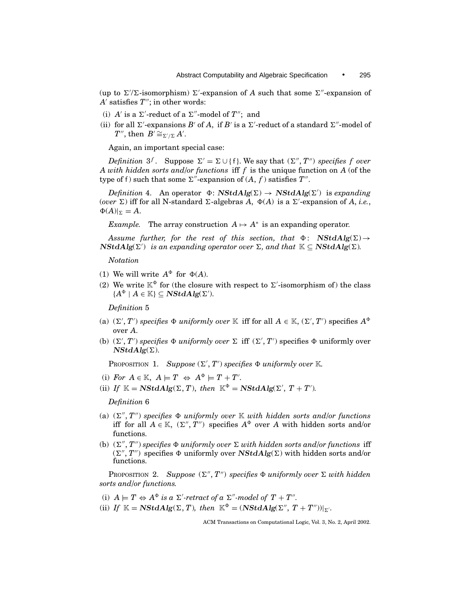(up to  $\Sigma'$ ) isomorphism)  $\Sigma'$ -expansion of A such that some  $\Sigma''$ -expansion of  $A'$  satisfies  $T''$ ; in other words:

- (i)  $A'$  is a  $\Sigma'$ -reduct of a  $\Sigma''$ -model of  $T''$ ; and
- (ii) for all  $\Sigma'$ -expansions *B'* of *A*, if *B'* is a  $\Sigma'$ -reduct of a standard  $\Sigma''$ -model of *T*<sup>*n*</sup>, then *B*<sup>*i*</sup> $\cong$ <sub>*E'*/*E*</sub>*A'*.

Again, an important special case:

*Definition*  $3^f$ . Suppose  $\Sigma' = \Sigma \cup \{f\}$ . We say that  $(\Sigma'', T'')$  specifies f over *A with hidden sorts and/or functions* iff *f* is the unique function on *A* (of the type of f) such that some  $\Sigma''$ -expansion of  $(A, f)$  satisfies  $T''$ .

 $Definition 4.$  An operator  $\Phi$ :  $NStdAlg(\Sigma) \rightarrow NStdAlg(\Sigma')$  is *expanding* (*over*  $\Sigma$ ) iff for all N-standard  $\Sigma$ -algebras *A*,  $\Phi(A)$  is a  $\Sigma'$ -expansion of *A*, *i.e.*,  $\Phi(A)|_{\Sigma} = A.$ 

*Example.* The array construction  $A \mapsto A^*$  is an expanding operator.

*Assume further, for the rest of this section, that*  $\Phi$ : *NStdAlg*( $\Sigma$ )  $\rightarrow$  $NStdAlg(\Sigma')$  *is an expanding operator over*  $\Sigma$ *, and that*  $K \subseteq NStdAlg(\Sigma)$ *.* 

*Notation*

- (1) We will write  $A^{\Phi}$  for  $\Phi(A)$ .
- (2) We write  $\mathbb{K}^{\Phi}$  for (the closure with respect to  $\Sigma'$ -isomorphism of) the class  ${A^{\Phi} \mid A \in \mathbb{K}} \subseteq \mathbf{NStdAlg}(\Sigma').$

*Definition* 5

- (a)  $(\Sigma', T')$  specifies  $\Phi$  *uniformly over* K iff for all  $A \in K$ ,  $(\Sigma', T')$  specifies  $A^{\Phi}$ over *A*.
- (b)  $(\Sigma', T')$  specifies  $\Phi$  *uniformly over*  $\Sigma$  iff  $(\Sigma', T')$  specifies  $\Phi$  uniformly over  $NStdAlg(\Sigma)$ .

PROPOSITION 1. Suppose  $(\Sigma', T')$  specifies  $\Phi$  uniformly over  $\mathbb{K}$ .

- (i) For  $A \in \mathbb{K}$ ,  $A \models T \Leftrightarrow A^{\Phi} \models T + T'$ .
- (ii) If  $\mathbb{K} = \mathbf{NStdAlg}(\Sigma, T)$ , then  $\mathbb{K}^{\Phi} = \mathbf{NStdAlg}(\Sigma', T + T')$ .

*Definition* 6

- (a)  $(\Sigma'', T'')$  specifies  $\Phi$  *uniformly over* K *with hidden sorts and/or functions* iff for all  $A \in \mathbb{K}$ ,  $(\Sigma'', T'')$  specifies  $A^{\Phi}$  over A with hidden sorts and/or functions.
- (b)  $(\Sigma'', T'')$  *specifies*  $\Phi$  *uniformly over*  $\Sigma$  *with hidden sorts and/or functions* iff  $(\Sigma'', T'')$  specifies  $\Phi$  uniformly over *NStdAlg*( $\Sigma$ ) with hidden sorts and/or functions.

PROPOSITION 2. *Suppose*  $(\Sigma'', T'')$  *specifies*  $\Phi$  *uniformly over*  $\Sigma$  *with hidden sorts and/or functions.*

- (i)  $A \models T \Leftrightarrow A^{\Phi}$  *is a*  $\Sigma'$ -retract of a  $\Sigma''$ -model of  $T + T''$ .
- (ii) *If*  $\mathbb{K} = \mathbf{NStdAlg}(\Sigma, T)$ *, then*  $\mathbb{K}^{\Phi} = (\mathbf{NStdAlg}(\Sigma'', T + T''))|_{\Sigma'}.$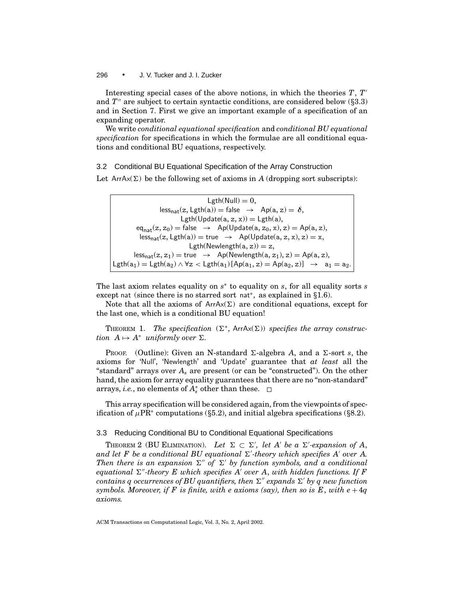Interesting special cases of the above notions, in which the theories  $T, T'$ and *T<sup>n</sup>* are subject to certain syntactic conditions, are considered below (§3.3) and in Section 7. First we give an important example of a specification of an expanding operator.

We write *conditional equational specification* and *conditional BU equational specification* for specifications in which the formulae are all conditional equations and conditional BU equations, respectively.

3.2 Conditional BU Equational Specification of the Array Construction

Let  $ArrAx(\Sigma)$  be the following set of axioms in *A* (dropping sort subscripts):

 $Lgth(Null) = 0$ ,  $\text{less}_{\text{nat}}(z, \text{Lgth}(a)) = \text{false} \rightarrow \text{Ap}(a, z) = \delta,$ Lgth(Update( $a, z, x$ )) = Lgth( $a$ ),  $eq_{nat}(z, z_0) = false \rightarrow Ap(Update(a, z_0, x), z) = Ap(a, z),$  $less_{nat}(z, Lgth(a)) = true \rightarrow Ap(Update(a, z, x), z) = x,$ Lgth(Newlength(a, z)) = z,  $less_{nat}(z, z_1) = true \rightarrow Ap(Newlength(a, z_1), z) = Ap(a, z),$ Lgth( $a_1$ ) = Lgth( $a_2$ )  $\land$   $\forall z <$  Lgth( $a_1$ )[Ap( $a_1$ , z) = Ap( $a_2$ , z)]  $\rightarrow a_1 = a_2$ .

The last axiom relates equality on *s*<sup>∗</sup> to equality on *s*, for all equality sorts *s* except nat (since there is no starred sort nat<sup>∗</sup>, as explained in *§*1.6).

Note that all the axioms of  $ArrAx(\Sigma)$  are conditional equations, except for the last one, which is a conditional BU equation!

THEOREM 1. *The specification*  $(\Sigma^*, \text{ArrAx}(\Sigma))$  *specifies the array construction*  $A \mapsto A^*$  *uniformly over*  $\Sigma$ *.* 

PROOF. (Outline): Given an N-standard  $\Sigma$ -algebra A, and a  $\Sigma$ -sort *s*, the axioms for 'Null', 'Newlength' and 'Update' guarantee that *at least* all the "standard" arrays over *As* are present (or can be "constructed"). On the other hand, the axiom for array equality guarantees that there are no "non-standard" arrays, *i.e.*, no elements of *A*<sup>∗</sup> *<sup>s</sup>* other than these.

This array specification will be considered again, from the viewpoints of specification of  $\mu$ PR<sup>∗</sup> computations (§5.2), and initial algebra specifications (§8.2).

## 3.3 Reducing Conditional BU to Conditional Equational Specifications

THEOREM 2 (BU ELIMINATION). Let  $\Sigma \subset \Sigma'$ , let A' be a  $\Sigma'$ -expansion of A, and let  $F$  be a conditional BU equational  $\Sigma'$ -theory which specifies A' over A. *Then there is an expansion*  $\Sigma''$  of  $\Sigma'$  by function symbols, and a conditional *equational*  $\Sigma''$ -theory E which specifies A' over A, with hidden functions. If F *contains q occurrences of BU quantifiers, then*  $\Sigma''$  *expands*  $\Sigma'$  *by q new function symbols. Moreover, if* F is finite, with e axioms (say), then so is E, with  $e + 4q$ *axioms.*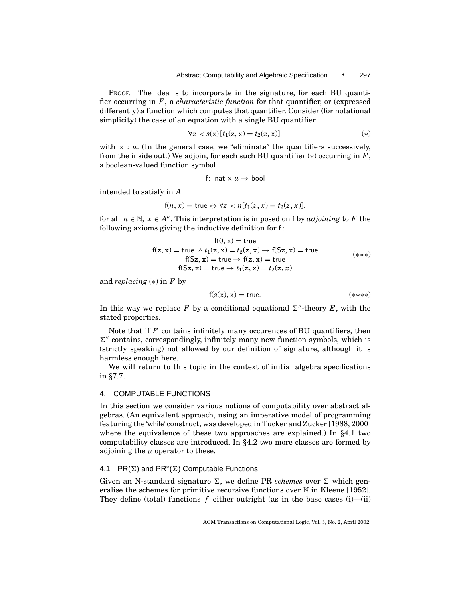PROOF. The idea is to incorporate in the signature, for each BU quantifier occurring in *F*, a *characteristic function* for that quantifier, or (expressed differently) a function which computes that quantifier. Consider (for notational simplicity) the case of an equation with a single BU quantifier

$$
\forall z < s(x) \left[ t_1(z, x) = t_2(z, x) \right]. \tag{*}
$$

with  $x : u$ . (In the general case, we "eliminate" the quantifiers successively, from the inside out.) We adjoin, for each such BU quantifier  $(*)$  occurring in  $F$ , a boolean-valued function symbol

f: nat 
$$
\times
$$
 u  $\rightarrow$  bool

intended to satisfy in *A*

$$
f(n, x) = \text{true} \Leftrightarrow \forall z < n[t_1(z, x) = t_2(z, x)].
$$

for all  $n \in \mathbb{N}$ ,  $x \in A^u$ . This interpretation is imposed on f by *adjoining* to F the following axioms giving the inductive definition for f:

$$
f(0, x) = true
$$
  
\n
$$
f(z, x) = true \land t_1(z, x) = t_2(z, x) \rightarrow f(Sz, x) = true
$$
  
\n
$$
f(Sz, x) = true \rightarrow f(z, x) = true
$$
  
\n
$$
f(Sz, x) = true \rightarrow t_1(z, x) = t_2(z, x)
$$
  
\n
$$
(***)
$$

and *replacing* (∗) in *F* by

$$
f(s(x), x) = true.
$$
\n
$$
(*****)
$$

In this way we replace F by a conditional equational  $\Sigma''$ -theory E, with the stated properties.  $\Box$ 

Note that if *F* contains infinitely many occurences of BU quantifiers, then  $\Sigma''$  contains, correspondingly, infinitely many new function symbols, which is (strictly speaking) not allowed by our definition of signature, although it is harmless enough here.

We will return to this topic in the context of initial algebra specifications in *§*7.7.

# 4. COMPUTABLE FUNCTIONS

In this section we consider various notions of computability over abstract algebras. (An equivalent approach, using an imperative model of programming featuring the 'while' construct, was developed in Tucker and Zucker [1988, 2000] where the equivalence of these two approaches are explained.) In *§*4.1 two computability classes are introduced. In *§*4.2 two more classes are formed by adjoining the  $\mu$  operator to these.

# 4.1 PR( $\Sigma$ ) and PR<sup>∗</sup>( $\Sigma$ ) Computable Functions

Given an N-standard signature  $\Sigma$ , we define PR *schemes* over  $\Sigma$  which generalise the schemes for primitive recursive functions over  $N$  in Kleene [1952]. They define (total) functions  $f$  either outright (as in the base cases (i)—(ii)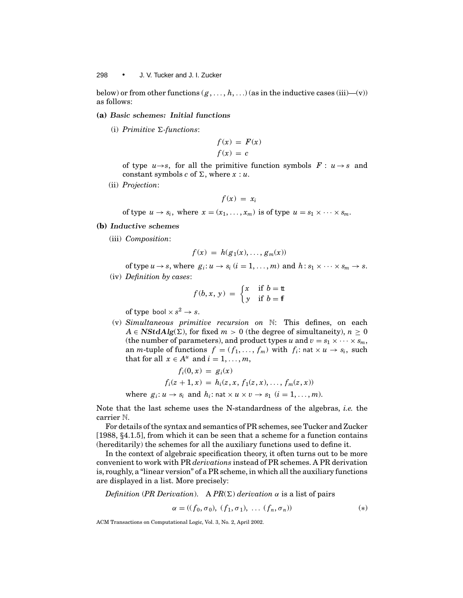below) or from other functions  $(g, \ldots, h, \ldots)$  (as in the inductive cases (iii)—(v)) as follows:

#### **(a)** *Basic schemes: Initial functions*

(i) *Primitive*  $\Sigma$ -functions:

$$
f(x) = F(x)
$$

$$
f(x) = c
$$

of type  $u \rightarrow s$ , for all the primitive function symbols  $F: u \rightarrow s$  and constant symbols *c* of  $\Sigma$ , where  $x : u$ .

(ii) *Projection*:

$$
f(x) = x_i
$$

of type  $u \to s_i$ , where  $x = (x_1, \ldots, x_m)$  is of type  $u = s_1 \times \cdots \times s_m$ .

- **(b)** *Inductive schemes*
	- (iii) *Composition*:

$$
f(x) = h(g_1(x), \ldots, g_m(x))
$$

of type  $u \to s$ , where  $g_i: u \to s_i$   $(i = 1, ..., m)$  and  $h: s_1 \times \cdots \times s_m \to s$ . (iv) *Definition by cases*:

$$
f(b, x, y) = \begin{cases} x & \text{if } b = \text{t} \\ y & \text{if } b = \text{f} \end{cases}
$$

of type bool  $\times$   $s^2 \rightarrow s$ .

(v) *Simultaneous primitive recursion on* N: This defines, on each  $A \in \mathbf{NStdAlg}(\Sigma)$ , for fixed  $m > 0$  (the degree of simultaneity),  $n \geq 0$ (the number of parameters), and product types *u* and  $v = s_1 \times \cdots \times s_m$ , an *m*-tuple of functions  $f = (f_1, \ldots, f_m)$  with  $f_i$ : nat  $\times u \rightarrow s_i$ , such that for all  $x \in A^u$  and  $i = 1, \ldots, m$ ,

$$
f_i(0, x) = g_i(x)
$$
  
\n
$$
f_i(z + 1, x) = h_i(z, x, f_1(z, x), \dots, f_m(z, x))
$$
  
\nwhere  $g_i: u \rightarrow s_i$  and  $h_i$ :  $\text{nat} \times u \times v \rightarrow s_1$   $(i = 1, \dots, m)$ .

Note that the last scheme uses the N-standardness of the algebras, *i.e.* the carrier N.

For details of the syntax and semantics of PR schemes, see Tucker and Zucker [1988, *§*4.1.5], from which it can be seen that a scheme for a function contains (hereditarily) the schemes for all the auxiliary functions used to define it.

In the context of algebraic specification theory, it often turns out to be more convenient to work with PR *derivations* instead of PR schemes. A PR derivation is, roughly, a "linear version" of a PR scheme, in which all the auxiliary functions are displayed in a list. More precisely:

*Definition* (*PR Derivation*). A  $PR(\Sigma)$  *derivation*  $\alpha$  is a list of pairs

$$
\alpha = ((f_0, \sigma_0), (f_1, \sigma_1), \dots (f_n, \sigma_n))
$$
\n(\*)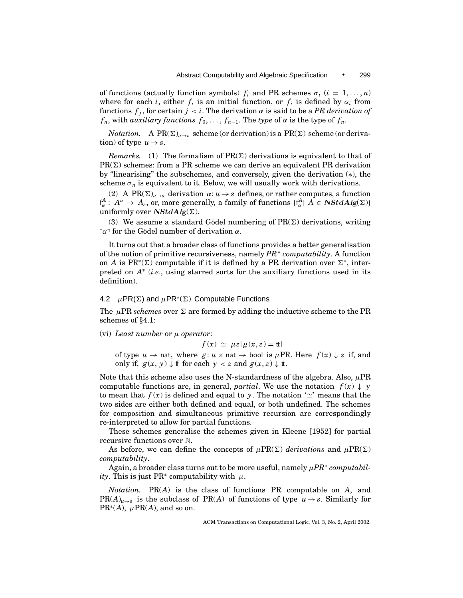of functions (actually function symbols)  $f_i$  and PR schemes  $\sigma_i$  ( $i = 1, \ldots, n$ ) where for each *i*, either  $f_i$  is an initial function, or  $f_i$  is defined by  $\alpha_i$  from functions  $f_j$ , for certain  $j < i$ . The derivation  $\alpha$  is said to be a *PR derivation of*  $f_n$ , with *auxiliary functions*  $f_0, \ldots, f_{n-1}$ . The *type* of  $\alpha$  is the type of  $f_n$ .

*Notation.* A PR( $\Sigma$ )<sub>*u*→*s*</sub> scheme (or derivation) is a PR( $\Sigma$ ) scheme (or derivation) of type  $u \rightarrow s$ .

*Remarks.* (1) The formalism of  $PR(\Sigma)$  derivations is equivalent to that of  $PR(\Sigma)$  schemes: from a PR scheme we can derive an equivalent PR derivation by "linearising" the subschemes, and conversely, given the derivation (∗), the scheme  $\sigma_n$  is equivalent to it. Below, we will usually work with derivations.

(2) A PR( $\Sigma$ )<sub>*u*→*s*</sub> derivation  $\alpha$ : *u* → *s* defines, or rather computes, a function  $f^A_\alpha: A^u \to A_s$ , or, more generally, a family of functions  $\{f^A_\alpha \mid A \in \bm{NStdAlg}(\Sigma)\}$ uniformly over  $NStdAlg(\Sigma)$ .

(3) We assume a standard Gödel numbering of  $PR(\Sigma)$  derivations, writing  $\lceil \alpha \rceil$  for the Gödel number of derivation  $\alpha$ .

It turns out that a broader class of functions provides a better generalisation of the notion of primitive recursiveness, namely *PR*<sup>∗</sup> *computability*. A function on *A* is PR<sup>\*</sup>( $\Sigma$ ) computable if it is defined by a PR derivation over  $\Sigma^*$ , interpreted on *A*<sup>∗</sup> (*i.e.*, using starred sorts for the auxiliary functions used in its definition).

# 4.2  $\mu$ PR( $\Sigma$ ) and  $\mu$ PR<sup>∗</sup>( $\Sigma$ ) Computable Functions

The  $\mu$ PR *schemes* over  $\Sigma$  are formed by adding the inductive scheme to the PR schemes of *§*4.1:

(vi) *Least number* or µ *operator*:

$$
f(x) \simeq \mu z[g(x, z) = \mathbf{t}]
$$

of type  $u \to$  nat, where  $g: u \times$  nat  $\to$  bool is  $\mu$ PR. Here  $f(x) \downarrow z$  if, and only if,  $g(x, y)$  ↓ ff for each  $y < z$  and  $g(x, z)$  ↓ tt.

Note that this scheme also uses the N-standardness of the algebra. Also,  $\mu$ PR computable functions are, in general, *partial*. We use the notation  $f(x) \downarrow y$ to mean that  $f(x)$  is defined and equal to *y*. The notation ' $\simeq$ ' means that the two sides are either both defined and equal, or both undefined. The schemes for composition and simultaneous primitive recursion are correspondingly re-interpreted to allow for partial functions.

These schemes generalise the schemes given in Kleene [1952] for partial recursive functions over N.

As before, we can define the concepts of  $\mu PR(\Sigma)$  *derivations* and  $\mu PR(\Sigma)$ *computability*.

Again, a broader class turns out to be more useful, namely  $\mu PR^*$  *computabil ity*. This is just PR<sup>∗</sup> computability with  $\mu$ .

*Notation.* PR(*A*) is the class of functions PR computable on *A*, and  $PR(A)_{u\rightarrow s}$  is the subclass of  $PR(A)$  of functions of type  $u\rightarrow s$ . Similarly for  $PR^*(A)$ ,  $\mu PR(A)$ , and so on.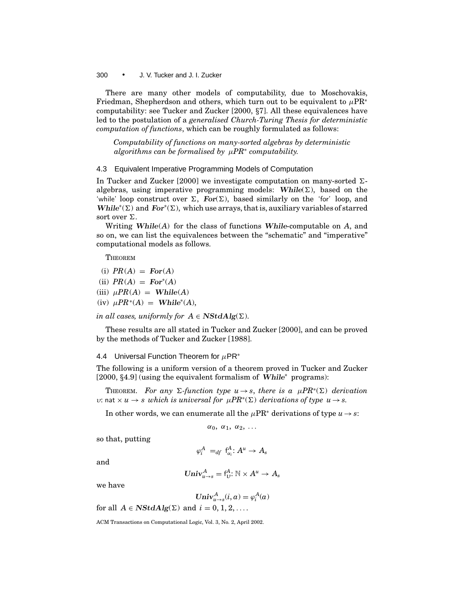There are many other models of computability, due to Moschovakis, Friedman, Shepherdson and others, which turn out to be equivalent to  $\mu PR^*$ computability: see Tucker and Zucker [2000, *§*7]. All these equivalences have led to the postulation of a *generalised Church-Turing Thesis for deterministic computation of functions*, which can be roughly formulated as follows:

*Computability of functions on many-sorted algebras by deterministic algorithms can be formalised by* µ*PR*<sup>∗</sup> *computability.*

## 4.3 Equivalent Imperative Programming Models of Computation

In Tucker and Zucker [2000] we investigate computation on many-sorted  $\Sigma$ algebras, using imperative programming models: While $(\Sigma)$ , based on the 'while' loop construct over  $\Sigma$ , *For*( $\Sigma$ ), based similarly on the 'for' loop, and *While*<sup>\*</sup>( $\Sigma$ ) and *For*<sup>\*</sup>( $\Sigma$ ), which use arrays, that is, auxiliary variables of starred sort over  $\Sigma$ .

Writing *While*(*A*) for the class of functions *While*-computable on *A*, and so on, we can list the equivalences between the "schematic" and "imperative" computational models as follows.

**THEOREM** 

- $(i) PR(A) = For(A)$
- $(iii)$   $PR(A) = For<sup>*</sup>(A)$
- $(iii)$   $\mu PR(A) =$  **While**(*A*)
- $(iv)$   $\mu PR^*(A) =$  **While**<sup>\*</sup>(A),

*in all cases, uniformly for*  $A \in \mathbf{NStdAlg}(\Sigma)$ .

These results are all stated in Tucker and Zucker [2000], and can be proved by the methods of Tucker and Zucker [1988].

4.4 Universal Function Theorem for  $\mu$ PR<sup>\*</sup>

The following is a uniform version of a theorem proved in Tucker and Zucker [2000, *§*4.9] (using the equivalent formalism of *While*<sup>∗</sup> programs):

THEOREM. For any  $\Sigma$ -function type  $u \to s$ , there is a  $\mu PR^*(\Sigma)$  derivation *v*: nat × *u* → *s which is universal for*  $μPR<sup>*</sup>(Σ)$  *derivations of type u* → *s*.

In other words, we can enumerate all the  $\mu PR^*$  derivations of type  $u \rightarrow s$ :

 $\alpha_0, \alpha_1, \alpha_2, \ldots$ 

so that, putting

$$
\varphi^A_i \ =_{df} f^A_{\alpha_i}: A^u \to A_s
$$

and

$$
\mathbf{Univ}_{u \to s}^A = f^A_U: \mathbb{N} \times A^u \to A_s
$$

we have

$$
\mathbf{Univ}_{u \to s}^A(i, a) = \varphi_i^A(a)
$$

for all  $A \in \mathbf{NStdAlg}(\Sigma)$  and  $i = 0, 1, 2, \ldots$ .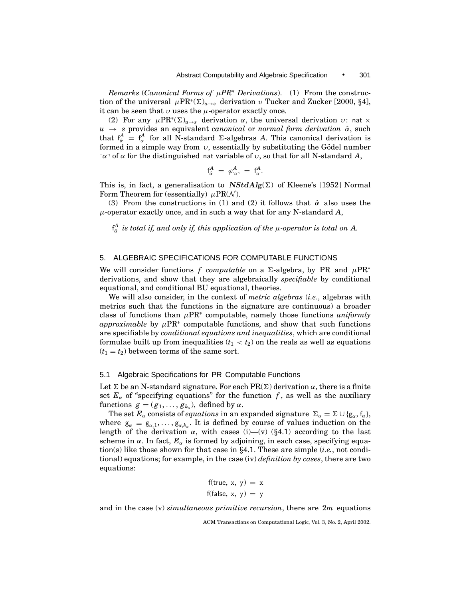*Remarks* (*Canonical Forms of* µ*PR*<sup>∗</sup> *Derivations*). (1) From the construction of the universal  $\mu PR^*(\Sigma)_{u\to s}$  derivation  $v$  Tucker and Zucker [2000, §4], it can be seen that  $\nu$  uses the  $\mu$ -operator exactly once.

(2) For any  $\mu PR^*(\Sigma)_{u\to s}$  derivation  $\alpha$ , the universal derivation  $v: \text{nat} \times$  $u \rightarrow s$  provides an equivalent *canonical* or *normal form derivation*  $\hat{\alpha}$ , such that  $f_{\hat{\alpha}}^A = f_{\alpha}^A$  for all N-standard  $\Sigma$ -algebras *A*. This canonical derivation is formed in a simple way from  $v$ , essentially by substituting the Gödel number  $\sigma$ <sup>1</sup> of α for the distinguished nat variable of v, so that for all N-standard *A*,

$$
\mathsf{f}^A_{\hat{\alpha}}\;=\;\varphi^A_{\ulcorner\alpha\urcorner}\;=\;\mathsf{f}^A_\alpha.
$$

This is, in fact, a generalisation to  $NStdAlg(\Sigma)$  of Kleene's [1952] Normal Form Theorem for (essentially)  $\mu$ PR( $\mathcal{N}$ ).

(3) From the constructions in (1) and (2) it follows that  $\hat{\alpha}$  also uses the µ-operator exactly once, and in such a way that for any N-standard *A*,

 $f^A_{\hat{\alpha}}$  *is total if, and only if, this application of the*  $\mu$ *-operator is total on A.* 

# 5. ALGEBRAIC SPECIFICATIONS FOR COMPUTABLE FUNCTIONS

We will consider functions *f computable* on a  $\Sigma$ -algebra, by PR and  $\mu$ PR<sup>∗</sup> derivations, and show that they are algebraically *specifiable* by conditional equational, and conditional BU equational, theories.

We will also consider, in the context of *metric algebras* (*i.e.*, algebras with metrics such that the functions in the signature are continuous) a broader class of functions than  $\mu$ PR<sup>∗</sup> computable, namely those functions *uniformly approximable* by  $\mu$ PR<sup>∗</sup> computable functions, and show that such functions are specifiable by *conditional equations and inequalities*, which are conditional formulae built up from inequalities  $(t_1 < t_2)$  on the reals as well as equations  $(t_1 = t_2)$  between terms of the same sort.

## 5.1 Algebraic Specifications for PR Computable Functions

Let  $\Sigma$  be an N-standard signature. For each PR( $\Sigma$ ) derivation  $\alpha$ , there is a finite set  $E_\alpha$  of "specifying equations" for the function f, as well as the auxiliary functions  $g = (g_1, \ldots, g_{k_\alpha})$ , defined by  $\alpha$ .

The set  $E_\alpha$  consists of *equations* in an expanded signature  $\Sigma_\alpha = \Sigma \cup \{g_\alpha, f_\alpha\}$ , where  $g_{\alpha} \equiv g_{\alpha,1}, \ldots, g_{\alpha,k_{\alpha}}$ . It is defined by course of values induction on the length of the derivation  $\alpha$ , with cases (i)—(v) (§4.1) according to the last scheme in  $\alpha$ . In fact,  $E_{\alpha}$  is formed by adjoining, in each case, specifying equation(s) like those shown for that case in *§*4.1. These are simple (*i.e.*, not conditional) equations; for example, in the case (iv) *definition by cases*, there are two equations:

$$
f(true, x, y) = x
$$

$$
f(false, x, y) = y
$$

and in the case (v) *simultaneous primitive recursion*, there are 2*m* equations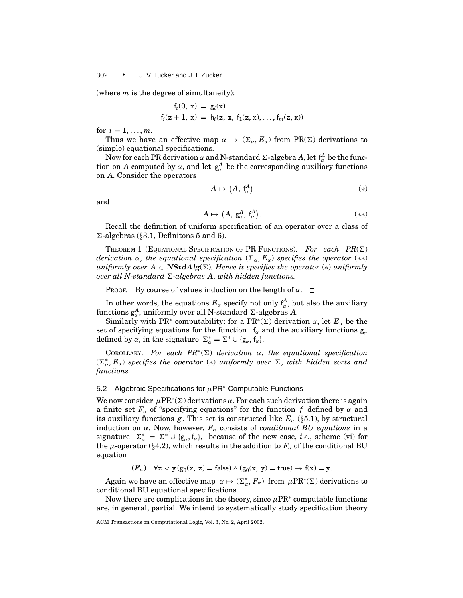(where *m* is the degree of simultaneity):

$$
f_i(0, x) = g_i(x)
$$
  
\n $f_i(z + 1, x) = h_i(z, x, f_1(z, x), ..., f_m(z, x))$ 

for  $i = 1, ..., m$ .

Thus we have an effective map  $\alpha \mapsto (\Sigma_{\alpha}, E_{\alpha})$  from PR( $\Sigma$ ) derivations to (simple) equational specifications.

Now for each PR derivation α and N-standard Σ-algebra A, let  $f^A_\alpha$  be the function on *A* computed by  $\alpha$ , and let  $g_{\alpha}^A$  be the corresponding auxiliary functions on *A*. Consider the operators

$$
A \mapsto (A, f_{\alpha}^{A}) \tag{*}
$$

and

$$
A \mapsto (A, g_{\alpha}^A, f_{\alpha}^A). \tag{**}
$$

Recall the definition of uniform specification of an operator over a class of  $\Sigma$ -algebras ( $\S3.1$ , Definitons 5 and 6).

THEOREM 1 (EQUATIONAL SPECIFICATION OF PR FUNCTIONS). For each  $PR(\Sigma)$ *derivation*  $\alpha$ , *the equational specification*  $(\Sigma_{\alpha}, E_{\alpha})$  *specifies the operator* (\*\*) *uniformly over*  $A \in \mathbf{NStdAlg}(\Sigma)$ . Hence it specifies the operator  $(*)$  *uniformly over all N-standard*  $\Sigma$ -*algebras A, with hidden functions.* 

PROOF. By course of values induction on the length of  $\alpha$ .  $\square$ 

In other words, the equations  $E_\alpha$  specify not only  $\mathfrak{f}^A_\alpha$ , but also the auxiliary functions  $g_{\alpha}^A$ , uniformly over all N-standard  $\Sigma$ -algebras *A*.

Similarly with PR<sup>∗</sup> computability: for a PR<sup>\*</sup>( $\Sigma$ ) derivation  $\alpha$ , let  $E_{\alpha}$  be the set of specifying equations for the function  $f_{\alpha}$  and the auxiliary functions  $g_{\alpha}$ defined by  $\alpha$ , in the signature  $\Sigma_{\alpha}^* = \Sigma^* \cup \{g_{\alpha}, f_{\alpha}\}.$ 

COROLLARY. For each  $PR^*(\Sigma)$  derivation  $\alpha$ , the equational specification  $(\Sigma^*_{\alpha}, E_{\alpha})$  specifies the operator (\*) *uniformly over*  $\Sigma$ , *with hidden sorts and functions.*

## 5.2 Algebraic Specifications for  $\mu$ PR<sup>\*</sup> Computable Functions

We now consider  $\mu PR^*(\Sigma)$  derivations  $\alpha$ . For each such derivation there is again a finite set  $F_\alpha$  of "specifying equations" for the function f defined by  $\alpha$  and its auxiliary functions  $g$ . This set is constructed like  $E_\alpha$  (§5.1), by structural induction on  $\alpha$ . Now, however,  $F_{\alpha}$  consists of *conditional BU equations* in a signature  $\Sigma_{\alpha}^* = \Sigma^* \cup \{g_\alpha, f_\alpha\}$ , because of the new case, *i.e.*, scheme (vi) for the  $\mu$ -operator (§4.2), which results in the addition to  $F_\alpha$  of the conditional BU equation

$$
(F_{\mu}) \quad \forall z < y (g_0(x, z) = \text{false}) \land (g_0(x, y) = \text{true}) \rightarrow f(x) = y.
$$

Again we have an effective map  $\alpha \mapsto (\Sigma^*_\alpha, F_\alpha)$  from  $\mu \text{PR}^*(\Sigma)$  derivations to conditional BU equational specifications.

Now there are complications in the theory, since  $\mu$ PR<sup>∗</sup> computable functions are, in general, partial. We intend to systematically study specification theory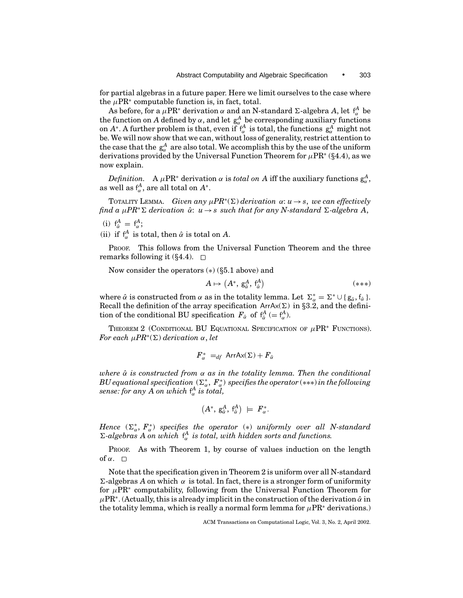for partial algebras in a future paper. Here we limit ourselves to the case where the  $\mu$ PR<sup>∗</sup> computable function is, in fact, total.

As before, for a  $\mu$ PR\* derivation α and an N-standard Σ-algebra *A*, let  $f^A_\alpha$  be the function on *A* defined by  $\alpha$ , and let  $g_{\alpha}^A$  be corresponding auxiliary functions on  $A^*$ . A further problem is that, even if  $\int_{\alpha}^{A}$  is total, the functions  $g_{\alpha}^A$  might not be. We will now show that we can, without loss of generality, restrict attention to the case that the  $g^A_\alpha$  are also total. We accomplish this by the use of the uniform derivations provided by the Universal Function Theorem for <sup>µ</sup>PR<sup>∗</sup> (*§*4.4), as we now explain.

 $Definition. A  $\mu$ PR<sup>*</sup> derivation  $\alpha$  is *total on A* iff the auxiliary functions  $g_{\alpha}^{A}$ ,$ as well as  $f^A_\alpha$ , are all total on  $A^*$ .

TOTALITY LEMMA. *Given any*  $\mu PR^*(\Sigma)$  *derivation*  $\alpha: u \to s$ , we can effectively *find a*  $\mu$ PR<sup>∗</sup> $\Sigma$  *derivation*  $\hat{\alpha}$ :  $u \rightarrow s$  *such that for any N-standard*  $\Sigma$ -*algebra* A,

(i)  $f^A_{\hat{\alpha}} = f^A_{\alpha};$ 

(ii) if  $f^A_\alpha$  is total, then  $\hat{\alpha}$  is total on *A*.

PROOF. This follows from the Universal Function Theorem and the three remarks following it (*§*4.4).

Now consider the operators (∗) (*§*5.1 above) and

$$
A \mapsto (A^*, \, \mathsf{g}_{\hat{\alpha}}^A, \, \mathsf{f}_{\hat{\alpha}}^A) \tag{***}
$$

where  $\hat{\alpha}$  is constructed from  $\alpha$  as in the totality lemma. Let  $\Sigma_{\alpha}^* = \Sigma^* \cup \{g_{\hat{\alpha}}, f_{\hat{\alpha}}\}\$ . Recall the definition of the array specification  $ArrAx(\Sigma)$  in §3.2, and the definition of the conditional BU specification  $F_{\hat{\alpha}}$  of  $f_{\hat{\alpha}}^A$  (=  $f_{\alpha}^A$ ).

THEOREM 2 (CONDITIONAL BU EQUATIONAL SPECIFICATION OF  $\mu PR^*$  FUNCTIONS). *For each*  $\mu PR^*(\Sigma)$  *derivation*  $\alpha$ , *let* 

$$
F_{\alpha}^* =_{df} \text{ArrAx}(\Sigma) + F_{\hat{\alpha}}
$$

*where*  $\hat{\alpha}$  *is constructed from*  $\alpha$  *as in the totality lemma. Then the conditional BU equational specification (Σ\*, F\*) specifies the operator (∗∗∗) in the following sense: for any A on which* f *A* <sup>α</sup> *is total,*

$$
\left(A^*,\,\mathbf{g}_{\hat{\boldsymbol{\alpha}}}^{A},\,\mathbf{f}_{\hat{\boldsymbol{\alpha}}}^{A}\right)\ \models\ F_{\boldsymbol{\alpha}}^*.
$$

*Hence*  $(Σ_{\alpha}^*, F_{\alpha}^*)$  specifies the operator  $(*)$  uniformly over all N-standard  $\Sigma$ -algebras A on which  $f^A_{\alpha}$  is total, with hidden sorts and functions.

PROOF. As with Theorem 1, by course of values induction on the length of  $\alpha$ .  $\Box$ 

Note that the specification given in Theorem 2 is uniform over all N-standard  $\Sigma$ -algebras *A* on which  $\alpha$  is total. In fact, there is a stronger form of uniformity for  $\mu$ PR<sup>∗</sup> computability, following from the Universal Function Theorem for  $\mu$ PR<sup>∗</sup>. (Actually, this is already implicit in the construction of the derivation  $\hat{\alpha}$  in the totality lemma, which is really a normal form lemma for  $\mu PR^*$  derivations.)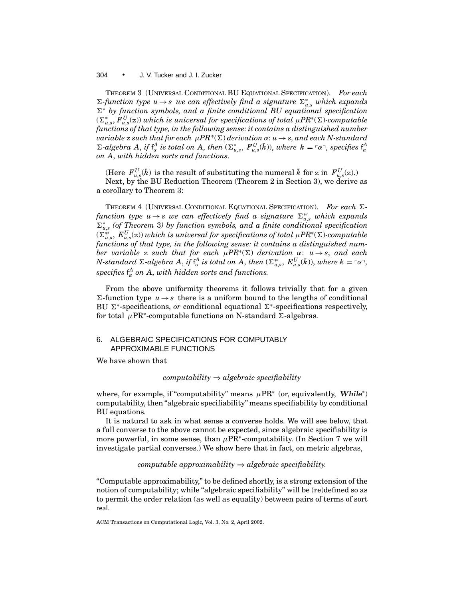THEOREM 3 (UNIVERSAL CONDITIONAL BU EQUATIONAL SPECIFICATION). *For each*  $\Sigma$ -function type  $u \rightarrow s$  we can effectively find a signature  $\Sigma_{u,s}^*$  which expands  $Σ$ <sup>\*</sup> *by function symbols, and a finite conditional BU equational specification* (6<sup>∗</sup> *<sup>u</sup>*,*s*, *F <sup>U</sup> <sup>u</sup>*,*s*(z)) *which is universal for specifications of total* µ*PR*<sup>∗</sup>(6)*-computable functions of that type, in the following sense: it contains a distinguished number variable* z *such that for each*  $\mu PR^*(\Sigma)$  *derivation*  $\alpha: u \to s$ *, and each N*-*standard*  $\Sigma$ -algebra A, if  $f^A_\alpha$  is total on A, then  $(\Sigma^*_{u,s}, F^U_{u,s}(k))$ , where  $k = \lceil \alpha \rceil$ , specifies  $f^A_\alpha$ *on A*, *with hidden sorts and functions.*

(Here  $F_{u,s}^U(k)$  is the result of substituting the numeral  $\bar{k}$  for z in  $F_{u,s}^U(z)$ .) Next, by the BU Reduction Theorem (Theorem 2 in Section 3), we derive as a corollary to Theorem 3:

THEOREM 4 (UNIVERSAL CONDITIONAL EQUATIONAL SPECIFICATION). For each  $\Sigma$  $function \ type \ u \rightarrow s \ we \ can \ effectively \ find \ a \ signature \ \Sigma^{*\prime}_{u,s} \ which \ expands$  $\Sigma_{u,s}^*$  (of Theorem 3) by function symbols, and a finite conditional specification (6∗0 *<sup>u</sup>*,*s*, *E<sup>U</sup> <sup>u</sup>*,*s*(z)) *which is universal for specifications of total* µ*PR*<sup>∗</sup>(6)*-computable functions of that type, in the following sense: it contains a distinguished number variable* z *such that for each*  $\mu PR^*(\Sigma)$  *derivation*  $\alpha: u \rightarrow s$ *, and each*  $N$ -standard  $\Sigma$ -algebra  $A$ , if  $f^A_{\alpha}$  is total on  $A$ , then  $(\Sigma^{\ast\prime}_{u,s},\,E^U_{u,s}(k)),$  where  $k=\ulcorner \alpha\urcorner,$  ${\rm specifies~}$   ${\rm f}^A_\alpha$  *on*  $A,$  *with hidden sorts and functions.* 

From the above uniformity theorems it follows trivially that for a given  $\Sigma$ -function type  $u \rightarrow s$  there is a uniform bound to the lengths of conditional BU Σ<sup>∗</sup>-specifications, *or* conditional equational Σ<sup>∗</sup>-specifications respectively, for total  $\mu$ PR<sup>\*</sup>-computable functions on N-standard  $\Sigma$ -algebras.

# 6. ALGEBRAIC SPECIFICATIONS FOR COMPUTABLY APPROXIMABLE FUNCTIONS

We have shown that

*computability* ⇒ *algebraic specifiability*

where, for example, if "computability" means  $\mu PR^*$  (or, equivalently, *While<sup>∗</sup>*) computability, then "algebraic specifiability" means specifiability by conditional BU equations.

It is natural to ask in what sense a converse holds. We will see below, that a full converse to the above cannot be expected, since algebraic specifiability is more powerful, in some sense, than  $\mu$ PR<sup>∗</sup>-computability. (In Section 7 we will investigate partial converses.) We show here that in fact, on metric algebras,

# *computable approximability* ⇒ *algebraic specifiability.*

"Computable approximability," to be defined shortly, is a strong extension of the notion of computability; while "algebraic specifiability" will be (re)defined so as to permit the order relation (as well as equality) between pairs of terms of sort real.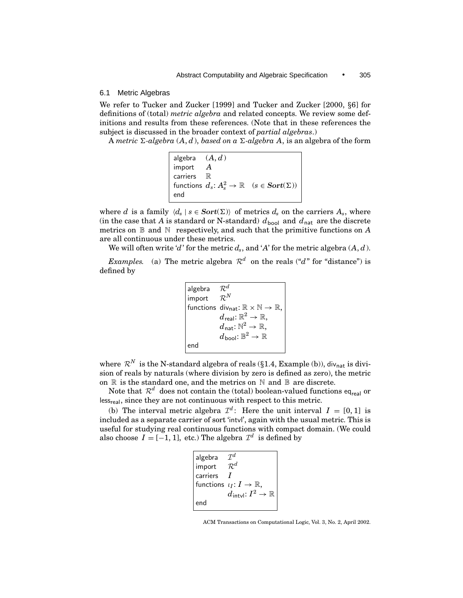#### 6.1 Metric Algebras

We refer to Tucker and Zucker [1999] and Tucker and Zucker [2000, *§*6] for definitions of (total) *metric algebra* and related concepts. We review some definitions and results from these references. (Note that in these references the subject is discussed in the broader context of *partial algebras*.)

A *metric*  $\Sigma$ -algebra  $(A, d)$ , *based on a*  $\Sigma$ -algebra A, is an algebra of the form

```
algebra (A, d)
import A
carriers \mathbb Rfunctions d_s \colon A_s^2 \to \mathbb{R} \quad (s \in \textbf{Sort}(\Sigma))end
```
where *d* is a family  $\langle d_s | s \in Sort(\Sigma) \rangle$  of metrics  $d_s$  on the carriers  $A_s$ , where (in the case that *A* is standard or N-standard)  $d_{\text{bool}}$  and  $d_{\text{nat}}$  are the discrete metrics on B and N respectively, and such that the primitive functions on *A* are all continuous under these metrics.

We will often write '*d*' for the metric  $d_s$ , and '*A*' for the metric algebra  $(A, d)$ .

*Examples.* (a) The metric algebra  $\mathcal{R}^d$  on the reals ("*d*" for "distance") is defined by

> algebra  $\mathcal{R}^d$ <br>import  $\mathcal{R}^N$ *import* functions div<sub>nat</sub>:  $\mathbb{R} \times \mathbb{N} \to \mathbb{R}$ ,  $d$ real:  $\mathbb{R}^2 \rightarrow \mathbb{R},$  $d_{\mathsf{nat}}: \mathbb{N}^2 \to \mathbb{R},$  $d_{\text{bool}}: \mathbb{B}^2 \to \mathbb{R}$ end

where  $\mathcal{R}^N$  is the N-standard algebra of reals (§1.4, Example (b)), div<sub>nat</sub> is division of reals by naturals (where division by zero is defined as zero), the metric on  $\mathbb R$  is the standard one, and the metrics on  $\mathbb N$  and  $\mathbb B$  are discrete.

Note that  $\mathcal{R}^d$  does not contain the (total) boolean-valued functions eq<sub>real</sub> or less<sub>real</sub>, since they are not continuous with respect to this metric.

(b) The interval metric algebra  $\mathcal{I}^d$ : Here the unit interval  $I = [0, 1]$  is included as a separate carrier of sort 'intvl', again with the usual metric. This is useful for studying real continuous functions with compact domain. (We could also choose  $I = [-1, 1]$ , etc.) The algebra  $\mathcal{I}^d$  is defined by

```
algebra \mathcal{I}^d<br>import \mathcal{R}^dimport \mathcal{R}^d<br>carriers Icarriers I
functions \iota_I \colon I \to \mathbb{R},
                          d_{\mathsf{intvl}} \hbox{: } I^2 \to \mathbb{R}end
```
ACM Transactions on Computational Logic, Vol. 3, No. 2, April 2002.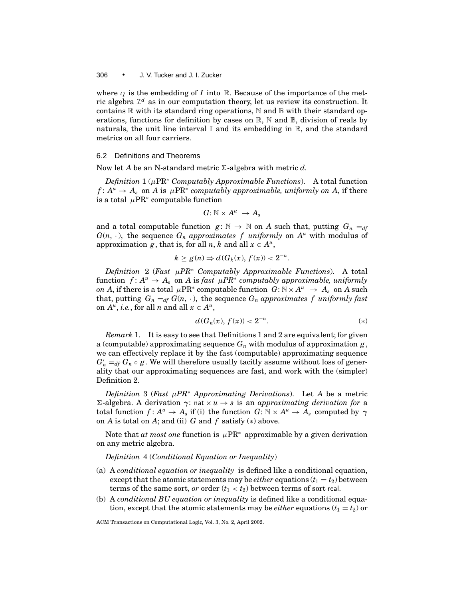where  $\iota_I$  is the embedding of *I* into R. Because of the importance of the metric algebra  $\mathcal{I}^d$  as in our computation theory, let us review its construction. It contains  $\mathbb R$  with its standard ring operations,  $\mathbb N$  and  $\mathbb B$  with their standard operations, functions for definition by cases on R, N and B, division of reals by naturals, the unit line interval  $\mathbb I$  and its embedding in  $\mathbb R$ , and the standard metrics on all four carriers.

## 6.2 Definitions and Theorems

Now let *A* be an N-standard metric  $\Sigma$ -algebra with metric *d*.

*Definition* 1 (µPR<sup>∗</sup> *Computably Approximable Functions*). A total function  $f: A^u \to A_s$  on *A* is  $\mu PR^*$  *computably approximable, uniformly on A,* if there is a total  $\mu$ PR<sup>∗</sup> computable function

$$
G: \mathbb{N} \times A^u \rightarrow A_s
$$

and a total computable function  $g: \mathbb{N} \to \mathbb{N}$  on A such that, putting  $G_n =_{df}$  $G(n, \cdot)$ , the sequence  $G_n$  *approximates f uniformly* on  $A<sup>u</sup>$  with modulus of approximation *g*, that is, for all *n*, *k* and all  $x \in A^u$ ,

$$
k \ge g(n) \Rightarrow d(G_k(x), f(x)) < 2^{-n}.
$$

*Definition* 2 (*Fast* µ*PR*<sup>∗</sup> *Computably Approximable Functions*). A total function  $f: A^u \to A_s$  on A is fast  $\mu PR^*$  computably approximable, uniformly *on A*, if there is a total  $\mu$ PR<sup>∗</sup> computable function  $G: \mathbb{N} \times A^u \rightarrow A_s$  on *A* such that, putting  $G_n =_{df} G(n, \cdot)$ , the sequence  $G_n$  *approximates f uniformly fast* on  $A^u$ , *i.e.*, for all *n* and all  $x \in A^u$ ,

$$
d(G_n(x), f(x)) < 2^{-n}.\tag{*}
$$

*Remark* 1. It is easy to see that Definitions 1 and 2 are equivalent; for given a (computable) approximating sequence  $G_n$  with modulus of approximation  $g$ , we can effectively replace it by the fast (computable) approximating sequence  $G'_{n} =_{df} G_{n} \circ g$ . We will therefore usually tacitly assume without loss of generality that our approximating sequences are fast, and work with the (simpler) Definition 2.

*Definition* 3 (*Fast*  $\mu PR^*$  *Approximating Derivations*). Let *A* be a metric  $Σ$ -algebra. A derivation *γ*: nat  $× u → s$  is an *approximating derivation for* a total function  $f: A^u \to A_s$  if (i) the function  $G: \mathbb{N} \times A^u \to A_s$  computed by  $\gamma$ on *A* is total on *A*; and (ii) *G* and *f* satisfy (∗) above.

Note that *at most one* function is µPR<sup>∗</sup> approximable by a given derivation on any metric algebra.

# *Definition* 4 (*Conditional Equation or Inequality*)

- (a) A *conditional equation or inequality* is defined like a conditional equation, except that the atomic statements may be *either* equations  $(t_1 = t_2)$  between terms of the same sort, *or* order  $(t_1 < t_2)$  between terms of sort real.
- (b) A *conditional BU equation or inequality* is defined like a conditional equation, except that the atomic statements may be *either* equations  $(t_1 = t_2)$  or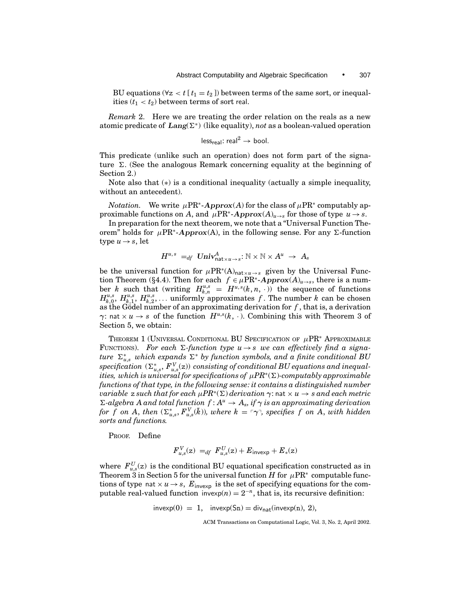BU equations ( $\forall z < t$  [ $t_1 = t_2$ ]) between terms of the same sort, or inequalities  $(t_1 < t_2)$  between terms of sort real.

*Remark* 2. Here we are treating the order relation on the reals as a new atomic predicate of  $\text{Lang}(\Sigma^*)$  (like equality), *not* as a boolean-valued operation

$$
\mathsf{less}_{\mathsf{real}} \colon \mathsf{real}^2 \to \mathsf{bool}.
$$

This predicate (unlike such an operation) does not form part of the signature  $\Sigma$ . (See the analogous Remark concerning equality at the beginning of Section 2.)

Note also that (∗) is a conditional inequality (actually a simple inequality, without an antecedent).

*Notation.* We write  $\mu PR^*$ -*Approx(A)* for the class of  $\mu PR^*$  computably approximable functions on *A*, and  $\mu PR^*$ -*Approx*( $A)_{u\to s}$  for those of type  $u\to s$ .

In preparation for the next theorem, we note that a "Universal Function Theorem" holds for  $\mu$ PR<sup>\*</sup>-*Approx*(A), in the following sense. For any Σ-function type  $u \rightarrow s$ , let

$$
H^{u,\,s}\; =_{df}\; \textit{Univ}^A_{\textsf{nat} \times u \to s} \colon \mathbb{N} \times \mathbb{N} \times A^u \;\to\; A_s
$$

be the universal function for  $\mu PR^*(A)_{\text{nat}\times u\rightarrow s}$  given by the Universal Function Theorem (§4.4). Then for each  $f \in \mu PR^*$ -Approx $(A)_{u \to s}$ , there is a number *k* such that (writing  $H_{k,n}^{u,s} = H^{u,s}(k,n,\cdot)$ ) the sequence of functions  $H_{k,0}^{u,s}, H_{k,1}^{u,s}, H_{k,2}^{u,s}, \ldots$  uniformly approximates f. The number k can be chosen as the Gödel number of an approximating derivation for  $f$ , that is, a derivation *γ*: nat  $\times u \rightarrow s$  of the function  $H^{u,s}(k, \cdot)$ . Combining this with Theorem 3 of Section 5, we obtain:

THEOREM 1 (UNIVERSAL CONDITIONAL BU SPECIFICATION OF  $\mu$ PR<sup>∗</sup> Approximable FUNCTIONS). For each  $\Sigma$ -function type  $u \rightarrow s$  we can effectively find a signa $ture \ \Sigma_{u,s}^*$  *which expands*  $\Sigma^*$  *by function symbols, and a finite conditional BU*  ${\rm specification\ } (\Sigma^*_{u,s}, F^V_{u,s}( {\sf z}))$  consisting of conditional  $BU$  equations and inequal*ities, which is universal for specifications of*  $\mu PR^*(\Sigma)$ -computably approximable *functions of that type, in the following sense: it contains a distinguished number variable* z *such that for each*  $\mu PR^*(\Sigma)$  *derivation*  $\gamma$ : nat  $\times u \rightarrow s$  *and each metric*  $\Sigma$ -algebra A and total function  $f: A^u \to A_s$ , if  $\gamma$  is an approximating derivation *for f* on A, then  $(\Sigma_{u,s}^*, F_{u,s}^V(k))$ , where  $k = \lceil \gamma \rceil$ , specifies f on A, with hidden *sorts and functions.*

PROOF. Define

$$
F_{u,s}^V(z) =_{df} F_{u,s}^U(z) + E_{\text{inverse}} + E_*(z)
$$

where  $F_{u,s}^U(z)$  is the conditional BU equational specification constructed as in Theorem 3 in Section 5 for the universal function *H* for  $\mu$ PR<sup>∗</sup> computable functions of type nat  $\times u \rightarrow s$ ,  $E_{\text{inverse}}$  is the set of specifying equations for the computable real-valued function invexp $(n) = 2^{-n}$ , that is, its recursive definition:

 $invexp(0) = 1$ ,  $invexp(Sn) = div_{nat}(invexp(n), 2)$ ,

ACM Transactions on Computational Logic, Vol. 3, No. 2, April 2002.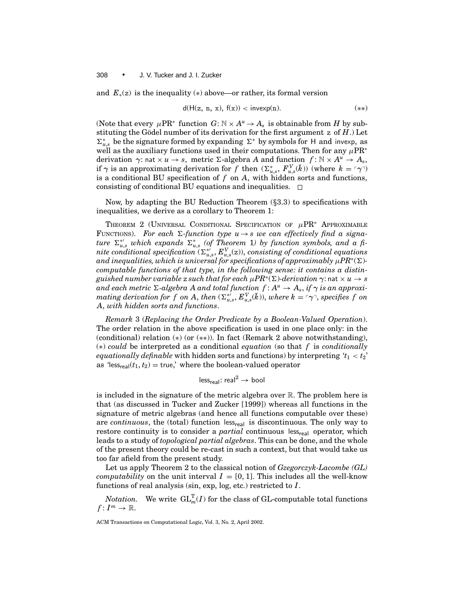and  $E_*(z)$  is the inequality (\*) above—or rather, its formal version

$$
d(H(z, n, x), f(x)) < invexp(n). \tag{**}
$$

(Note that every  $\mu$ PR<sup>∗</sup> function *G*:  $\mathbb{N} \times A^u \to A_s$  is obtainable from *H* by substituting the Gödel number of its derivation for the first argument  $z$  of  $H$ .) Let  $\Sigma_{u,s}^*$  be the signature formed by expanding Σ<sup>∗</sup> by symbols for H and invexp, as well as the auxiliary functions used in their computations. Then for any  $\mu PR^*$ derivation *γ*: nat × *u* → *s*, metric 6-algebra *A* and function *f* : N × *Au* → *As*, if  $\gamma$  is an approximating derivation for *f* then  $(\Sigma_{u,s}^*, F_{u,s}^{\mathrm{V}}(\bar{k}))$  (where  $k = \lceil \gamma \rceil$ ) is a conditional BU specification of *f* on *A*, with hidden sorts and functions, consisting of conditional BU equations and inequalities.  $\Box$ 

Now, by adapting the BU Reduction Theorem (*§*3.3) to specifications with inequalities, we derive as a corollary to Theorem 1:

THEOREM 2 (UNIVERSAL CONDITIONAL SPECIFICATION OF  $\mu PR^*$  APPROXIMABLE FUNCTIONS). For each  $\Sigma$ -function type  $u \rightarrow s$  we can effectively find a signa $ture \sum_{u,s}^{*'} which expands \sum_{u,s}^{*} (of Theorem 1) by function symbols, and a fi \tilde{L}_{u,s}^{int}$  *nite conditional specification* ( $\Sigma_{u,s}^{*}$ ,  $E_{u,s}^{V}$ (z)), *consisting of conditional equations and inequalities, which is universal for specifications of approximably*  $\mu PR^*(\Sigma)$ *computable functions of that type, in the following sense: it contains a distinguished number variable* z *such that for each*  $\mu PR^*(\Sigma)$ -derivation  $\gamma$ : nat  $\times u \rightarrow s$ *and each metric*  $\Sigma$ -*algebra A and total function*  $f: A^u \to A_s$ , *if*  $\gamma$  *is an approxi* $m$ ating derivation for  $f$  on  $A$ , then  $(\Sigma_{u,s}^{*}, E_{u,s}^V(\bar{k}))$ , where  $k = \lceil \gamma \rceil$ , specifies  $f$  on *A*, *with hidden sorts and functions*.

*Remark* 3 (*Replacing the Order Predicate by a Boolean-Valued Operation*). The order relation in the above specification is used in one place only: in the (conditional) relation  $(*)$  (or  $(**)$ ). In fact (Remark 2 above notwithstanding), (∗) *could* be interpreted as a conditional *equation* (so that *f* is *conditionally equationally definable* with hidden sorts and functions) by interpreting  $t_1 < t_2$ ' as 'less<sub>real</sub> $(t_1, t_2)$  = true,' where the boolean-valued operator

$$
\mathsf{less}_{\mathsf{real}} \colon \mathsf{real}^2 \to \mathsf{bool}
$$

is included in the signature of the metric algebra over  $\mathbb R$ . The problem here is that (as discussed in Tucker and Zucker [1999]) whereas all functions in the signature of metric algebras (and hence all functions computable over these) are *continuous*, the (total) function less<sub>real</sub> is discontinuous. The only way to restore continuity is to consider a *partial* continuous less<sub>real</sub> operator, which leads to a study of *topological partial algebras*. This can be done, and the whole of the present theory could be re-cast in such a context, but that would take us too far afield from the present study.

Let us apply Theorem 2 to the classical notion of *Gzegorczyk-Lacombe (GL) computability* on the unit interval  $I = [0, 1]$ . This includes all the well-know functions of real analysis (sin, exp, log, etc.) restricted to *I* .

 $Notation.$  We write  $\mathrm{GL}_m^\mathrm{T}(I)$  for the class of GL-computable total functions  $f: I^m \to \mathbb{R}.$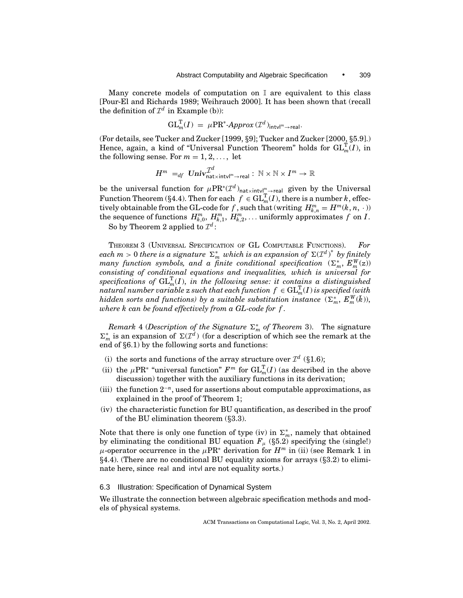Many concrete models of computation on  $\mathbb I$  are equivalent to this class [Pour-El and Richards 1989; Weihrauch 2000]. It has been shown that (recall the definition of  $\mathcal{I}^d$  in Example (b)):

$$
GL_m^T(I) = \mu PR^* - Approx(\mathcal{I}^d)_{int \vee l^m \to real}.
$$

(For details, see Tucker and Zucker [1999, *§*9]; Tucker and Zucker [2000, *§*5.9].) Hence, again, a kind of "Universal Function Theorem" holds for  $\mathrm{GL}_m^T(I)$ , in the following sense. For  $m = 1, 2, \ldots$ , let

$$
H^m \;=\!\!\mathit{d}_f \; \mathit{Univ}_{\mathsf{nat} \times \mathsf{intvl}^m \rightarrow \mathsf{real}} \; \colon \; \mathbb{N} \times \mathbb{N} \times I^m \rightarrow \mathbb{R}
$$

be the universal function for  $\mu PR^*(\mathcal{I}^d)_{\text{nat}\times\text{intvl}_m^m\to \text{real}}$  given by the Universal Function Theorem (§4.4). Then for each  $f \in GL_m^T(I)$ , there is a number *k*, effectively obtainable from the GL-code for  $f$  , such that (writing  $H_{k,n}^m = H^m(k,n,\cdot)$ ) the sequence of functions  $H_{k,0}^m$ ,  $H_{k,1}^m$ ,  $H_{k,2}^m$ , ... uniformly approximates  $f$  on  $I$ .

So by Theorem 2 applied to  $\mathcal{I}^d$ :

THEOREM 3 (UNIVERSAL SPECIFICATION OF GL COMPUTABLE FUNCTIONS). *For*  $\epsilon$ *each m* > 0 *there is a signature*  $\Sigma_m^*$  *which is an expansion of*  $\Sigma(\mathcal{I}^d)^*$  *by finitely*  $m$ any function symbols, and a finite conditional specification  $(\Sigma_m^*, E_m^W(z))$ *consisting of conditional equations and inequalities, which is universal for*  ${\rm specification}s$  of  ${\rm GL}_m^{\rm T}(I),$  *in the following sense: it contains a distinguished*  $\tilde{r}$  *natural number variable*  $z$  *such that each function*  $f \in \mathrm{GL}_m^\mathrm{T}(I)$  *is specified (with hidden sorts and functions) by a suitable substitution instance*  $(\Sigma_m^*, E_m^W(\bar{k})),$ *where k can be found effectively from a GL-code for f .*

 $Remark 4 (Description of the Signature  $\Sigma_m^*$  of Theorem 3). The signature$  $\Sigma_m^*$  is an expansion of  $\Sigma(\mathcal{I}^d)$  (for a description of which see the remark at the end of *§*6.1) by the following sorts and functions:

- (i) the sorts and functions of the array structure over  $\mathcal{I}^d$  (§1.6);
- (ii) the  $\mu$ PR<sup>\*</sup> "universal function"  $F^m$  for  $\mathrm{GL}_m^{\mathrm{T}}(I)$  (as described in the above discussion) together with the auxiliary functions in its derivation;
- (iii) the function  $2^{-n}$ , used for assertions about computable approximations, as explained in the proof of Theorem 1;
- (iv) the characteristic function for BU quantification, as described in the proof of the BU elimination theorem (*§*3.3).

Note that there is only one function of type (iv) in  $\Sigma_m^*$ , namely that obtained by eliminating the conditional BU equation  $F_{\mu}$  (§5.2) specifying the (single!)  $\mu$ -operator occurrence in the  $\mu$ PR<sup>\*</sup> derivation for  $H^m$  in (ii) (see Remark 1 in *§*4.4). (There are no conditional BU equality axioms for arrays (*§*3.2) to eliminate here, since real and intvl are not equality sorts.)

# 6.3 Illustration: Specification of Dynamical System

We illustrate the connection between algebraic specification methods and models of physical systems.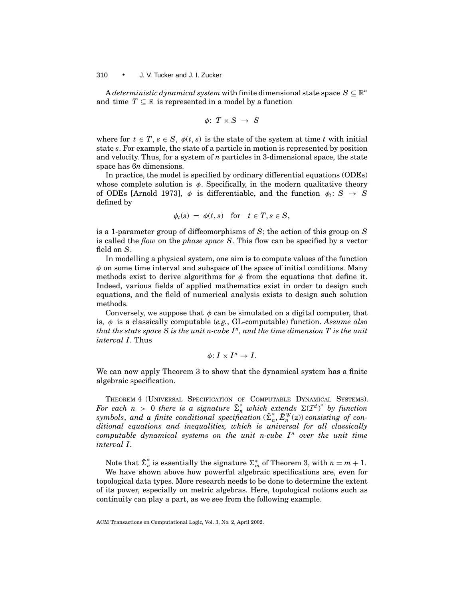A *deterministic dynamical system* with finite dimensional state space  $S \subseteq \mathbb{R}^n$ and time  $T \subseteq \mathbb{R}$  is represented in a model by a function

$$
\phi\colon\thinspace T\times S\;\to\;S
$$

where for  $t \in T$ ,  $s \in S$ ,  $\phi(t, s)$  is the state of the system at time *t* with initial state *s*. For example, the state of a particle in motion is represented by position and velocity. Thus, for a system of *n* particles in 3-dimensional space, the state space has 6*n* dimensions.

In practice, the model is specified by ordinary differential equations (ODEs) whose complete solution is  $\phi$ . Specifically, in the modern qualitative theory of ODEs [Arnold 1973],  $\phi$  is differentiable, and the function  $\phi_t: S \to S$ defined by

$$
\phi_t(s) = \phi(t, s) \quad \text{for} \quad t \in T, s \in S,
$$

is a 1-parameter group of diffeomorphisms of *S*; the action of this group on *S* is called the *flow* on the *phase space S*. This flow can be specified by a vector field on *S*.

In modelling a physical system, one aim is to compute values of the function  $\phi$  on some time interval and subspace of the space of initial conditions. Many methods exist to derive algorithms for  $\phi$  from the equations that define it. Indeed, various fields of applied mathematics exist in order to design such equations, and the field of numerical analysis exists to design such solution methods.

Conversely, we suppose that  $\phi$  can be simulated on a digital computer, that is, φ is a classically computable (*e.g.*, GL-computable) function. *Assume also that the state space S is the unit n-cube In, and the time dimension T is the unit interval I.* Thus

$$
\phi\colon I\times I^n\to I.
$$

We can now apply Theorem 3 to show that the dynamical system has a finite algebraic specification.

THEOREM 4 (UNIVERSAL SPECIFICATION OF COMPUTABLE DYNAMICAL SYSTEMS). *For each*  $n > 0$  *there is a signature*  $\sum_{n=0}^{\infty}$  *which extends*  $\sum (\mathcal{I}^d)^*$  *by function*  $symbols$ , and a finite conditional specification  $(\tilde{\Sigma}_n^*, \tilde{E}_n^W(z))$  consisting of con*ditional equations and inequalities, which is universal for all classically computable dynamical systems on the unit n-cube*  $I<sup>n</sup>$  *over the unit time interval I.*

Note that  $\tilde{\Sigma}_n^*$  is essentially the signature  $\Sigma_m^*$  of Theorem 3, with  $n = m + 1$ .

We have shown above how powerful algebraic specifications are, even for topological data types. More research needs to be done to determine the extent of its power, especially on metric algebras. Here, topological notions such as continuity can play a part, as we see from the following example.

ACM Transactions on Computational Logic, Vol. 3, No. 2, April 2002.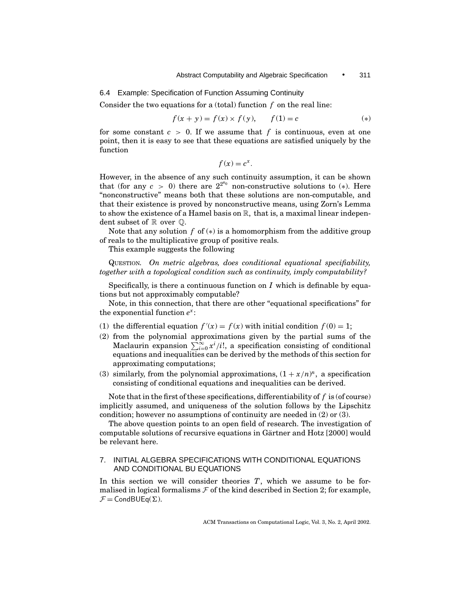6.4 Example: Specification of Function Assuming Continuity

Consider the two equations for a (total) function *f* on the real line:

$$
f(x + y) = f(x) \times f(y), \qquad f(1) = c \tag{*}
$$

for some constant  $c > 0$ . If we assume that f is continuous, even at one point, then it is easy to see that these equations are satisfied uniquely by the function

$$
f(x) = c^x.
$$

However, in the absence of any such continuity assumption, it can be shown that (for any  $c > 0$ ) there are  $2^{2^{k_0}}$  non-constructive solutions to (\*). Here "nonconstructive" means both that these solutions are non-computable, and that their existence is proved by nonconstructive means, using Zorn's Lemma to show the existence of a Hamel basis on  $\mathbb{R}$ , that is, a maximal linear independent subset of  $\mathbb R$  over  $\mathbb Q$ .

Note that any solution  $f$  of  $(*)$  is a homomorphism from the additive group of reals to the multiplicative group of positive reals.

This example suggests the following

QUESTION. *On metric algebras, does conditional equational specifiability, together with a topological condition such as continuity, imply computability?*

Specifically, is there a continuous function on *I* which is definable by equations but not approximably computable?

Note, in this connection, that there are other "equational specifications" for the exponential function *e<sup>x</sup>* :

- (1) the differential equation  $f'(x) = f(x)$  with initial condition  $f(0) = 1$ ;
- (2) from the polynomial approximations given by the partial sums of the Maclaurin expansion  $\sum_{i=0}^{\infty} x^i/i!$ , a specification consisting of conditional equations and inequalities can be derived by the methods of this section for approximating computations;
- (3) similarly, from the polynomial approximations,  $(1 + x/n)^n$ , a specification consisting of conditional equations and inequalities can be derived.

Note that in the first of these specifications, differentiability of *f* is (of course) implicitly assumed, and uniqueness of the solution follows by the Lipschitz condition; however no assumptions of continuity are needed in (2) or (3).

The above question points to an open field of research. The investigation of computable solutions of recursive equations in Gärtner and Hotz [2000] would be relevant here.

# 7. INITIAL ALGEBRA SPECIFICATIONS WITH CONDITIONAL EQUATIONS AND CONDITIONAL BU EQUATIONS

In this section we will consider theories *T*, which we assume to be formalised in logical formalisms  $\mathcal F$  of the kind described in Section 2; for example,  $\mathcal{F} = \text{CondBUEq}(\Sigma).$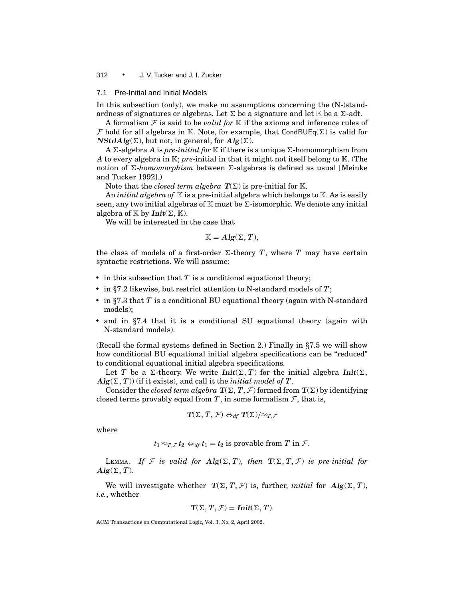#### 7.1 Pre-Initial and Initial Models

In this subsection (only), we make no assumptions concerning the  $(N-) stand$ ardness of signatures or algebras. Let  $\Sigma$  be a signature and let K be a  $\Sigma$ -adt.

A formalism  $F$  is said to be *valid for*  $K$  if the axioms and inference rules of  $\mathcal F$  hold for all algebras in K. Note, for example, that CondBUEq( $\Sigma$ ) is valid for  $NStdAlg(\Sigma)$ , but not, in general, for  $Alg(\Sigma)$ .

A  $\Sigma$ -algebra *A* is *pre-initial for* K if there is a unique  $\Sigma$ -homomorphism from *A* to every algebra in K; *pre*-initial in that it might not itself belong to K. (The notion of  $\Sigma$ -*homomorphism* between  $\Sigma$ -algebras is defined as usual [Meinke and Tucker 1992].)

Note that the *closed term algebra*  $T(\Sigma)$  is pre-initial for K.

An *initial algebra of* K is a pre-initial algebra which belongs to K. As is easily seen, any two initial algebras of  $\mathbb K$  must be  $\Sigma$ -isomorphic. We denote any initial algebra of  $\mathbb K$  by *Init*( $\Sigma, \mathbb K$ ).

We will be interested in the case that

$$
\mathbb{K}=\text{Alg}(\Sigma,T),
$$

the class of models of a first-order  $\Sigma$ -theory *T*, where *T* may have certain syntactic restrictions. We will assume:

- $\bullet$  in this subsection that  $T$  is a conditional equational theory;
- in §7.2 likewise, but restrict attention to N-standard models of *T*;
- in §7.3 that *T* is a conditional BU equational theory (again with N-standard models);
- and in §7.4 that it is a conditional SU equational theory (again with N-standard models).

(Recall the formal systems defined in Section 2.) Finally in *§*7.5 we will show how conditional BU equational initial algebra specifications can be "reduced" to conditional equational initial algebra specifications.

Let *T* be a  $\Sigma$ -theory. We write *Init*( $\Sigma$ , *T*) for the initial algebra *Init*( $\Sigma$ ,  $Alg(\Sigma, T)$ ) (if it exists), and call it the *initial model of T*.

Consider the *closed term algebra*  $T(\Sigma, T, \mathcal{F})$  formed from  $T(\Sigma)$  by identifying closed terms provably equal from  $T$ , in some formalism  $\mathcal{F}$ , that is,

$$
\mathbf{T}(\Sigma,T,\mathcal{F})\Leftrightarrow_{df}\mathbf{T}(\Sigma)/\!\!\approx_{T,\mathcal{F}}
$$

where

$$
t_1 \approx_{T,\mathcal{F}} t_2 \Leftrightarrow_{df} t_1 = t_2
$$
 is provable from T in  $\mathcal{F}$ .

LEMMA. If F is valid for  $\text{Alg}(\Sigma, T)$ , then  $T(\Sigma, T, \mathcal{F})$  is pre-initial for  $Alg(\Sigma, T)$ .

We will investigate whether  $T(\Sigma, T, \mathcal{F})$  is, further, *initial* for  $Alg(\Sigma, T)$ , *i.e.*, whether

$$
T(\Sigma, T, \mathcal{F}) = \text{Init}(\Sigma, T).
$$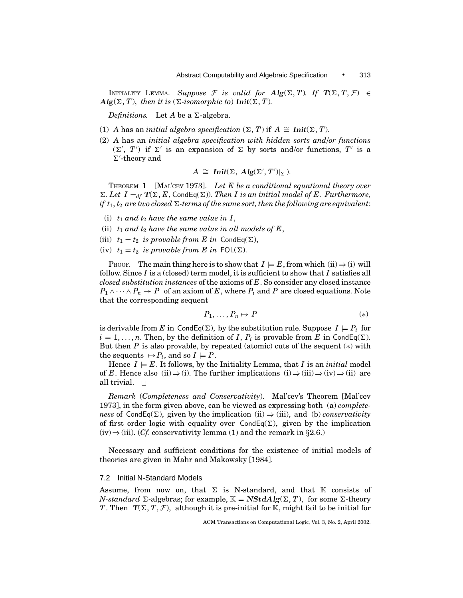INITIALITY LEMMA. *Suppose* F *is valid for*  $\mathbf{Alg}(\Sigma, T)$ . If  $T(\Sigma, T, \mathcal{F}) \in$  $\mathbf{Alg}(\Sigma, T)$ , *then it is* ( $\Sigma$ -*isomorphic to*)  $\mathbf{Init}(\Sigma, T)$ .

*Definitions.* Let  $A$  be a  $\Sigma$ -algebra.

- (1) *A* has an *initial algebra specification*  $(\Sigma, T)$  if  $A \cong \text{Init}(\Sigma, T)$ .
- (2) *A* has an *initial algebra specification with hidden sorts and/or functions*  $(\Sigma', T')$  if  $\Sigma'$  is an expansion of  $\Sigma$  by sorts and/or functions,  $T'$  is a  $\Sigma'$ -theory and

$$
A \cong \text{Init}(\Sigma, \text{ Alg}(\Sigma', T')|_{\Sigma}).
$$

THEOREM 1 [MAL'CEV 1973]. *Let E be a conditional equational theory over*  $\Sigma$ . Let  $I =_{df} T(\Sigma, E, \text{CondEq}(\Sigma))$ . Then I is an initial model of E. Furthermore, *if*  $t_1, t_2$  are two closed  $\Sigma$ -terms of the same sort, then the following are equivalent:

- (i)  $t_1$  *and*  $t_2$  *have the same value in I*,
- (ii)  $t_1$  *and*  $t_2$  *have the same value in all models of E*,
- (iii)  $t_1 = t_2$  *is provable from E in* CondEq( $\Sigma$ ),
- (iv)  $t_1 = t_2$  *is provable from E in* FOL( $\Sigma$ ).

PROOF. The main thing here is to show that  $I \models E$ , from which  $(ii) \Rightarrow (i)$  will follow. Since *I* is a (closed) term model, it is sufficient to show that *I* satisfies all *closed substitution instances* of the axioms of *E*. So consider any closed instance  $P_1 \wedge \cdots \wedge P_n \rightarrow P$  of an axiom of *E*, where  $P_i$  and *P* are closed equations. Note that the corresponding sequent

$$
P_1, \ldots, P_n \mapsto P \tag{*}
$$

is derivable from *E* in CondEq( $\Sigma$ ), by the substitution rule. Suppose  $I \models P_i$  for  $i = 1, \ldots, n$ . Then, by the definition of *I*,  $P_i$  is provable from *E* in CondEq( $\Sigma$ ). But then  $P$  is also provable, by repeated (atomic) cuts of the sequent  $(*)$  with the sequents  $\mapsto P_i$ , and so  $I \models P$ .

Hence  $I \models E$ . It follows, by the Initiality Lemma, that *I* is an *initial* model of *E*. Hence also (ii) $\Rightarrow$ (i). The further implications (i) $\Rightarrow$ (iii) $\Rightarrow$ (iv) $\Rightarrow$ (ii) are all trivial.  $\Box$ 

*Remark* (*Completeness and Conservativity*). Mal'cev's Theorem [Mal'cev 1973], in the form given above, can be viewed as expressing both (a) *completeness* of CondEq( $\Sigma$ ), given by the implication (ii)  $\Rightarrow$  (iii), and (b) *conservativity* of first order logic with equality over  $CondEq(\Sigma)$ , given by the implication (iv)⇒(iii). (*Cf.* conservativity lemma (1) and the remark in *§*2.6.)

Necessary and sufficient conditions for the existence of initial models of theories are given in Mahr and Makowsky [1984].

## 7.2 Initial N-Standard Models

Assume, from now on, that  $\Sigma$  is N-standard, and that K consists of *N-standard*  $\Sigma$ -algebras; for example,  $\mathbb{K} = \mathbf{NStdAlg}(\Sigma, T)$ , for some  $\Sigma$ -theory *T*. Then  $T(\Sigma, T, \mathcal{F})$ , although it is pre-initial for K, might fail to be initial for

ACM Transactions on Computational Logic, Vol. 3, No. 2, April 2002.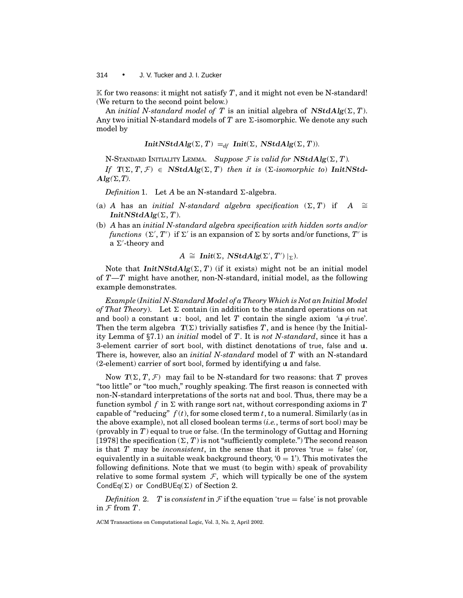K for two reasons: it might not satisfy  $T$ , and it might not even be N-standard! (We return to the second point below.)

An *initial N-standard model of* T is an initial algebra of  $NStdAlg(\Sigma, T)$ . Any two initial N-standard models of  $T$  are  $\Sigma$ -isomorphic. We denote any such model by

*InitNStdAlg*( $\Sigma$ ,  $T$ ) =  $_{df}$  *Init*( $\Sigma$ , *NStdAlg*( $\Sigma$ ,  $T$ )).

N-STANDARD INITIALITY LEMMA. Suppose  $\mathcal F$  is valid for  $\mathbf{NStdAlg}(\Sigma, T)$ .

*If*  $T(\Sigma, T, \mathcal{F}) \in \mathbf{NStdAlg}(\Sigma, T)$  *then it is* ( $\Sigma$ -*isomorphic to*) *InitNStd*- $Alg(\Sigma, T)$ .

*Definition* 1. Let *A* be an N-standard  $\Sigma$ -algebra.

- (a) *A* has an *initial N-standard algebra specification*  $(\Sigma, T)$  if *A*  $\cong$ *InitNStdAlg*( $\Sigma$ , *T*).
- (b) *A* has an *initial N-standard algebra specification with hidden sorts and/or functions*  $(\Sigma', T')$  if  $\Sigma'$  is an expansion of  $\Sigma$  by sorts and/or functions,  $T'$  is  $a \Sigma'$ -theory and

$$
A \cong \text{Init}(\Sigma, \text{NStdAlg}(\Sigma', T') |_{\Sigma}).
$$

Note that  $InitNStdAlg(\Sigma, T)$  (if it exists) might not be an initial model of *T*—*T* might have another, non-N-standard, initial model, as the following example demonstrates.

*Example* (*Initial N-Standard Model of a Theory Which is Not an Initial Model of That Theory*). Let  $\Sigma$  contain (in addition to the standard operations on nat and bool) a constant  $\mathfrak{u}$ : bool, and let *T* contain the single axiom ' $\mathfrak{u} \neq \text{true}'$ . Then the term algebra  $T(\Sigma)$  trivially satisfies *T*, and is hence (by the Initiality Lemma of *§*7.1) an *initial* model of *T*. It is *not N-standard*, since it has a 3-element carrier of sort bool, with distinct denotations of true, false and uı. There is, however, also an *initial N-standard* model of *T* with an N-standard (2-element) carrier of sort bool, formed by identifying uı and false.

Now  $T(\Sigma, T, \mathcal{F})$  may fail to be N-standard for two reasons: that *T* proves "too little" or "too much," roughly speaking. The first reason is connected with non-N-standard interpretations of the sorts nat and bool. Thus, there may be a function symbol f in  $\Sigma$  with range sort nat, without corresponding axioms in T capable of "reducing"  $f(t)$ , for some closed term  $t$ , to a numeral. Similarly (as in the above example), not all closed boolean terms (*i.e.*, terms of sort bool) may be (provably in *T*) equal to true or false. (In the terminology of Guttag and Horning [1978] the specification  $(\Sigma, T)$  is not "sufficiently complete.") The second reason is that *T* may be *inconsistent*, in the sense that it proves 'true  $=$  false' (or, equivalently in a suitable weak background theory,  $0 = 1$ . This motivates the following definitions. Note that we must (to begin with) speak of provability relative to some formal system  $\mathcal{F}$ , which will typically be one of the system CondEq( $\Sigma$ ) or CondBUEq( $\Sigma$ ) of Section 2.

*Definition* 2. *T* is *consistent* in  $\mathcal F$  if the equation 'true = false' is not provable in  $\mathcal F$  from  $T$ .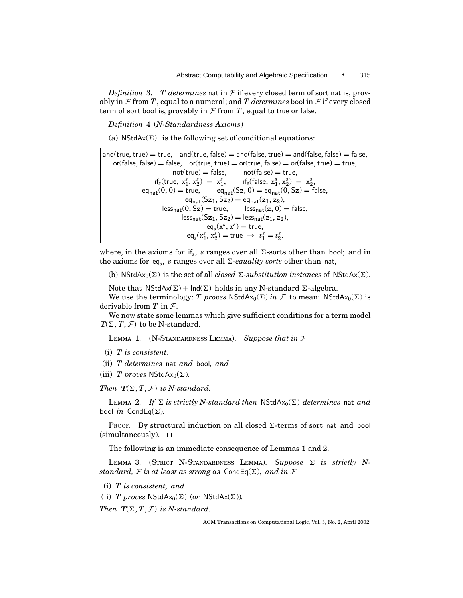*Definition* 3. *T determines* nat in  $F$  if every closed term of sort nat is, provably in  $\mathcal F$  from  $T$ , equal to a numeral; and  $T$  determines bool in  $\mathcal F$  if every closed term of sort bool is, provably in  $\mathcal F$  from  $T$ , equal to true or false.

*Definition* 4 (*N-Standardness Axioms*)

(a) NStdAx( $\Sigma$ ) is the following set of conditional equations:

and(true, true) = true, and(true, false) = and(false, true) = and(false, false) = false,  $or(false, false) = false,$   $or(true, true) = or(true, false) = or(false, true) = true,$  $not(true) = false,$  not(false) = true,  $if_s(true, x_1^s, x_2^s) = x_1^s$  $i_1^s$ , if<sub>s</sub>(false,  $x_1^s$ ,  $x_2^s$ ) =  $x_2^s$ ,  $eq_{nat}(0, 0) = \text{true},$   $eq_{nat}(Sz, 0) = eq_{nat}(0, Sz) = \text{false},$  $eq_{nat}(Sz_1, Sz_2) = eq_{nat}(z_1, z_2),$ <br>(0, Sz) = true, less<sub>nat</sub>(z, 0) = false,  $\text{less}_{\text{nat}}(0, \text{Sz}) = \text{true},$  $\text{less}_{\text{nat}}(Sz_1, Sz_2) = \text{less}_{\text{nat}}(z_1, z_2),$  $eq<sub>s</sub>(x<sup>s</sup>, x<sup>s</sup>) = true,$  $eq_s(x_1^s, x_2^s) = \text{true} \rightarrow t_1^s = t_2^s.$ 

where, in the axioms for if<sub>s</sub>, *s* ranges over all  $\Sigma$ -sorts other than bool; and in the axioms for eq<sub>s</sub>, *s* ranges over all  $\Sigma$ -*equality sorts* other than nat,

(b) NStdAx<sub>0</sub>( $\Sigma$ ) is the set of all *closed*  $\Sigma$ -substitution instances of NStdAx( $\Sigma$ ).

Note that  $NStdAx(\Sigma) + Ind(\Sigma)$  holds in any N-standard  $\Sigma$ -algebra.

We use the terminology: *T* proves  $NStdAx_0(\Sigma)$  *in*  $\mathcal F$  to mean:  $NStdAx_0(\Sigma)$  is derivable from *T* in F.

We now state some lemmas which give sufficient conditions for a term model  $T(\Sigma, T, \mathcal{F})$  to be N-standard.

LEMMA 1. (N-STANDARDNESS LEMMA). *Suppose that in* F

- (i) *T is consistent*,
- (ii) *T determines* nat *and* bool*, and*
- (iii) *T* proves NStdA $x_0(\Sigma)$ .

*Then*  $T(\Sigma, T, \mathcal{F})$  *is N-standard.* 

LEMMA 2. If  $\Sigma$  is strictly N-standard then NStdAx<sub>0</sub>( $\Sigma$ ) determines nat and bool *in* CondEq( $\Sigma$ ).

PROOF. By structural induction on all closed  $\Sigma$ -terms of sort nat and bool  $(simultaneously)$ .  $\Box$ 

The following is an immediate consequence of Lemmas 1 and 2.

LEMMA 3. (STRICT N-STANDARDNESS LEMMA). Suppose  $\Sigma$  is strictly N*standard,*  $F$  *is at least as strong as*  $CondEq(\Sigma)$ , *and in*  $F$ 

(i) *T is consistent, and*

(ii) *T* proves  $NStdAx_0(\Sigma)$  (or  $NStdAx(\Sigma))$ *.* 

*Then*  $T(\Sigma, T, \mathcal{F})$  *is N-standard.*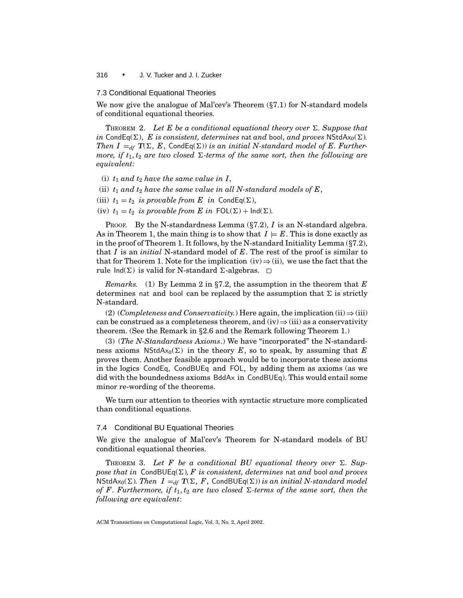#### 7.3 Conditional Equational Theories

We now give the analogue of Mal'cev's Theorem (*§*7.1) for N-standard models of conditional equational theories.

THEOREM 2. Let E be a conditional equational theory over  $\Sigma$ . Suppose that *in* CondEq( $\Sigma$ ), *E is consistent, determines* nat *and* bool, *and proves* NStdAx<sub>0</sub>( $\Sigma$ ). *Then I* =  $_{df}$  **T**( $\Sigma$ ,  $E$ , CondEq( $\Sigma$ )) *is an initial N-standard model of E. Furthermore, if*  $t_1, t_2$  *are two closed*  $\Sigma$ -terms of the same sort, then the following are *equivalent:*

- (i)  $t_1$  *and*  $t_2$  *have the same value in I*,
- (ii)  $t_1$  and  $t_2$  have the same value in all N-standard models of  $E$ ,
- (iii)  $t_1 = t_2$  *is provable from E in* CondEq( $\Sigma$ ),
- (iv)  $t_1 = t_2$  *is provable from E in*  $FOL(\Sigma) + Ind(\Sigma)$ *.*

PROOF. By the N-standardness Lemma (*§*7.2), *I* is an N-standard algebra. As in Theorem 1, the main thing is to show that  $I \models E$ . This is done exactly as in the proof of Theorem 1. It follows, by the N-standard Initiality Lemma (*§*7.2), that *I* is an *initial* N-standard model of *E*. The rest of the proof is similar to that for Theorem 1. Note for the implication (iv)  $\Rightarrow$  (ii), we use the fact that the rule  $Ind(\Sigma)$  is valid for N-standard  $\Sigma$ -algebras.  $\square$ 

*Remarks.* (1) By Lemma 2 in *§*7.2, the assumption in the theorem that *E* determines nat and bool can be replaced by the assumption that  $\Sigma$  is strictly N-standard.

(2) (*Completeness and Conservativity.*) Here again, the implication (ii)  $\Rightarrow$  (iii) can be construed as a completeness theorem, and  $(iv) \Rightarrow (iii)$  as a conservativity theorem. (See the Remark in *§*2.6 and the Remark following Theorem 1.)

(3) (*The N-Standardness Axioms*.) We have "incorporated" the N-standardness axioms  $NStdAx_0(\Sigma)$  in the theory *E*, so to speak, by assuming that *E* proves them. Another feasible approach would be to incorporate these axioms in the logics CondEq, CondBUEq and FOL, by adding them as axioms (as we did with the boundedness axioms BddAx in CondBUEq). This would entail some minor re-wording of the theorems.

We turn our attention to theories with syntactic structure more complicated than conditional equations.

# 7.4 Conditional BU Equational Theories

We give the analogue of Mal'cev's Theorem for N-standard models of BU conditional equational theories.

THEOREM 3. Let F be a conditional BU equational theory over  $\Sigma$ . Sup*pose that in* CondBUEq( $\Sigma$ ), F is consistent, determines nat and bool and proves NStdAx<sub>0</sub>( $\Sigma$ )*. Then*  $I =_{df} T(\Sigma, F, \text{CondBUEq}(\Sigma))$  *is an initial N-standard model of F. Furthermore, if*  $t_1, t_2$  *are two closed*  $\Sigma$ -terms of the same sort, then the *following are equivalent*: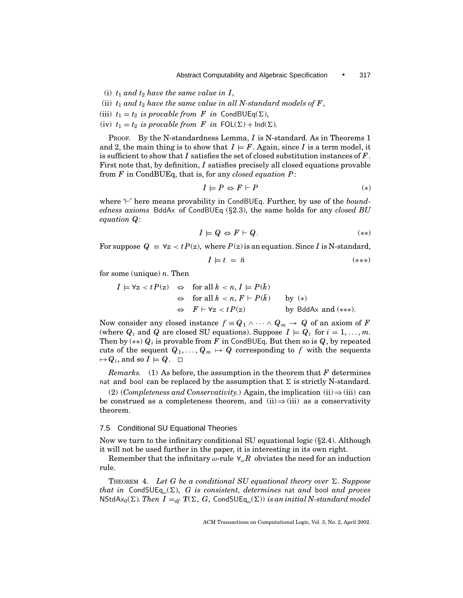Abstract Computability and Algebraic Specification • 317

- (i)  $t_1$  *and*  $t_2$  *have the same value in I*,
- (ii)  $t_1$  and  $t_2$  have the same value in all N-standard models of  $F$ ,
- (iii)  $t_1 = t_2$  *is provable from F in* CondBUEq( $\Sigma$ ),
- (iv)  $t_1 = t_2$  *is provable from F in*  $FOL(\Sigma) + Ind(\Sigma)$ *.*

PROOF. By the N-standardness Lemma, *I* is N-standard. As in Theorems 1 and 2, the main thing is to show that  $I \models F$ . Again, since *I* is a term model, it is sufficient to show that *I* satisfies the set of closed substitution instances of *F*. First note that, by definition, *I* satisfies precisely all closed equations provable from *F* in CondBUEq, that is, for any *closed equation P*:

$$
I \models P \Leftrightarrow F \vdash P \tag{*}
$$

where  $\vdash'$  here means provability in CondBUEq. Further, by use of the *boundedness axioms* BddAx of CondBUEq (*§*2.3), the same holds for any *closed BU equation Q*:

$$
I \models Q \Leftrightarrow F \vdash Q. \tag{**}
$$

For suppose  $Q = \forall z < t P(z)$ , where  $P(z)$  is an equation. Since *I* is N-standard,

$$
I \models t = \bar{n} \tag{***}
$$

for some (unique) *n*. Then

$$
I \models \forall z < t \, P(z) \quad \Leftrightarrow \quad \text{for all } k < n, I \models P(\bar{k})
$$
\n
$$
\Leftrightarrow \quad \text{for all } k < n, F \vdash P(\bar{k}) \qquad \text{by } (*)
$$
\n
$$
\Leftrightarrow \quad F \vdash \forall z < t \, P(z) \qquad \qquad \text{by BddAx and } (**).
$$

Now consider any closed instance  $f \equiv Q_1 \land \cdots \land Q_m \rightarrow Q$  of an axiom of *F* (where  $Q_i$  and  $Q$  are closed SU equations). Suppose  $I \models Q_i$  for  $i = 1, ..., m$ . Then by (∗∗) *Qi* is provable from *F* in CondBUEq. But then so is *Q*, by repeated cuts of the sequent  $Q_1, \ldots, Q_m \mapsto Q$  corresponding to f with the sequents  $\mapsto Q_i$ , and so  $I \models Q$ .  $\Box$ 

*Remarks.* (1) As before, the assumption in the theorem that  $F$  determines nat and bool can be replaced by the assumption that  $\Sigma$  is strictly N-standard.

(2) (*Completeness and Conservativity.*) Again, the implication (ii)  $\Rightarrow$  (iii) can be construed as a completeness theorem, and  $(ii) \Rightarrow (iii)$  as a conservativity theorem.

# 7.5 Conditional SU Equational Theories

Now we turn to the infinitary conditional SU equational logic (*§*2.4). Although it will not be used further in the paper, it is interesting in its own right.

Remember that the infinitary  $\omega$ -rule  $\forall_{\omega} R$  obviates the need for an induction rule.

THEOREM 4. Let G be a conditional SU equational theory over  $\Sigma$ . Suppose *that in* CondSUE $q_{\omega}(\Sigma)$ , *G is consistent, determines* nat *and* bool *and proves*  $NStdAx_0(\Sigma)$ *. Then*  $I =_{df} T(\Sigma, G, \text{CondSUEq}_{\omega}(\Sigma))$  *is an initial N-standard model*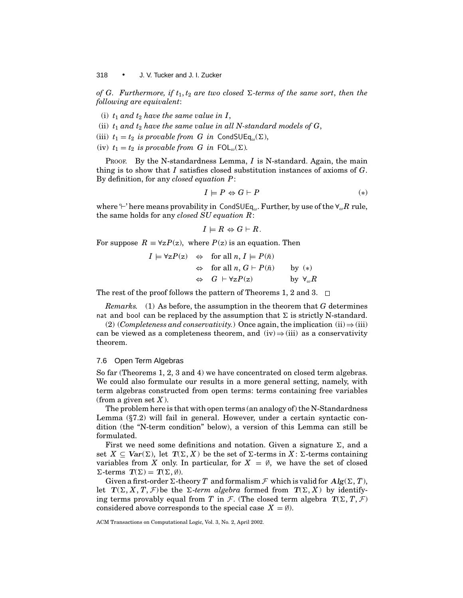*of G. Furthermore, if*  $t_1, t_2$  *are two closed*  $\Sigma$ -terms of the same sort, then the *following are equivalent*:

(i)  $t_1$  *and*  $t_2$  *have the same value in I*,

(ii)  $t_1$  *and*  $t_2$  *have the same value in all N-standard models of G*,

(iii)  $t_1 = t_2$  *is provable from G in* CondSUE $q_\omega(\Sigma)$ ,

(iv)  $t_1 = t_2$  *is provable from G in*  $FOL_\omega(\Sigma)$ *.* 

PROOF. By the N-standardness Lemma, *I* is N-standard. Again, the main thing is to show that *I* satisfies closed substitution instances of axioms of *G*. By definition, for any *closed equation P*:

$$
I \models P \Leftrightarrow G \vdash P \tag{*}
$$

where '<sup> $\vdash$ </sup>' here means provability in CondSUEq<sub>ω</sub>. Further, by use of the  $\forall_{\omega}R$  rule, the same holds for any *closed SU equation R*:

$$
I \models R \Leftrightarrow G \vdash R.
$$

For suppose  $R \equiv \forall z P(z)$ , where  $P(z)$  is an equation. Then

$$
I \models \forall z P(z) \Leftrightarrow \text{ for all } n, I \models P(\bar{n})
$$
  
\n
$$
\Leftrightarrow \text{ for all } n, G \vdash P(\bar{n}) \qquad \text{by } (*)
$$
  
\n
$$
\Leftrightarrow G \vdash \forall z P(z) \qquad \text{by } \forall_{\omega} R
$$

The rest of the proof follows the pattern of Theorems 1, 2 and 3.  $\Box$ 

*Remarks.* (1) As before, the assumption in the theorem that *G* determines nat and bool can be replaced by the assumption that  $\Sigma$  is strictly N-standard.

(2) (*Completeness and conservativity.*) Once again, the implication (ii)  $\Rightarrow$  (iii) can be viewed as a completeness theorem, and  $(iv) \Rightarrow (iii)$  as a conservativity theorem.

## 7.6 Open Term Algebras

So far (Theorems 1, 2, 3 and 4) we have concentrated on closed term algebras. We could also formulate our results in a more general setting, namely, with term algebras constructed from open terms: terms containing free variables (from a given set *X* ).

The problem here is that with open terms (an analogy of) the N-Standardness Lemma (*§*7.2) will fail in general. However, under a certain syntactic condition (the "N-term condition" below), a version of this Lemma can still be formulated.

First we need some definitions and notation. Given a signature  $\Sigma$ , and a set  $X \subseteq \text{Var}(\Sigma)$ , let  $T(\Sigma, X)$  be the set of  $\Sigma$ -terms in  $X: \Sigma$ -terms containing variables from *X* only. In particular, for  $X = \emptyset$ , we have the set of closed  $\Sigma$ -terms  $T(\Sigma) = T(\Sigma, \emptyset).$ 

Given a first-order  $\Sigma$ -theory *T* and formalism  $\mathcal F$  which is valid for  $Alg(\Sigma, T)$ , let  $T(\Sigma, X, T, \mathcal{F})$  be the  $\Sigma$ -*term algebra* formed from  $T(\Sigma, X)$  by identifying terms provably equal from *T* in *F*. (The closed term algebra  $T(\Sigma, T, \mathcal{F})$ considered above corresponds to the special case  $X = \emptyset$ ).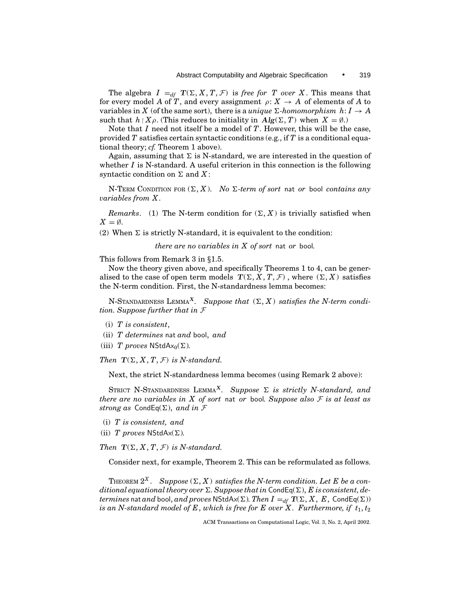The algebra  $I =_{df} T(\Sigma, X, T, \mathcal{F})$  is *free for T over X*. This means that for every model *A* of *T*, and every assignment  $\rho: X \to A$  of elements of *A* to variables in *X* (of the same sort), there is a *unique*  $\Sigma$ -homomorphism  $h: I \to A$ such that  $h \upharpoonright X \rho$ . (This reduces to initiality in  $Alg(\Sigma, T)$  when  $X = \emptyset$ .)

Note that *I* need not itself be a model of *T*. However, this will be the case, provided *T* satisfies certain syntactic conditions (e.g., if *T* is a conditional equational theory; *cf.* Theorem 1 above).

Again, assuming that  $\Sigma$  is N-standard, we are interested in the question of whether *I* is N-standard. A useful criterion in this connection is the following syntactic condition on  $\Sigma$  and  $X$ :

N-TERM CONDITION FOR  $(\Sigma, X)$ . *No*  $\Sigma$ -term of sort nat or bool contains any *variables from X .*

*Remarks.* (1) The N-term condition for  $(\Sigma, X)$  is trivially satisfied when  $X = \emptyset$ .

(2) When  $\Sigma$  is strictly N-standard, it is equivalent to the condition:

*there are no variables in X of sort* nat *or* bool*.*

This follows from Remark 3 in *§*1.5.

Now the theory given above, and specifically Theorems 1 to 4, can be generalised to the case of open term models  $T(\Sigma, X, T, \mathcal{F})$ , where  $(\Sigma, X)$  satisfies the N-term condition. First, the N-standardness lemma becomes:

N-STANDARDNESS LEMMA<sup>X</sup>. Suppose that  $(\Sigma, X)$  satisfies the N-term condi*tion. Suppose further that in* F

- (i) *T is consistent*,
- (ii) *T determines* nat *and* bool, *and*
- (iii) *T* proves NStdA $x_0(\Sigma)$ .

*Then*  $T(\Sigma, X, T, \mathcal{F})$  *is N-standard.* 

Next, the strict N-standardness lemma becomes (using Remark 2 above):

STRICT N-STANDARDNESS LEMMA<sup>X</sup>. Suppose  $\Sigma$  is strictly N-standard, and *there are no variables in X of sort* nat *or* bool*. Suppose also* F *is at least as strong as* CondEq( $\Sigma$ ), *and in* F

- (i) *T is consistent, and*
- (ii) *T* proves  $NStdAx(\Sigma)$ *.*

*Then*  $T(\Sigma, X, T, \mathcal{F})$  *is N-standard.* 

Consider next, for example, Theorem 2. This can be reformulated as follows.

THEOREM  $2^X$ . Suppose  $(\Sigma, X)$  satisfies the N-term condition. Let E be a con $ditional$  equational theory over  $\Sigma$ . Suppose that in CondEq( $\Sigma$ ), *E* is consistent, de*termines* nat *and* bool, *and proves* NStdAx( $\Sigma$ ). Then  $I =_{df} T(\Sigma, X, E, \text{CondEq}(\Sigma))$ *is an N-standard model of E, which is free for E over X. Furthermore, if*  $t_1, t_2$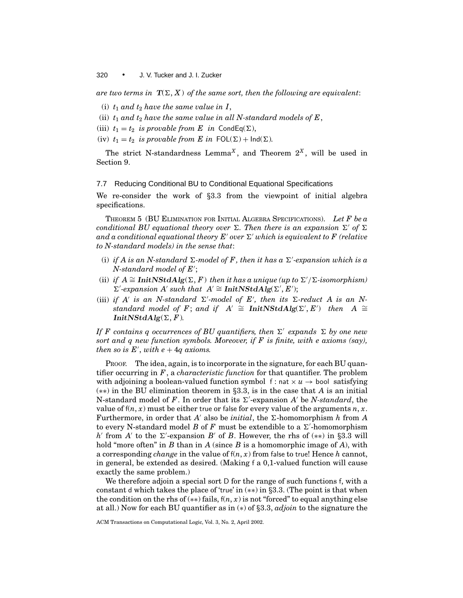*are two terms in*  $T(\Sigma, X)$  *of the same sort, then the following are equivalent:* 

- (i)  $t_1$  *and*  $t_2$  *have the same value in I*,
- (ii)  $t_1$  and  $t_2$  have the same value in all N-standard models of  $E$ ,
- (iii)  $t_1 = t_2$  *is provable from E in* CondEq( $\Sigma$ ),
- (iv)  $t_1 = t_2$  *is provable from E in*  $FOL(\Sigma) + Ind(\Sigma)$ *.*

The strict N-standardness Lemma<sup>X</sup>, and Theorem  $2^X$ , will be used in Section 9.

# 7.7 Reducing Conditional BU to Conditional Equational Specifications

We re-consider the work of *§*3.3 from the viewpoint of initial algebra specifications.

THEOREM 5 (BU ELIMINATION FOR INITIAL ALGEBRA SPECIFICATIONS). *Let F be a conditional BU equational theory over*  $\Sigma$ . Then there is an expansion  $\Sigma'$  of  $\Sigma$ *and a conditional equational theory*  $E'$  *over*  $\Sigma'$  *which is equivalent to F (relative to N-standard models) in the sense that*:

- (i) if A is an N-standard  $\Sigma$ -model of F, then it has a  $\Sigma'$ -expansion which is a N-standard model of E';
- (ii) *if*  $A \cong$  **InitNStdAlg**( $\Sigma$ ,  $F$ ) then it has a unique (up to  $\Sigma'$ ) $\Sigma$ -isomorphism)  $\sum'$ -expansion A' such that  $A' \cong$  **InitNStdAlg**( $\Sigma', E'$ );
- (iii) *if*  $A'$  *is an N-standard*  $\Sigma'$ -model of  $E'$ , then its  $\Sigma$ -reduct  $A$  *is an Nstandard model of F*; *and if*  $A' \cong$  **InitNStdAlg**( $\Sigma', E'$ ) *then*  $A \cong$ *InitNStdAlg*( $\Sigma$ ,  $F$ ).

*If* F contains q occurrences of BU quantifiers, then  $\Sigma'$  expands  $\Sigma$  by one new *sort and q new function symbols. Moreover, if F is finite, with e axioms (say), then so is*  $E'$ , *with e* + 4*q axioms.* 

PROOF. The idea, again, is to incorporate in the signature, for each BU quantifier occurring in *F*, a *characteristic function* for that quantifier. The problem with adjoining a boolean-valued function symbol  $f : nat \times u \rightarrow bool$  satisfying (∗∗) in the BU elimination theorem in *§*3.3, is in the case that *A* is an initial N-standard model of  $F$ . In order that its  $\Sigma'$ -expansion  $A'$  be *N-standard*, the value of  $f(n, x)$  must be either true or false for every value of the arguments  $n, x$ . Furthermore, in order that *A'* also be *initial*, the  $\Sigma$ -homomorphism *h* from *A* to every N-standard model  $B$  of  $F$  must be extendible to a  $\Sigma'$ -homomorphism  $h$ <sup>1</sup> from *A*<sup> $\prime$ </sup> to the  $\Sigma$ <sup> $\prime$ </sup>-expansion *B*<sup> $\prime$ </sup> of *B*. However, the rhs of (\*\*) in §3.3 will hold "more often" in *B* than in *A* (since *B* is a homomorphic image of *A*), with a corresponding *change* in the value of  $f(n, x)$  from false to true! Hence h cannot, in general, be extended as desired. (Making f a 0,1-valued function will cause exactly the same problem.)

We therefore adjoin a special sort D for the range of such functions f, with a constant d which takes the place of 'true' in (∗∗) in *§*3.3. (The point is that when the condition on the rhs of  $(**)$  fails,  $f(n, x)$  is not "forced" to equal anything else at all.) Now for each BU quantifier as in (∗) of *§*3.3, *adjoin* to the signature the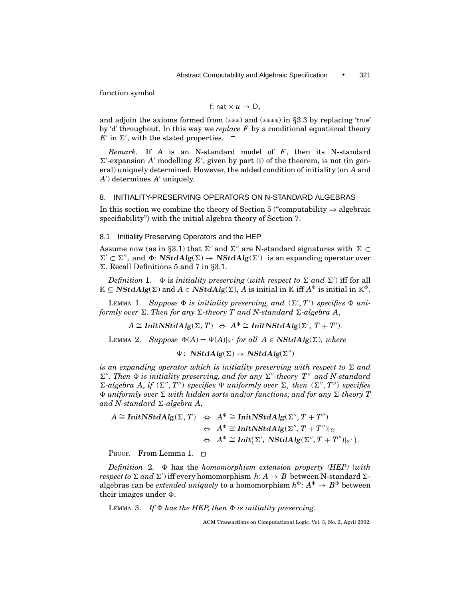function symbol

f: nat 
$$
\times
$$
 u  $\rightarrow$  D,

and adjoin the axioms formed from (\*\*\*) and (\*\*\*\*) in §3.3 by replacing 'true' by 'd' throughout. In this way we *replace F* by a conditional equational theory  $E'$  in  $\Sigma'$ , with the stated properties.

*Remark.* If *A* is an N-standard model of *F*, then its N-standard  $\Sigma'$ -expansion *A'* modelling  $E'$ , given by part (i) of the theorem, is not (in general) uniquely determined. However, the added condition of initiality (on *A* and *A*<sup> $\prime$ </sup>) determines *A*<sup> $\prime$ </sup> uniquely.

# 8. INITIALITY-PRESERVING OPERATORS ON N-STANDARD ALGEBRAS

In this section we combine the theory of Section 5 ("computability  $\Rightarrow$  algebraic specifiability") with the initial algebra theory of Section 7.

#### 8.1 Initiality Preserving Operators and the HEP

Assume now (as in §3.1) that  $\Sigma'$  and  $\Sigma''$  are N-standard signatures with  $\Sigma \subset$  $\Sigma' \subset \Sigma''$ , and  $\Phi$ : *NStdAlg*( $\Sigma$ )  $\rightarrow$  *NStdAlg*( $\Sigma'$ ) is an expanding operator over 6. Recall Definitions 5 and 7 in *§*3.1.

*Definition* 1.  $\Phi$  is *initiality preserving* (*with respect to*  $\Sigma$  *and*  $\Sigma'$ ) iff for all  $\mathbb{K}$  ⊆ *NStdAlg*(Σ) and *A* ∈ *NStdAlg*(Σ), *A* is initial in K iff *A*<sup>⊕</sup> is initial in K<sup>⊕</sup>.

LEMMA 1. Suppose  $\Phi$  is initiality preserving, and  $(\Sigma', T')$  specifies  $\Phi$  uni*formly over*  $\Sigma$ . Then for any  $\Sigma$ -theory T and N-standard  $\Sigma$ -algebra A,

 $A \cong \text{InitNStdAlg}(\Sigma, T) \Leftrightarrow A^{\Phi} \cong \text{InitNStdAlg}(\Sigma', T + T').$ 

LEMMA 2. *Suppose*  $\Phi(A) = \Psi(A)|_{\Sigma'}$  for all  $A \in \mathbf{NStdAlg}(\Sigma)$ , where

 $\Psi$ : *NStdAlg*( $\Sigma$ )  $\rightarrow$  *NStdAlg*( $\Sigma$ <sup>"</sup>)

*is an expanding operator which is initiality preserving with respect to*  $\Sigma$  *and*  $\Sigma''$ . Then  $\Phi$  is initiality preserving, and for any  $\Sigma''$ -theory  $T''$  and N-standard  $\Sigma$ -algebra A, *if*  $(\Sigma'', T'')$  specifies  $\Psi$  *uniformly over*  $\Sigma$ , *then*  $(\Sigma'', T'')$  specifies  $\Phi$  *uniformly over*  $\Sigma$  *with hidden sorts and/or functions; and for any*  $\Sigma$ -theory T and N-standard  $\Sigma$ -algebra A,

$$
A \cong \text{InitNStdAlg}(\Sigma, T) \Leftrightarrow A^{\Psi} \cong \text{InitNStdAlg}(\Sigma'', T + T'')
$$
  

$$
\Leftrightarrow A^{\Phi} \cong \text{InitNStdAlg}(\Sigma'', T + T'')|_{\Sigma'}
$$
  

$$
\Leftrightarrow A^{\Phi} \cong \text{Init}(\Sigma', \text{NStdAlg}(\Sigma'', T + T'')|_{\Sigma'}).
$$

PROOF. From Lemma 1.  $\Box$ 

*Definition* 2. 8 has the *homomorphism extension property (HEP)* (*with respect to*  $\Sigma$  *and*  $\Sigma'$ ) iff every homomorphism  $h: A \rightarrow B$  between N-standard  $\Sigma$ algebras can be *extended uniquely* to a homomorphism  $h^{\Phi}$ :  $A^{\Phi} \rightarrow B^{\Phi}$  between their images under  $\Phi$ .

LEMMA 3. If  $\Phi$  has the HEP, then  $\Phi$  is initiality preserving.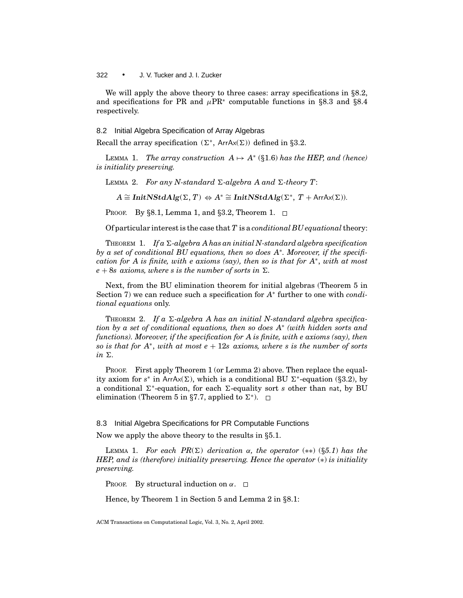We will apply the above theory to three cases: array specifications in *§*8.2, and specifications for PR and  $\mu$ PR<sup>∗</sup> computable functions in §8.3 and §8.4 respectively.

## 8.2 Initial Algebra Specification of Array Algebras

Recall the array specification  $(\Sigma^*,$  ArrAx $(\Sigma))$  defined in §3.2.

LEMMA 1. *The array construction*  $A \mapsto A^*$  (§1.6) *has the HEP, and (hence) is initiality preserving.*

LEMMA 2. *For any N-standard*  $\Sigma$ -algebra A and  $\Sigma$ -theory T:

 $A \cong \text{InitNStdAlg}(\Sigma, T) \Leftrightarrow A^* \cong \text{InitNStdAlg}(\Sigma^*, T + \text{ArrAx}(\Sigma)).$ 

PROOF. By *§*8.1, Lemma 1, and *§*3.2, Theorem 1.

Of particular interest is the case that *T* is a *conditional BU equational*theory:

THEOREM 1. If  $a \Sigma$ -algebra A has an initial N-standard algebra specification *by a set of conditional BU equations, then so does A*<sup>∗</sup>*. Moreover, if the specification for A is finite, with e axioms (say), then so is that for A*<sup>∗</sup>, *with at most*  $e + 8s$  axioms, where *s* is the number of sorts in  $\Sigma$ .

Next, from the BU elimination theorem for initial algebras (Theorem 5 in Section 7) we can reduce such a specification for *A*<sup>∗</sup> further to one with *conditional equations* only.

THEOREM 2. If a  $\Sigma$ -algebra A has an initial N-standard algebra specifica*tion by a set of conditional equations, then so does A*<sup>∗</sup> *(with hidden sorts and functions). Moreover, if the specification for A is finite, with e axioms (say), then so is that for A*<sup>∗</sup>, *with at most e* + 12*s axioms, where s is the number of sorts*  $in \Sigma$ .

PROOF. First apply Theorem 1 (or Lemma 2) above. Then replace the equality axiom for  $s^*$  in ArrAx( $\Sigma$ ), which is a conditional BU  $\Sigma^*$ -equation (§3.2), by a conditional 6<sup>∗</sup>-equation, for each 6-equality sort *s* other than nat, by BU elimination (Theorem 5 in §7.7, applied to  $\Sigma^*$ ).  $\Box$ 

8.3 Initial Algebra Specifications for PR Computable Functions

Now we apply the above theory to the results in *§*5.1.

LEMMA 1. *For each PR(* $\Sigma$ *) derivation*  $\alpha$ *, the operator* (\*\*) (§5.1) *has the HEP, and is (therefore) initiality preserving. Hence the operator*  $(*)$  *is initiality preserving.*

PROOF. By structural induction on  $\alpha$ .  $\Box$ 

Hence, by Theorem 1 in Section 5 and Lemma 2 in *§*8.1: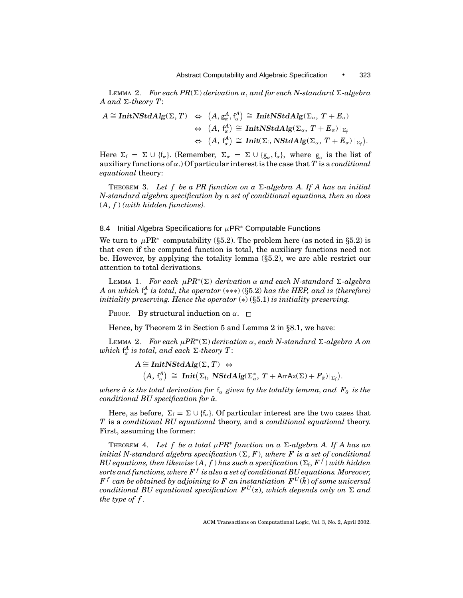LEMMA 2. *For each PR*( $\Sigma$ ) *derivation*  $\alpha$ , *and for each N-standard*  $\Sigma$ -*algebra*  $A$  and  $\Sigma$ -theory  $T$ :

$$
\begin{array}{rcl} A\cong \text{\rm InitNStdAlg}(\Sigma,\,T)&\Leftrightarrow&\big(A,\,\mathrm{g}_{\alpha}^{A},\,\mathrm{f}_{\alpha}^{A}\big)\,\cong\,\text{\rm InitNStdAlg}(\Sigma_{\alpha},\,T+E_{\alpha})\\ &\Leftrightarrow\,\,\, (A,\,\mathrm{f}_{\alpha}^{A})\,\cong\,\text{\rm InitNStdAlg}(\Sigma_{\alpha},\,T+E_{\alpha})\mid_{\Sigma_{\mathrm{f}}}\\ &\Leftrightarrow\,\,\, (A,\,\mathrm{f}_{\alpha}^{A})\,\cong\,\text{\rm Init}(\Sigma_{\mathrm{f}},\,\text{\rm NStdAlg}(\Sigma_{\alpha},\,T+E_{\alpha})\mid_{\Sigma_{\mathrm{f}}}). \end{array}
$$

Here  $\Sigma_f = \Sigma \cup \{f_\alpha\}$ . (Remember,  $\Sigma_\alpha = \Sigma \cup \{g_\alpha, f_\alpha\}$ , where  $g_\alpha$  is the list of auxiliary functions of α.) Of particular interest is the case that *T* is a *conditional equational* theory:

THEOREM 3. Let f be a PR function on a  $\Sigma$ -algebra A. If A has an initial *N-standard algebra specification by a set of conditional equations, then so does* (*A*, *f* ) *(with hidden functions).*

## 8.4 Initial Algebra Specifications for  $\mu$ PR<sup>\*</sup> Computable Functions

We turn to  $\mu$ PR<sup>\*</sup> computability (§5.2). The problem here (as noted in §5.2) is that even if the computed function is total, the auxiliary functions need not be. However, by applying the totality lemma (*§*5.2), we are able restrict our attention to total derivations.

LEMMA 1. *For each*  $\mu PR^*(\Sigma)$  *derivation*  $\alpha$  *and each N*-standard  $\Sigma$ -algebra *A* on which  $f^A_\alpha$  is total, the operator (\*\*\*) ( $\S 5.2$ ) has the HEP, and is (therefore) *initiality preserving. Hence the operator* (∗) (*§*5.1) *is initiality preserving.*

PROOF. By structural induction on  $\alpha$ .  $\Box$ 

Hence, by Theorem 2 in Section 5 and Lemma 2 in *§*8.1, we have:

LEMMA 2. *For each*  $\mu PR^*(\Sigma)$  *derivation*  $\alpha$ , *each* N-standard  $\Sigma$ -algebra A on  $which \int_{\alpha}^{A}$  *is total, and each*  $\Sigma$ *-theory T*:

> $A \cong \text{InitNStdAlg}(\Sigma, T) \Leftrightarrow$  $(A, f_{\alpha}^{A}) \cong \text{Init}(\Sigma_{f}, \text{NStdAlg}(\Sigma_{\alpha}^{*}, T + \text{ArrAx}(\Sigma) + \mathbf{F}_{\hat{\alpha}})|_{\Sigma_{f}}).$

*where*  $\hat{\alpha}$  *is the total derivation for*  $f_{\alpha}$  *given by the totality lemma, and*  $F_{\hat{\alpha}}$  *is the conditional BU specification for*  $\hat{\alpha}$ *.* 

Here, as before,  $\Sigma_f = \Sigma \cup \{f_\alpha\}$ . Of particular interest are the two cases that *T* is a *conditional BU equational* theory, and a *conditional equational* theory. First, assuming the former:

THEOREM 4. Let f be a total  $\mu PR^*$  function on a  $\Sigma$ -algebra A. If A has an *initial N-standard algebra specification*  $(\Sigma, F)$ , *where* F is a set of conditional *BU equations, then likewise*  $(A, f)$  *has such a specification*  $(\Sigma_f, F^f)$  *with hidden sorts and functions, where F <sup>f</sup> is also a set of conditional BU equations. Moreover,*  $F<sup>f</sup>$  *can be obtained by adjoining to* F *an instantiation*  $F<sup>U</sup>(\bar{k})$  *of some universal conditional BU equational specification*  $F^{U}(z)$ *, which depends only on*  $\Sigma$  *and the type of f .*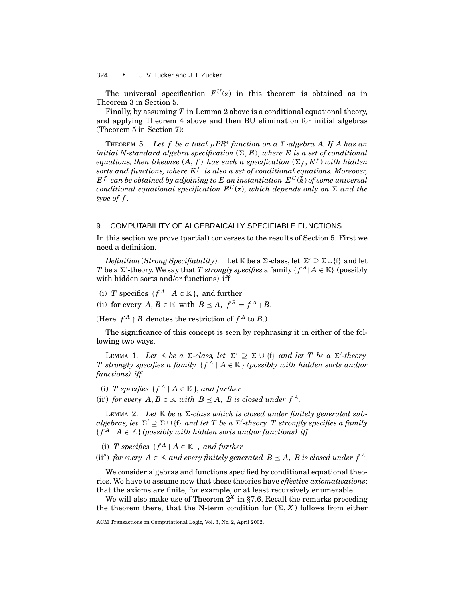The universal specification  $F^{U}(z)$  in this theorem is obtained as in Theorem 3 in Section 5.

Finally, by assuming *T* in Lemma 2 above is a conditional equational theory, and applying Theorem 4 above and then BU elimination for initial algebras (Theorem 5 in Section 7):

THEOREM 5. Let f be a total  $\mu PR^*$  function on a  $\Sigma$ -algebra A. If A has an *initial N-standard algebra specification*  $(\Sigma, E)$ , *where* E is a set of conditional  $e$ quations, then likewise  $(A, f)$  has such a specification  $(\Sigma_f, E^f)$  with hidden  $s$ orts and functions, where  $E^f$  is also a set of conditional equations. Moreover,  $E^f$  *can be obtained by adjoining to*  $E$  *an instantiation*  $E^U(\bar{k})$  *of some universal conditional equational specification*  $E^U(z)$ , *which depends only on*  $\Sigma$  *and the type of f .*

# 9. COMPUTABILITY OF ALGEBRAICALLY SPECIFIABLE FUNCTIONS

In this section we prove (partial) converses to the results of Section 5. First we need a definition.

*Definition* (*Strong Specifiability*). Let K be a  $\Sigma$ -class, let  $\Sigma' \supset \Sigma \cup \{f\}$  and let  $T$  be a  $\Sigma'$ -theory. We say that  $T$  *strongly specifies* a family {  $f^A |$   $A \in \mathbb{K}$ } (possibly with hidden sorts and/or functions) iff

- (i) *T* specifies  $\{f^A \mid A \in \mathbb{K}\}$ , and further
- (ii) for every  $A, B \in \mathbb{K}$  with  $B \prec A, f^B = f^A \restriction B$ .

(Here  $f^A \upharpoonright B$  denotes the restriction of  $f^A$  to *B*.)

The significance of this concept is seen by rephrasing it in either of the following two ways.

LEMMA 1. Let  $\mathbb K$  be a  $\Sigma$ -class, let  $\Sigma' \supseteq \Sigma \cup \{\mathfrak{f}\}\$  and let T be a  $\Sigma'$ -theory. *T* strongly specifies a family  $\{f^A \mid A \in \mathbb{K}\}$  (possibly with hidden sorts and/or *functions) iff*

- (i) *T* specifies  $\{f^A \mid A \in \mathbb{K}\}$ , and further
- (ii') for every  $A, B \in \mathbb{K}$  with  $B \preceq A$ ,  $B$  is closed under  $f^A$ .

LEMMA 2. Let  $K$  be a  $\Sigma$ -class which is closed under finitely generated sub $algebras, let \ \Sigma' \supseteq \Sigma \cup \{\mathfrak{f}\}$  and let  $T$  be a  $\Sigma'$ -theory.  $T$  strongly specifies a family  ${f^A \mid A \in \mathbb{K}}$  *(possibly with hidden sorts and/or functions) iff* 

(i) *T* specifies  $\{f^A \mid A \in \mathbb{K}\}$ , and further

(ii'') *for every*  $A \in \mathbb{K}$  *and every finitely generated*  $B \leq A$ , *B is closed under*  $f^A$ .

We consider algebras and functions specified by conditional equational theories. We have to assume now that these theories have *effective axiomatisations*: that the axioms are finite, for example, or at least recursively enumerable.

We will also make use of Theorem  $2^X$  in §7.6. Recall the remarks preceding the theorem there, that the N-term condition for  $(\Sigma, X)$  follows from either

ACM Transactions on Computational Logic, Vol. 3, No. 2, April 2002.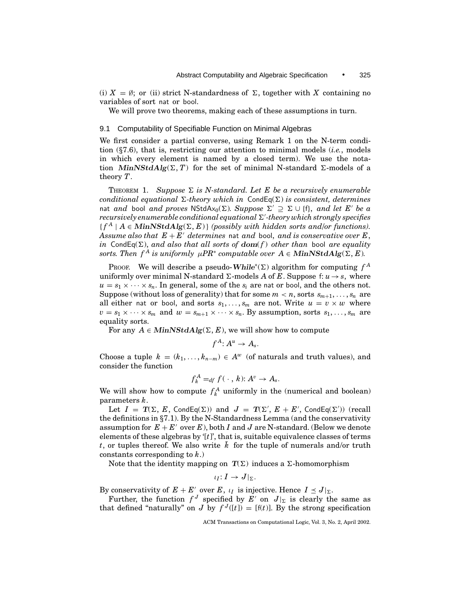(i)  $X = \emptyset$ ; or (ii) strict N-standardness of  $\Sigma$ , together with X containing no variables of sort nat or bool.

We will prove two theorems, making each of these assumptions in turn.

# 9.1 Computability of Specifiable Function on Minimal Algebras

We first consider a partial converse, using Remark 1 on the N-term condition (*§*7.6), that is, restricting our attention to minimal models (*i.e.*, models in which every element is named by a closed term). We use the notation *MinNStdAlg*( $\Sigma$ , *T*) for the set of minimal N-standard  $\Sigma$ -models of a theory *T*.

THEOREM 1. Suppose  $\Sigma$  is N-standard. Let E be a recursively enumerable *conditional equational*  $\Sigma$ -theory which in CondEq( $\Sigma$ ) is consistent, determines nat *and* bool *and proves* NStdAx<sub>0</sub>( $\Sigma$ )*. Suppose*  $\Sigma' \supseteq \Sigma \cup \{f\}$ *, and let E' be a* recursively enumerable conditional equational Σ'-theory which strongly specifies  ${f^A \mid A \in MinNSt dAlg(\Sigma, E)}$  (possibly with hidden sorts and/or functions). *Assume also that*  $E + E'$  *determines* nat *and* bool, *and is conservative over* E, *in* CondEq( $\Sigma$ ), *and also that all sorts of dom(f) other than bool are equality sorts. Then*  $f^A$  *is uniformly*  $\mu PR^*$  *computable over*  $A \in MinNStdAlg(\Sigma, E)$ *.* 

PROOF. We will describe a pseudo-While<sup>\*</sup>( $\Sigma$ ) algorithm for computing  $f^A$ uniformly over minimal N-standard  $\Sigma$ -models *A* of *E*. Suppose f:  $u \rightarrow s$ , where  $u = s_1 \times \cdots \times s_n$ . In general, some of the  $s_i$  are nat or bool, and the others not. Suppose (without loss of generality) that for some  $m < n$ , sorts  $s_{m+1}, \ldots, s_n$  are all either nat or bool, and sorts  $s_1, \ldots, s_m$  are not. Write  $u = v \times w$  where  $v = s_1 \times \cdots \times s_m$  and  $w = s_{m+1} \times \cdots \times s_n$ . By assumption, sorts  $s_1, \ldots, s_m$  are equality sorts.

For any  $A \in MinNStdAlg(\Sigma, E)$ , we will show how to compute

$$
f^A\colon A^u\to A_s.
$$

Choose a tuple  $k = (k_1, \ldots, k_{n-m}) \in A^w$  (of naturals and truth values), and consider the function

$$
f_k^A =_{df} f(\cdot, k): A^v \to A_s.
$$

We will show how to compute  $f_k^A$  uniformly in the (numerical and boolean) parameters *k*.

Let  $I = T(\Sigma, E, \text{CondEq}(\Sigma))$  and  $J = T(\Sigma', E + E', \text{CondEq}(\Sigma'))$  (recall the definitions in *§*7.1). By the N-Standardness Lemma (and the conservativity assumption for  $E + E'$  over  $E$ ), both  $I$  and  $J$  are N-standard. (Below we denote elements of these algebras by '[*t*]', that is, suitable equivalence classes of terms *t*, or tuples thereof. We also write  $\overline{k}$  for the tuple of numerals and/or truth constants corresponding to *k*.)

Note that the identity mapping on  $T(\Sigma)$  induces a  $\Sigma$ -homomorphism

 $\iota_I: I \to J|_{\Sigma}.$ 

By conservativity of  $E + E'$  over  $E$ ,  $\iota_I$  is injective. Hence  $I \leq J|_{\Sigma}$ .

Further, the function  $f^J$  specified by  $E'$  on  $J|_{\Sigma}$  is clearly the same as that defined "naturally" on *J* by  $f^{J}([t]) = [f(t)]$ . By the strong specification

ACM Transactions on Computational Logic, Vol. 3, No. 2, April 2002.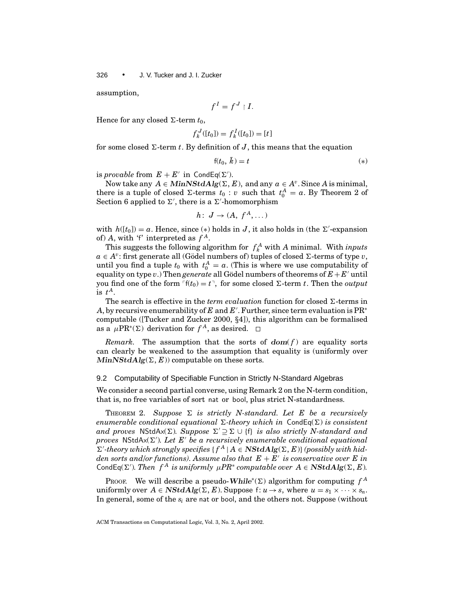assumption,

$$
f^I = f^J \restriction I.
$$

Hence for any closed  $\Sigma$ -term  $t_0$ ,

$$
f_k^J([t_0]) = f_k^I([t_0]) = [t]
$$

for some closed  $\Sigma$ -term *t*. By definition of *J*, this means that the equation

$$
f(t_0, \,\bar{k}) = t \tag{*}
$$

is *provable* from  $E + E'$  in CondEq( $\Sigma'$ ).

Now take any *A* ∈ *MinNStdAlg*( $\Sigma$ , *E*), and any *a* ∈ *A<sup>v</sup>*. Since *A* is minimal, there is a tuple of closed  $\Sigma$ -terms  $t_0 : v$  such that  $t_0^A = a$ . By Theorem 2 of Section 6 applied to  $\Sigma'$ , there is a  $\Sigma'$ -homomorphism

$$
h\colon J\to (A,\ f^A,\dots)
$$

with  $h([t_0]) = a$ . Hence, since (\*) holds in *J*, it also holds in (the  $\Sigma'$ -expansion of) *A*, with 'f' interpreted as *f <sup>A</sup>*.

This suggests the following algorithm for  $f_k^A$  with *A* minimal. With *inputs*  $a \in A^v$ : first generate all (Gödel numbers of) tuples of closed  $\Sigma$ -terms of type *v*, until you find a tuple  $t_0$  with  $t_0^A = a$ . (This is where we use computability of equality on type *v*.) Then *generate* all Gödel numbers of theorems of  $E + E'$  until you find one of the form  $\lceil f(t_0) = t \rceil$ , for some closed  $\Sigma$ -term *t*. Then the *output* is  $t^A$ .

The search is effective in the *term evaluation* function for closed  $\Sigma$ -terms in A, by recursive enumerability of  $E$  and  $E'$ . Further, since term evaluation is  $\mathrm{PR}^*$ computable ([Tucker and Zucker 2000, *§*4]), this algorithm can be formalised as a  $\mu$ PR<sup>∗</sup>(∑) derivation for  $f^A$ , as desired. □

*Remark.* The assumption that the sorts of  $dom(f)$  are equality sorts can clearly be weakened to the assumption that equality is (uniformly over  $MinNStdAlg(\Sigma, E))$  computable on these sorts.

## 9.2 Computability of Specifiable Function in Strictly N-Standard Algebras

We consider a second partial converse, using Remark 2 on the N-term condition, that is, no free variables of sort nat or bool, plus strict N-standardness.

THEOREM 2. Suppose  $\Sigma$  is strictly N-standard. Let E be a recursively *enumerable conditional equational*  $\Sigma$ -theory which in CondEq( $\Sigma$ ) is consistent *and proves* NStdAx( $\Sigma$ )*. Suppose*  $\Sigma' \supseteq \Sigma \cup \{f\}$  *is also strictly N-standard and*  $p$ roves  $NStdAx(\Sigma')$ . Let  $E'$  be a recursively enumerable conditional equational  $\Sigma'$ -theory which strongly specifies  $\{f^A \mid A \in \mathbf{NStdAlg}(\Sigma, E)\}$  (possibly with hid*den sorts and/or functions). Assume also that*  $E + E'$  *is conservative over* E in CondEq( $\Sigma'$ ). Then  $f^A$  *is uniformly*  $\mu PR^*$  *computable over*  $A \in \mathbf{NStdAlg}(\Sigma, E)$ .

PROOF. We will describe a pseudo-While<sup>\*</sup>( $\Sigma$ ) algorithm for computing  $f^A$ uniformly over  $A \in \mathbf{NStdAlg}(\Sigma, E)$ . Suppose  $f: u \to s$ , where  $u = s_1 \times \cdots \times s_n$ . In general, some of the *si* are nat or bool, and the others not. Suppose (without

ACM Transactions on Computational Logic, Vol. 3, No. 2, April 2002.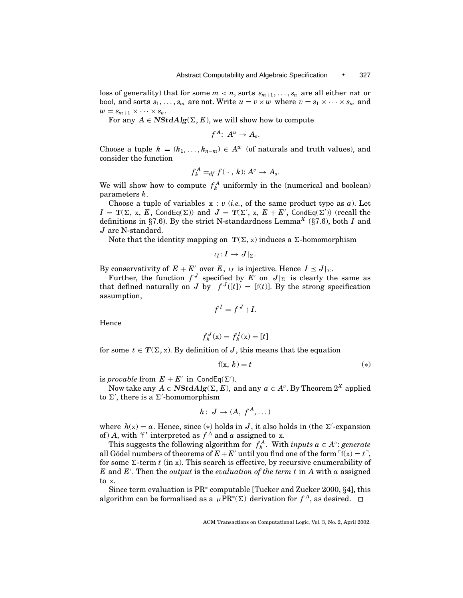loss of generality) that for some  $m < n$ , sorts  $s_{m+1}, \ldots, s_n$  are all either nat or bool, and sorts  $s_1, \ldots, s_m$  are not. Write  $u = v \times w$  where  $v = s_1 \times \cdots \times s_m$  and  $w = s_{m+1} \times \cdots \times s_n$ .

For any  $A \in \mathbf{NStdAlg}(\Sigma, E)$ , we will show how to compute

 $f^A: A^u \rightarrow A_{\infty}$ 

Choose a tuple  $k = (k_1, \ldots, k_{n-m}) \in A^w$  (of naturals and truth values), and consider the function

$$
f_k^A =_{df} f(\cdot, k): A^v \to A_s.
$$

We will show how to compute  $f_k^A$  uniformly in the (numerical and boolean) parameters *k*.

Choose a tuple of variables  $x : v$  (*i.e.*, of the same product type as  $a$ ). Let  $I = T(\Sigma, x, E, \text{CondEq}(\Sigma))$  and  $J = T(\Sigma', x, E + E', \text{CondEq}(\Sigma'))$  (recall the definitions in *§*7.6). By the strict N-standardness Lemma*<sup>X</sup>* (*§*7.6), both *<sup>I</sup>* and *J* are N-standard.

Note that the identity mapping on  $T(\Sigma, x)$  induces a  $\Sigma$ -homomorphism

 $\iota_I: I \to J|_{\Sigma}.$ 

By conservativity of  $E + E'$  over  $E$ ,  $\iota_I$  is injective. Hence  $I \leq J|_{\Sigma}$ .

Further, the function  $f^J$  specified by E' on  $J|_{\Sigma}$  is clearly the same as that defined naturally on *J* by  $f^{J}([t]) = [f(t)]$ . By the strong specification assumption,

$$
f^I = f^J \restriction I.
$$

Hence

$$
f_k^J(\mathbf{x}) = f_k^I(\mathbf{x}) = [t]
$$

for some  $t \in T(\Sigma, x)$ . By definition of *J*, this means that the equation

$$
f(x, \bar{k}) = t \tag{*}
$$

is *provable* from  $E + E'$  in CondEq( $\Sigma'$ ).

Now take any  $A \in \mathbf{NStdAlg}(\Sigma, E)$ , and any  $a \in A^v$ . By Theorem  $2^X$  applied to  $\Sigma'$ , there is a  $\Sigma'$ -homomorphism

$$
h\colon J\to (A,\,f^A,\dots)
$$

where  $h(x) = a$ . Hence, since (\*) holds in *J*, it also holds in (the  $\Sigma'$ -expansion of) *A*, with 'f' interpreted as  $f^A$  and *a* assigned to x.

This suggests the following algorithm for  $f_k^A$ . With *inputs a*  $\in$  *A<sup>v</sup>*: *generate* all Gödel numbers of theorems of  $E + E'$  until you find one of the form  $f(x) = t$ <sup>-</sup>, for some  $\Sigma$ -term *t* (in x). This search is effective, by recursive enumerability of  $E$  and  $E'$ . Then the *output* is the *evaluation of the term t* in  $A$  with  $a$  assigned to x.

Since term evaluation is PR<sup>∗</sup> computable [Tucker and Zucker 2000, *§*4], this algorithm can be formalised as a  $\mu$ PR<sup>∗</sup>(∑) derivation for *f*<sup>*A*</sup>, as desired. □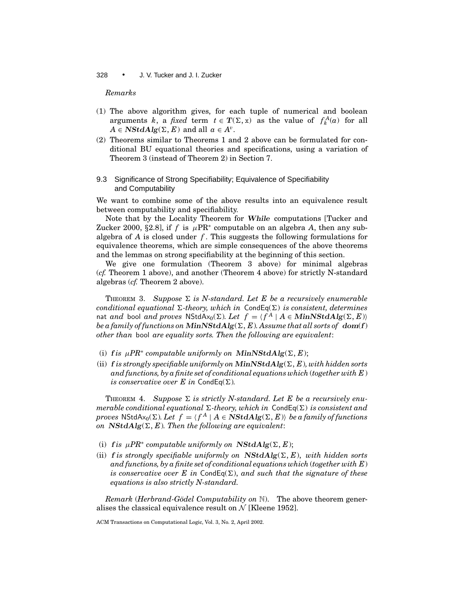# *Remarks*

- (1) The above algorithm gives, for each tuple of numerical and boolean arguments *k*, a *fixed* term  $t \in T(\Sigma, x)$  as the value of  $f_k^A(a)$  for all  $A \in \mathbf{NStdAlg}(\Sigma, E)$  and all  $a \in A^v$ .
- (2) Theorems similar to Theorems 1 and 2 above can be formulated for conditional BU equational theories and specifications, using a variation of Theorem 3 (instead of Theorem 2) in Section 7.
- 9.3 Significance of Strong Specifiability; Equivalence of Specifiability and Computability

We want to combine some of the above results into an equivalence result between computability and specifiability.

Note that by the Locality Theorem for *While* computations [Tucker and Zucker 2000, §2.8], if  $f$  is  $\mu$ PR<sup>\*</sup> computable on an algebra  $A$ , then any subalgebra of *A* is closed under *f* . This suggests the following formulations for equivalence theorems, which are simple consequences of the above theorems and the lemmas on strong specifiability at the beginning of this section.

We give one formulation (Theorem 3 above) for minimal algebras (*cf.* Theorem 1 above), and another (Theorem 4 above) for strictly N-standard algebras (*cf.* Theorem 2 above).

THEOREM 3. Suppose  $\Sigma$  is N-standard. Let E be a recursively enumerable *conditional equational*  $\Sigma$ -theory, which in  $CondEq(\Sigma)$  *is consistent, determines* nat *and* bool *and proves* NStdAx<sub>0</sub>( $\Sigma$ )*. Let*  $f = \{f^A | A \in \text{MinNStdAlg}(\Sigma, E)\}$ *be a family of functions on*  $MinNStdAlg(\Sigma, E)$ *. Assume that all sorts of*  $dom(f)$ *other than* bool *are equality sorts. Then the following are equivalent*:

- (i) *f* is  $\mu PR^*$  *computable uniformly on MinNStdAlg*( $\Sigma, E$ );
- (ii)  $f$  *is strongly specifiable uniformly on*  $MinNStdAlg(\Sigma, E)$ *, with hidden sorts and functions, by a finite set of conditional equations which* (*together with E*) *is conservative over E in* CondEq( $\Sigma$ ).

THEOREM 4. Suppose  $\Sigma$  is strictly N-standard. Let E be a recursively enu*merable conditional equational*  $\Sigma$ -theory, which in  $\text{CondEq}(\Sigma)$  is consistent and *proves* NStdAx<sub>0</sub>( $\Sigma$ )*. Let*  $f = \langle f^A | A \in \mathbf{NStdAlg}(\Sigma, E) \rangle$  *be a family of functions on*  $NStdAlg(\Sigma, E)$ *. Then the following are equivalent:* 

- (i) *f* is  $\mu PR^*$  *computable uniformly on*  $NStdAlg(\Sigma, E);$
- (ii) **f** is strongly specifiable uniformly on  $NStdAlg(\Sigma, E)$ , with hidden sorts *and functions, by a finite set of conditional equations which* (*together with E*) *is conservative over E in* CondEq( $\Sigma$ ), *and such that the signature of these equations is also strictly N-standard.*

*Remark* (*Herbrand-Gödel Computability on* N). The above theorem generalises the classical equivalence result on  $\mathcal{N}$  [Kleene 1952].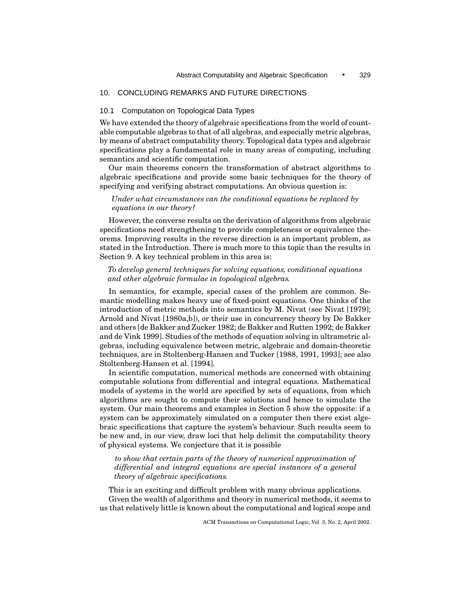# 10. CONCLUDING REMARKS AND FUTURE DIRECTIONS

# 10.1 Computation on Topological Data Types

We have extended the theory of algebraic specifications from the world of countable computable algebras to that of all algebras, and especially metric algebras, by means of abstract computability theory. Topological data types and algebraic specifications play a fundamental role in many areas of computing, including semantics and scientific computation.

Our main theorems concern the transformation of abstract algorithms to algebraic specifications and provide some basic techniques for the theory of specifying and verifying abstract computations. An obvious question is:

# *Under what circumstances can the conditional equations be replaced by equations in our theory?*

However, the converse results on the derivation of algorithms from algebraic specifications need strengthening to provide completeness or equivalence theorems. Improving results in the reverse direction is an important problem, as stated in the Introduction. There is much more to this topic than the results in Section 9. A key technical problem in this area is:

# *To develop general techniques for solving equations, conditional equations and other algebraic formulae in topological algebras.*

In semantics, for example, special cases of the problem are common. Semantic modelling makes heavy use of fixed-point equations. One thinks of the introduction of metric methods into semantics by M. Nivat (see Nivat [1979]; Arnold and Nivat [1980a,b]), or their use in concurrency theory by De Bakker and others [de Bakker and Zucker 1982; de Bakker and Rutten 1992; de Bakker and de Vink 1999]. Studies of the methods of equation solving in ultrametric algebras, including equivalence between metric, algebraic and domain-theoretic techniques, are in Stoltenberg-Hansen and Tucker [1988, 1991, 1993]; see also Stoltenberg-Hansen et al. [1994].

In scientific computation, numerical methods are concerned with obtaining computable solutions from differential and integral equations. Mathematical models of systems in the world are specified by sets of equations, from which algorithms are sought to compute their solutions and hence to simulate the system. Our main theorems and examples in Section 5 show the opposite: if a system can be approximately simulated on a computer then there exist algebraic specifications that capture the system's behaviour. Such results seem to be new and, in our view, draw loci that help delimit the computability theory of physical systems. We conjecture that it is possible

*to show that certain parts of the theory of numerical approximation of differential and integral equations are special instances of a general theory of algebraic specifications.*

This is an exciting and difficult problem with many obvious applications. Given the wealth of algorithms and theory in numerical methods, it seems to us that relatively little is known about the computational and logical scope and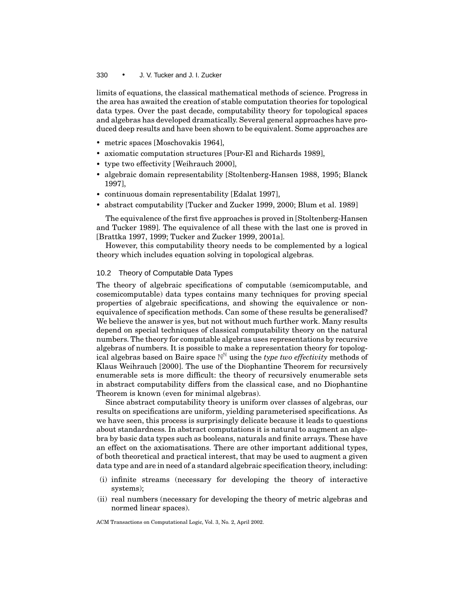limits of equations, the classical mathematical methods of science. Progress in the area has awaited the creation of stable computation theories for topological data types. Over the past decade, computability theory for topological spaces and algebras has developed dramatically. Several general approaches have produced deep results and have been shown to be equivalent. Some approaches are

- metric spaces [Moschovakis 1964],
- axiomatic computation structures [Pour-El and Richards 1989],
- type two effectivity [Weihrauch 2000],
- r algebraic domain representability [Stoltenberg-Hansen 1988, 1995; Blanck 1997],
- continuous domain representability [Edalat 1997],
- abstract computability [Tucker and Zucker 1999, 2000; Blum et al. 1989]

The equivalence of the first five approaches is proved in [Stoltenberg-Hansen and Tucker 1989]. The equivalence of all these with the last one is proved in [Brattka 1997, 1999; Tucker and Zucker 1999, 2001a].

However, this computability theory needs to be complemented by a logical theory which includes equation solving in topological algebras.

# 10.2 Theory of Computable Data Types

The theory of algebraic specifications of computable (semicomputable, and cosemicomputable) data types contains many techniques for proving special properties of algebraic specifications, and showing the equivalence or nonequivalence of specification methods. Can some of these results be generalised? We believe the answer is yes, but not without much further work. Many results depend on special techniques of classical computability theory on the natural numbers. The theory for computable algebras uses representations by recursive algebras of numbers. It is possible to make a representation theory for topological algebras based on Baire space  $\mathbb{N}^{\mathbb{N}}$  using the *type two effectivity* methods of Klaus Weihrauch [2000]. The use of the Diophantine Theorem for recursively enumerable sets is more difficult: the theory of recursively enumerable sets in abstract computability differs from the classical case, and no Diophantine Theorem is known (even for minimal algebras).

Since abstract computability theory is uniform over classes of algebras, our results on specifications are uniform, yielding parameterised specifications. As we have seen, this process is surprisingly delicate because it leads to questions about standardness. In abstract computations it is natural to augment an algebra by basic data types such as booleans, naturals and finite arrays. These have an effect on the axiomatisations. There are other important additional types, of both theoretical and practical interest, that may be used to augment a given data type and are in need of a standard algebraic specification theory, including:

- (i) infinite streams (necessary for developing the theory of interactive systems);
- (ii) real numbers (necessary for developing the theory of metric algebras and normed linear spaces).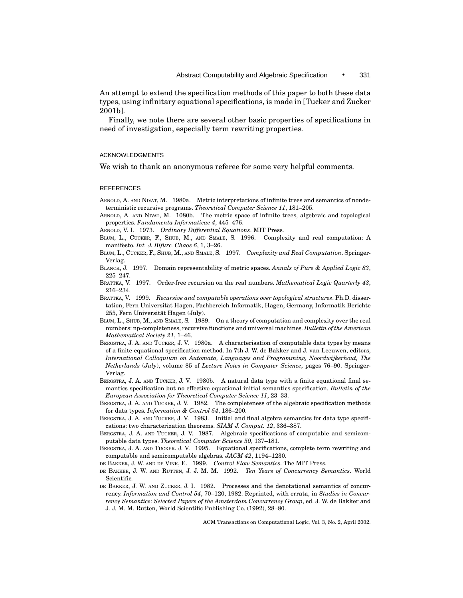An attempt to extend the specification methods of this paper to both these data types, using infinitary equational specifications, is made in [Tucker and Zucker 2001b].

Finally, we note there are several other basic properties of specifications in need of investigation, especially term rewriting properties.

# ACKNOWLEDGMENTS

We wish to thank an anonymous referee for some very helpful comments.

#### **REFERENCES**

- ARNOLD, A. AND NIVAT, M. 1980a. Metric interpretations of infinite trees and semantics of nondeterministic recursive programs. *Theoretical Computer Science 11*, 181–205.
- ARNOLD, A. AND NIVAT, M. 1080b. The metric space of infinite trees, algebraic and topological properties. *Fundamenta Informaticae 4*, 445–476.
- ARNOLD, V. I. 1973. *Ordinary Differential Equations*. MIT Press.
- BLUM, L., CUCKER, F., SHUB, M., AND SMALE, S. 1996. Complexity and real computation: A manifesto. *Int. J. Bifurc. Chaos 6*, 1, 3–26.
- BLUM, L., CUCKER, F., SHUB, M., AND SMALE, S. 1997. *Complexity and Real Computation*. Springer-Verlag.
- BLANCK, J. 1997. Domain representability of metric spaces. *Annals of Pure & Applied Logic 83*, 225–247.
- BRATTKA, V. 1997. Order-free recursion on the real numbers. *Mathematical Logic Quarterly 43*, 216–234.
- BRATTKA, V. 1999. *Recursive and computable operations over topological structures*. Ph.D. dissertation, Fern Universitat Hagen, Fachbereich Informatik, Hagen, Germany, Informatik Berichte ¨ 255, Fern Universität Hagen (July).
- BLUM, L., SHUB, M., AND SMALE, S. 1989. On a theory of computation and complexity over the real numbers: np-completeness, recursive functions and universal machines. *Bulletin of the American Mathematical Society 21*, 1–46.
- BERGSTRA, J. A. AND TUCKER, J. V. 1980a. A characterisation of computable data types by means of a finite equational specification method. In 7th J. W. de Bakker and J. van Leeuwen, editors, *International Colloquium on Automata, Languages and Programming, Noordwijkerhout, The Netherlands* (*July*), volume 85 of *Lecture Notes in Computer Science*, pages 76–90. Springer-Verlag.
- BERGSTRA, J. A. AND TUCKER, J. V. 1980b. A natural data type with a finite equational final semantics specification but no effective equational initial semantics specification. *Bulletin of the European Association for Theoretical Computer Science 11*, 23–33.
- BERGSTRA, J. A. AND TUCKER, J. V. 1982. The completeness of the algebraic specification methods for data types. *Information & Control 54*, 186–200.
- BERGSTRA, J. A. AND TUCKER, J. V. 1983. Initial and final algebra semantics for data type specifications: two characterization theorems. *SIAM J. Comput. 12*, 336–387.
- BERGSTRA, J. A. AND TUCKER, J. V. 1987. Algebraic specifications of computable and semicomputable data types. *Theoretical Computer Science 50*, 137–181.
- BERGSTRA, J. A. AND TUCKER. J. V. 1995. Equational specifications, complete term rewriting and computable and semicomputable algebras. *JACM 42*, 1194–1230.
- DE BAKKER, J. W. AND DE VINK, E. 1999. *Control Flow Semantics*. The MIT Press.
- DE BAKKER, J. W. AND RUTTEN, J. J. M. M. 1992. *Ten Years of Concurrency Semantics*. World Scientific.
- DE BAKKER, J. W. AND ZUCKER, J. I. 1982. Processes and the denotational semantics of concurrency. *Information and Control 54*, 70–120, 1982. Reprinted, with errata, in *Studies in Concurrency Semantics: Selected Papers of the Amsterdam Concurrency Group*, ed. J. W. de Bakker and J. J. M. M. Rutten, World Scientific Publishing Co. (1992), 28–80.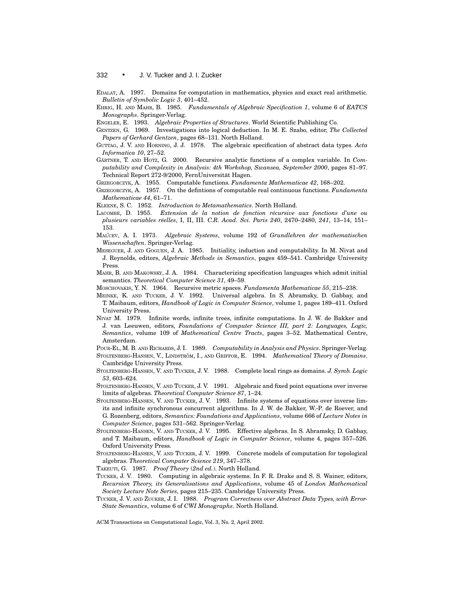- EDALAT, A. 1997. Domains for computation in mathematics, physics and exact real arithmetic. *Bulletin of Symbolic Logic 3*, 401–452.
- EHRIG, H. AND MAHR, B. 1985. *Fundamentals of Algebraic Specification 1*, volume 6 of *EATCS Monographs*. Springer-Verlag.
- ENGELER, E. 1993. *Algebraic Properties of Structures*. World Scientific Publishing Co.
- GENTZEN, G. 1969. Investigations into logical deduction. In M. E. Szabo, editor, *The Collected Papers of Gerhard Gentzen*, pages 68–131. North Holland.
- GUTTAG, J. V. AND HORNING, J. J. 1978. The algebraic specification of abstract data types. *Acta Informatica 10*, 27–52.
- GÄRTNER, T. AND HOTZ, G. 2000. Recursive analytic functions of a complex variable. In *Computability and Complexity in Analysis: 4th Workshop, Swansea, September 2000*, pages 81–97. Technical Report 272-9/2000, FernUniversität Hagen.

GRZEGORCZYK, A. 1955. Computable functions. *Fundamenta Mathematicae 42*, 168–202.

- GRZEGORCZYK, A. 1957. On the defintions of computable real continuous functions. *Fundamenta Mathematicae 44*, 61–71.
- KLEENE, S. C. 1952. *Introduction to Metamathematics*. North Holland.
- LACOMBE, D. 1955. *Extension de la notion de fonction r´ecursive aux fonctions d'une ou plusieurs variables r´eelles*, I, II, III. *C.R. Acad. Sci. Paris 240*, 2470–2480, *241*, 13–14, 151– 153.
- MAL'CEV, A. I. 1973. *Algebraic Systems*, volume 192 of *Grundlehren der mathematischen Wissenschaften*. Springer-Verlag.
- MESEGUER, J. AND GOGUEN, J. A. 1985. Initiality, induction and computability. In M. Nivat and J. Reynolds, editors, *Algebraic Methods in Semantics*, pages 459–541. Cambridge University Press.
- MAHR, B. AND MAKOWSKY, J. A. 1984. Characterizing specification languages which admit initial semantics. *Theoretical Computer Science 31*, 49–59.
- MOSCHOVAKIS, Y. N. 1964. Recursive metric spaces. *Fundamenta Mathematicae 55*, 215–238.
- MEINKE, K. AND TUCKER, J. V. 1992. Universal algebra. In S. Abramsky, D. Gabbay, and T. Maibaum, editors, *Handbook of Logic in Computer Science*, volume 1, pages 189–411. Oxford University Press.
- NIVAT M. 1979. Infinite words, infinite trees, infinite computations. In J. W. de Bakker and J. van Leeuwen, editors, *Foundations of Computer Science III, part 2: Languages, Logic, Semantics*, volume 109 of *Mathematical Centre Tracts*, pages 3–52. Mathematical Centre, Amsterdam.
- POUR-EL, M. B. AND RICHARDS, J. I. 1989. *Computability in Analysis and Physics*. Springer-Verlag. STOLTENBERG-HANSEN, V., LINDSTRÖM, I., AND GRIFFOR, E. 1994. *Mathematical Theory of Domains*. Cambridge University Press.
- STOLTENBERG-HANSEN, V. AND TUCKER, J. V. 1988. Complete local rings as domains. *J. Symb. Logic 53*, 603–624.
- STOLTENBERG-HANSEN, V. AND TUCKER, J. V. 1991. Algebraic and fixed point equations over inverse limits of algebras. *Theoretical Computer Science 87*, 1–24.
- STOLTENBERG-HANSEN, V. AND TUCKER, J. V. 1993. Infinite systems of equations over inverse limits and infinite synchronous concurrent algorithms. In J. W. de Bakker, W.-P. de Roever, and G. Rozenberg, editors, *Semantics: Foundations and Applications*, volume 666 of *Lecture Notes in Computer Science*, pages 531–562. Springer-Verlag.
- STOLTENBERG-HANSEN, V. AND TUCKER, J. V. 1995. Effective algebras. In S. Abramsky, D. Gabbay, and T. Maibaum, editors, *Handbook of Logic in Computer Science*, volume 4, pages 357–526. Oxford University Press.
- STOLTENBERG-HANSEN, V. AND TUCKER, J. V. 1999. Concrete models of computation for topological algebras. *Theoretical Computer Science 219*, 347–378.

TAKEUTI, G. 1987. *Proof Theory* (*2nd ed.*). North Holland.

- TUCKER, J. V. 1980. Computing in algebraic systems. In F. R. Drake and S. S. Wainer, editors, *Recursion Theory, its Generalisations and Applications*, volume 45 of *London Mathematical Society Lecture Note Series*, pages 215–235. Cambridge University Press.
- TUCKER, J. V. AND ZUCKER, J. I. 1988. *Program Correctness over Abstract Data Types, with Error-State Semantics*, volume 6 of *CWI Monographs*. North Holland.